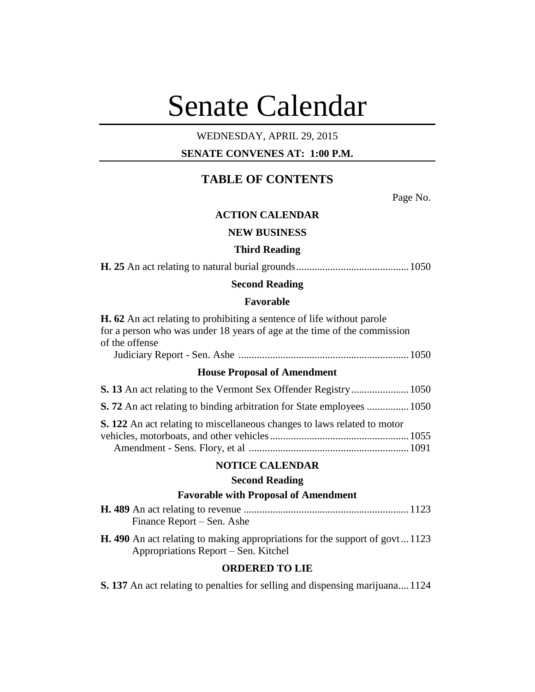# Senate Calendar

# WEDNESDAY, APRIL 29, 2015

# **SENATE CONVENES AT: 1:00 P.M.**

# **TABLE OF CONTENTS**

Page No.

# **ACTION CALENDAR**

## **NEW BUSINESS**

## **Third Reading**

**H. 25** An act relating to natural burial grounds...........................................1050

## **Second Reading**

## **Favorable**

**H. 62** An act relating to prohibiting a sentence of life without parole for a person who was under 18 years of age at the time of the commission of the offense Judiciary Report - Sen. Ashe .................................................................1050

## **House Proposal of Amendment**

| <b>S. 72</b> An act relating to binding arbitration for State employees  1050 |  |
|-------------------------------------------------------------------------------|--|
| S. 122 An act relating to miscellaneous changes to laws related to motor      |  |
|                                                                               |  |
|                                                                               |  |

## **NOTICE CALENDAR**

## **Second Reading**

## **Favorable with Proposal of Amendment**

| Finance Report – Sen. Ashe                                                         |
|------------------------------------------------------------------------------------|
| <b>H.</b> 490 An act relating to making appropriations for the support of govt1123 |
| Appropriations Report – Sen. Kitchel                                               |

# **ORDERED TO LIE**

**S. 137** An act relating to penalties for selling and dispensing marijuana....1124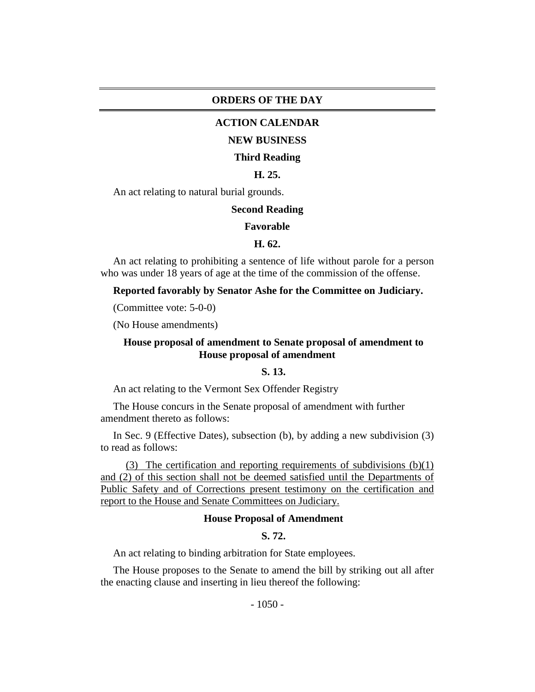## **ORDERS OF THE DAY**

## **ACTION CALENDAR**

## **NEW BUSINESS**

#### **Third Reading**

## **H. 25.**

An act relating to natural burial grounds.

#### **Second Reading**

#### **Favorable**

#### **H. 62.**

An act relating to prohibiting a sentence of life without parole for a person who was under 18 years of age at the time of the commission of the offense.

## **Reported favorably by Senator Ashe for the Committee on Judiciary.**

(Committee vote: 5-0-0)

(No House amendments)

## **House proposal of amendment to Senate proposal of amendment to House proposal of amendment**

# **S. 13.**

An act relating to the Vermont Sex Offender Registry

The House concurs in the Senate proposal of amendment with further amendment thereto as follows:

In Sec. 9 (Effective Dates), subsection (b), by adding a new subdivision (3) to read as follows:

(3) The certification and reporting requirements of subdivisions (b)(1) and (2) of this section shall not be deemed satisfied until the Departments of Public Safety and of Corrections present testimony on the certification and report to the House and Senate Committees on Judiciary.

## **House Proposal of Amendment**

# **S. 72.**

An act relating to binding arbitration for State employees.

The House proposes to the Senate to amend the bill by striking out all after the enacting clause and inserting in lieu thereof the following: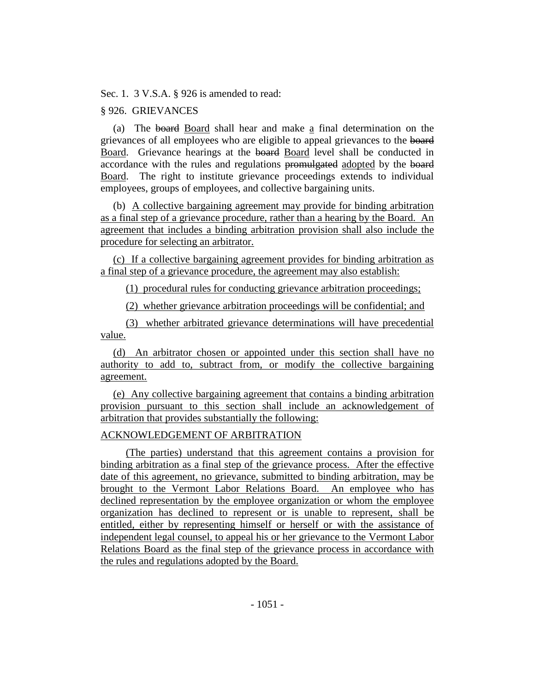Sec. 1. 3 V.S.A. § 926 is amended to read:

# § 926. GRIEVANCES

(a) The board Board shall hear and make a final determination on the grievances of all employees who are eligible to appeal grievances to the board Board. Grievance hearings at the board Board level shall be conducted in accordance with the rules and regulations promulgated adopted by the board Board. The right to institute grievance proceedings extends to individual employees, groups of employees, and collective bargaining units.

(b) A collective bargaining agreement may provide for binding arbitration as a final step of a grievance procedure, rather than a hearing by the Board. An agreement that includes a binding arbitration provision shall also include the procedure for selecting an arbitrator.

(c) If a collective bargaining agreement provides for binding arbitration as a final step of a grievance procedure, the agreement may also establish:

(1) procedural rules for conducting grievance arbitration proceedings;

(2) whether grievance arbitration proceedings will be confidential; and

(3) whether arbitrated grievance determinations will have precedential value.

(d) An arbitrator chosen or appointed under this section shall have no authority to add to, subtract from, or modify the collective bargaining agreement.

(e) Any collective bargaining agreement that contains a binding arbitration provision pursuant to this section shall include an acknowledgement of arbitration that provides substantially the following:

## ACKNOWLEDGEMENT OF ARBITRATION

(The parties) understand that this agreement contains a provision for binding arbitration as a final step of the grievance process. After the effective date of this agreement, no grievance, submitted to binding arbitration, may be brought to the Vermont Labor Relations Board. An employee who has declined representation by the employee organization or whom the employee organization has declined to represent or is unable to represent, shall be entitled, either by representing himself or herself or with the assistance of independent legal counsel, to appeal his or her grievance to the Vermont Labor Relations Board as the final step of the grievance process in accordance with the rules and regulations adopted by the Board.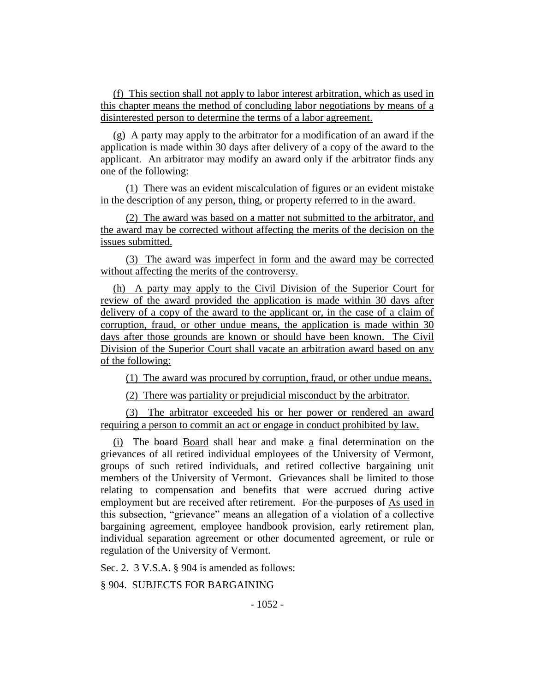(f) This section shall not apply to labor interest arbitration, which as used in this chapter means the method of concluding labor negotiations by means of a disinterested person to determine the terms of a labor agreement.

(g) A party may apply to the arbitrator for a modification of an award if the application is made within 30 days after delivery of a copy of the award to the applicant. An arbitrator may modify an award only if the arbitrator finds any one of the following:

(1) There was an evident miscalculation of figures or an evident mistake in the description of any person, thing, or property referred to in the award.

(2) The award was based on a matter not submitted to the arbitrator, and the award may be corrected without affecting the merits of the decision on the issues submitted.

(3) The award was imperfect in form and the award may be corrected without affecting the merits of the controversy.

(h) A party may apply to the Civil Division of the Superior Court for review of the award provided the application is made within 30 days after delivery of a copy of the award to the applicant or, in the case of a claim of corruption, fraud, or other undue means, the application is made within 30 days after those grounds are known or should have been known. The Civil Division of the Superior Court shall vacate an arbitration award based on any of the following:

(1) The award was procured by corruption, fraud, or other undue means.

(2) There was partiality or prejudicial misconduct by the arbitrator.

(3) The arbitrator exceeded his or her power or rendered an award requiring a person to commit an act or engage in conduct prohibited by law.

(i) The board Board shall hear and make a final determination on the grievances of all retired individual employees of the University of Vermont, groups of such retired individuals, and retired collective bargaining unit members of the University of Vermont. Grievances shall be limited to those relating to compensation and benefits that were accrued during active employment but are received after retirement. For the purposes of As used in this subsection, "grievance" means an allegation of a violation of a collective bargaining agreement, employee handbook provision, early retirement plan, individual separation agreement or other documented agreement, or rule or regulation of the University of Vermont.

Sec. 2. 3 V.S.A. § 904 is amended as follows:

§ 904. SUBJECTS FOR BARGAINING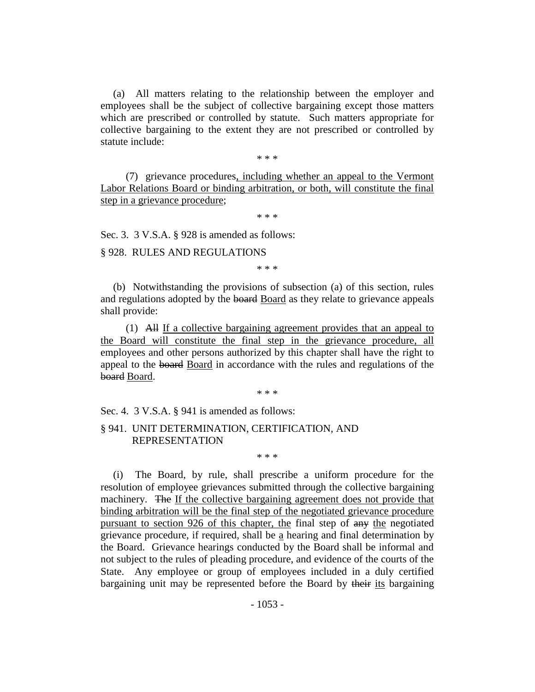(a) All matters relating to the relationship between the employer and employees shall be the subject of collective bargaining except those matters which are prescribed or controlled by statute. Such matters appropriate for collective bargaining to the extent they are not prescribed or controlled by statute include:

\* \* \*

(7) grievance procedures, including whether an appeal to the Vermont Labor Relations Board or binding arbitration, or both, will constitute the final step in a grievance procedure;

\* \* \*

Sec. 3. 3 V.S.A. § 928 is amended as follows:

§ 928. RULES AND REGULATIONS

\* \* \*

(b) Notwithstanding the provisions of subsection (a) of this section, rules and regulations adopted by the board Board as they relate to grievance appeals shall provide:

(1) All If a collective bargaining agreement provides that an appeal to the Board will constitute the final step in the grievance procedure, all employees and other persons authorized by this chapter shall have the right to appeal to the board Board in accordance with the rules and regulations of the board Board.

\* \* \*

\* \* \*

Sec. 4. 3 V.S.A. § 941 is amended as follows:

## § 941. UNIT DETERMINATION, CERTIFICATION, AND REPRESENTATION

(i) The Board, by rule, shall prescribe a uniform procedure for the resolution of employee grievances submitted through the collective bargaining machinery. The If the collective bargaining agreement does not provide that binding arbitration will be the final step of the negotiated grievance procedure pursuant to section 926 of this chapter, the final step of any the negotiated grievance procedure, if required, shall be a hearing and final determination by the Board. Grievance hearings conducted by the Board shall be informal and not subject to the rules of pleading procedure, and evidence of the courts of the State. Any employee or group of employees included in a duly certified bargaining unit may be represented before the Board by their its bargaining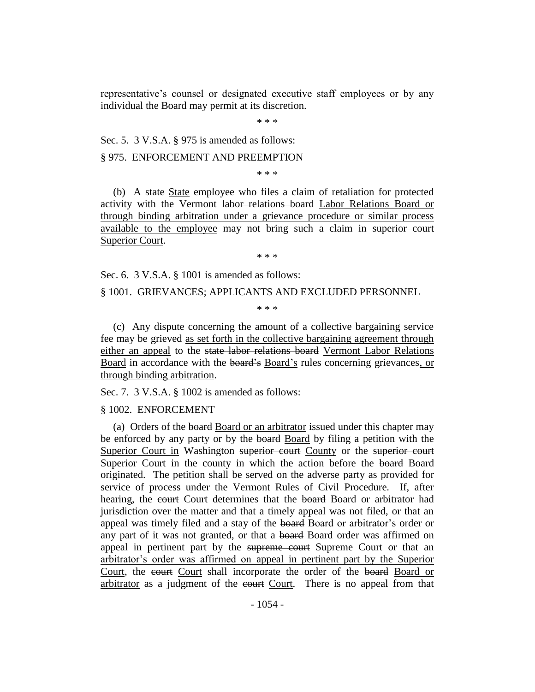representative's counsel or designated executive staff employees or by any individual the Board may permit at its discretion.

\* \* \*

Sec. 5. 3 V.S.A. § 975 is amended as follows:

§ 975. ENFORCEMENT AND PREEMPTION

\* \* \*

(b) A state State employee who files a claim of retaliation for protected activity with the Vermont labor relations board Labor Relations Board or through binding arbitration under a grievance procedure or similar process available to the employee may not bring such a claim in superior court Superior Court.

\* \* \*

Sec. 6. 3 V.S.A. § 1001 is amended as follows:

§ 1001. GRIEVANCES; APPLICANTS AND EXCLUDED PERSONNEL

\* \* \*

(c) Any dispute concerning the amount of a collective bargaining service fee may be grieved as set forth in the collective bargaining agreement through either an appeal to the state labor relations board Vermont Labor Relations Board in accordance with the board's Board's rules concerning grievances, or through binding arbitration.

Sec. 7. 3 V.S.A. § 1002 is amended as follows:

§ 1002. ENFORCEMENT

(a) Orders of the board Board or an arbitrator issued under this chapter may be enforced by any party or by the board Board by filing a petition with the Superior Court in Washington superior court County or the superior court Superior Court in the county in which the action before the board Board originated. The petition shall be served on the adverse party as provided for service of process under the Vermont Rules of Civil Procedure. If, after hearing, the court Court determines that the board Board or arbitrator had jurisdiction over the matter and that a timely appeal was not filed, or that an appeal was timely filed and a stay of the board Board or arbitrator's order or any part of it was not granted, or that a board Board order was affirmed on appeal in pertinent part by the supreme court Supreme Court or that an arbitrator's order was affirmed on appeal in pertinent part by the Superior Court, the court Court shall incorporate the order of the board Board or arbitrator as a judgment of the court. There is no appeal from that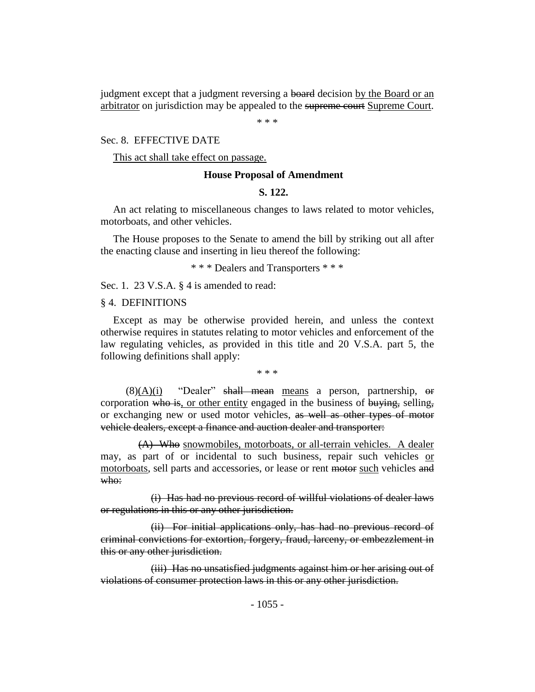judgment except that a judgment reversing a board decision by the Board or an arbitrator on jurisdiction may be appealed to the supreme court Supreme Court.

\* \* \*

## Sec. 8. EFFECTIVE DATE

This act shall take effect on passage.

## **House Proposal of Amendment**

## **S. 122.**

An act relating to miscellaneous changes to laws related to motor vehicles, motorboats, and other vehicles.

The House proposes to the Senate to amend the bill by striking out all after the enacting clause and inserting in lieu thereof the following:

\* \* \* Dealers and Transporters \* \* \*

Sec. 1. 23 V.S.A. § 4 is amended to read:

## § 4. DEFINITIONS

Except as may be otherwise provided herein, and unless the context otherwise requires in statutes relating to motor vehicles and enforcement of the law regulating vehicles, as provided in this title and 20 V.S.A. part 5, the following definitions shall apply:

\* \* \*

 $(8)(A)(i)$  "Dealer" shall mean means a person, partnership, or corporation who is, or other entity engaged in the business of buying, selling, or exchanging new or used motor vehicles, as well as other types of motor vehicle dealers, except a finance and auction dealer and transporter:

(A) Who snowmobiles, motorboats, or all-terrain vehicles. A dealer may, as part of or incidental to such business, repair such vehicles or motorboats, sell parts and accessories, or lease or rent motor such vehicles and who:

(i) Has had no previous record of willful violations of dealer laws or regulations in this or any other jurisdiction.

(ii) For initial applications only, has had no previous record of criminal convictions for extortion, forgery, fraud, larceny, or embezzlement in this or any other jurisdiction.

(iii) Has no unsatisfied judgments against him or her arising out of violations of consumer protection laws in this or any other jurisdiction.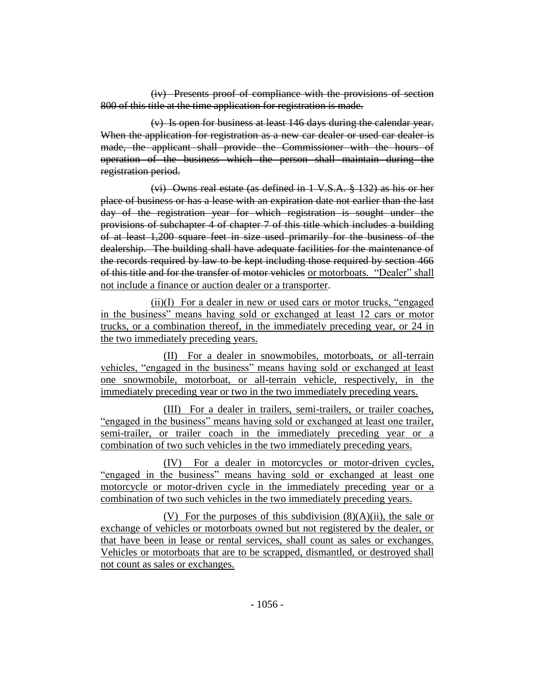(iv) Presents proof of compliance with the provisions of section 800 of this title at the time application for registration is made.

(v) Is open for business at least 146 days during the calendar year. When the application for registration as a new car dealer or used car dealer is made, the applicant shall provide the Commissioner with the hours of operation of the business which the person shall maintain during the registration period.

(vi) Owns real estate (as defined in 1 V.S.A. § 132) as his or her place of business or has a lease with an expiration date not earlier than the last day of the registration year for which registration is sought under the provisions of subchapter 4 of chapter 7 of this title which includes a building of at least 1,200 square feet in size used primarily for the business of the dealership. The building shall have adequate facilities for the maintenance of the records required by law to be kept including those required by section 466 of this title and for the transfer of motor vehicles or motorboats. "Dealer" shall not include a finance or auction dealer or a transporter.

(ii)(I) For a dealer in new or used cars or motor trucks, "engaged in the business" means having sold or exchanged at least 12 cars or motor trucks, or a combination thereof, in the immediately preceding year, or 24 in the two immediately preceding years.

(II) For a dealer in snowmobiles, motorboats, or all-terrain vehicles, "engaged in the business" means having sold or exchanged at least one snowmobile, motorboat, or all-terrain vehicle, respectively, in the immediately preceding year or two in the two immediately preceding years.

(III) For a dealer in trailers, semi-trailers, or trailer coaches, "engaged in the business" means having sold or exchanged at least one trailer, semi-trailer, or trailer coach in the immediately preceding year or a combination of two such vehicles in the two immediately preceding years.

(IV) For a dealer in motorcycles or motor-driven cycles, "engaged in the business" means having sold or exchanged at least one motorcycle or motor-driven cycle in the immediately preceding year or a combination of two such vehicles in the two immediately preceding years.

(V) For the purposes of this subdivision  $(8)(A)(ii)$ , the sale or exchange of vehicles or motorboats owned but not registered by the dealer, or that have been in lease or rental services, shall count as sales or exchanges. Vehicles or motorboats that are to be scrapped, dismantled, or destroyed shall not count as sales or exchanges.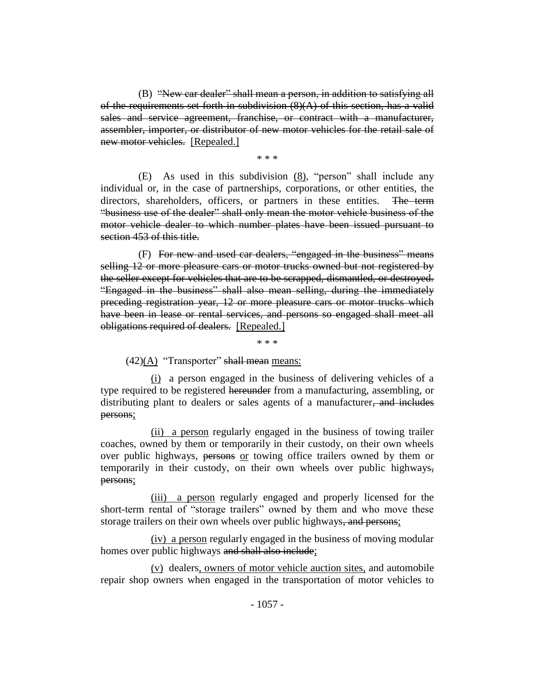(B) "New car dealer" shall mean a person, in addition to satisfying all of the requirements set forth in subdivision  $(8)(A)$  of this section, has a valid sales and service agreement, franchise, or contract with a manufacturer, assembler, importer, or distributor of new motor vehicles for the retail sale of new motor vehicles. [Repealed.]

\* \* \*

(E) As used in this subdivision (8), "person" shall include any individual or, in the case of partnerships, corporations, or other entities, the directors, shareholders, officers, or partners in these entities. The term "business use of the dealer" shall only mean the motor vehicle business of the motor vehicle dealer to which number plates have been issued pursuant to section 453 of this title.

(F) For new and used car dealers, "engaged in the business" means selling 12 or more pleasure cars or motor trucks owned but not registered by the seller except for vehicles that are to be scrapped, dismantled, or destroyed. "Engaged in the business" shall also mean selling, during the immediately preceding registration year, 12 or more pleasure cars or motor trucks which have been in lease or rental services, and persons so engaged shall meet all obligations required of dealers. [Repealed.]

 $(42)(A)$  "Transporter" shall mean means:

(i) a person engaged in the business of delivering vehicles of a type required to be registered hereunder from a manufacturing, assembling, or distributing plant to dealers or sales agents of a manufacturer, and includes persons;

\* \* \*

(ii) a person regularly engaged in the business of towing trailer coaches, owned by them or temporarily in their custody, on their own wheels over public highways, persons or towing office trailers owned by them or temporarily in their custody, on their own wheels over public highways, persons;

(iii) a person regularly engaged and properly licensed for the short-term rental of "storage trailers" owned by them and who move these storage trailers on their own wheels over public highways, and persons;

(iv) a person regularly engaged in the business of moving modular homes over public highways and shall also include;

(v) dealers, owners of motor vehicle auction sites, and automobile repair shop owners when engaged in the transportation of motor vehicles to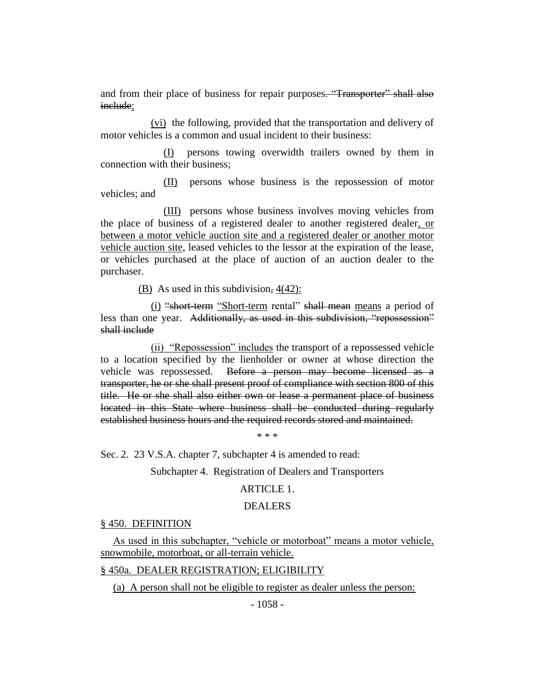and from their place of business for repair purposes. "Transporter" shall also include;

(vi) the following, provided that the transportation and delivery of motor vehicles is a common and usual incident to their business:

(I) persons towing overwidth trailers owned by them in connection with their business;

(II) persons whose business is the repossession of motor vehicles; and

(III) persons whose business involves moving vehicles from the place of business of a registered dealer to another registered dealer, or between a motor vehicle auction site and a registered dealer or another motor vehicle auction site, leased vehicles to the lessor at the expiration of the lease, or vehicles purchased at the place of auction of an auction dealer to the purchaser.

(B) As used in this subdivision,  $4(42)$ :

(i) "short-term "Short-term rental" shall mean means a period of less than one year. Additionally, as used in this subdivision, "repossession" shall include

(ii) "Repossession" includes the transport of a repossessed vehicle to a location specified by the lienholder or owner at whose direction the vehicle was repossessed. Before a person may become licensed as a transporter, he or she shall present proof of compliance with section 800 of this title. He or she shall also either own or lease a permanent place of business located in this State where business shall be conducted during regularly established business hours and the required records stored and maintained.

\* \* \*

Sec. 2. 23 V.S.A. chapter 7, subchapter 4 is amended to read:

Subchapter 4. Registration of Dealers and Transporters

#### ARTICLE 1.

## DEALERS

#### § 450. DEFINITION

As used in this subchapter, "vehicle or motorboat" means a motor vehicle, snowmobile, motorboat, or all-terrain vehicle.

## § 450a. DEALER REGISTRATION; ELIGIBILITY

(a) A person shall not be eligible to register as dealer unless the person: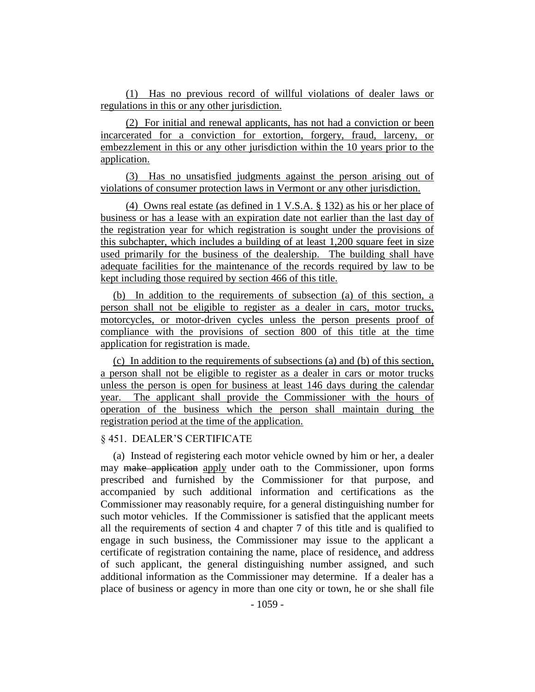(1) Has no previous record of willful violations of dealer laws or regulations in this or any other jurisdiction.

(2) For initial and renewal applicants, has not had a conviction or been incarcerated for a conviction for extortion, forgery, fraud, larceny, or embezzlement in this or any other jurisdiction within the 10 years prior to the application.

(3) Has no unsatisfied judgments against the person arising out of violations of consumer protection laws in Vermont or any other jurisdiction.

(4) Owns real estate (as defined in 1 V.S.A. § 132) as his or her place of business or has a lease with an expiration date not earlier than the last day of the registration year for which registration is sought under the provisions of this subchapter, which includes a building of at least 1,200 square feet in size used primarily for the business of the dealership. The building shall have adequate facilities for the maintenance of the records required by law to be kept including those required by section 466 of this title.

(b) In addition to the requirements of subsection (a) of this section, a person shall not be eligible to register as a dealer in cars, motor trucks, motorcycles, or motor-driven cycles unless the person presents proof of compliance with the provisions of section 800 of this title at the time application for registration is made.

(c) In addition to the requirements of subsections (a) and (b) of this section, a person shall not be eligible to register as a dealer in cars or motor trucks unless the person is open for business at least 146 days during the calendar year. The applicant shall provide the Commissioner with the hours of operation of the business which the person shall maintain during the registration period at the time of the application.

## § 451. DEALER'S CERTIFICATE

(a) Instead of registering each motor vehicle owned by him or her, a dealer may make application apply under oath to the Commissioner, upon forms prescribed and furnished by the Commissioner for that purpose, and accompanied by such additional information and certifications as the Commissioner may reasonably require, for a general distinguishing number for such motor vehicles. If the Commissioner is satisfied that the applicant meets all the requirements of section 4 and chapter 7 of this title and is qualified to engage in such business, the Commissioner may issue to the applicant a certificate of registration containing the name, place of residence, and address of such applicant, the general distinguishing number assigned, and such additional information as the Commissioner may determine. If a dealer has a place of business or agency in more than one city or town, he or she shall file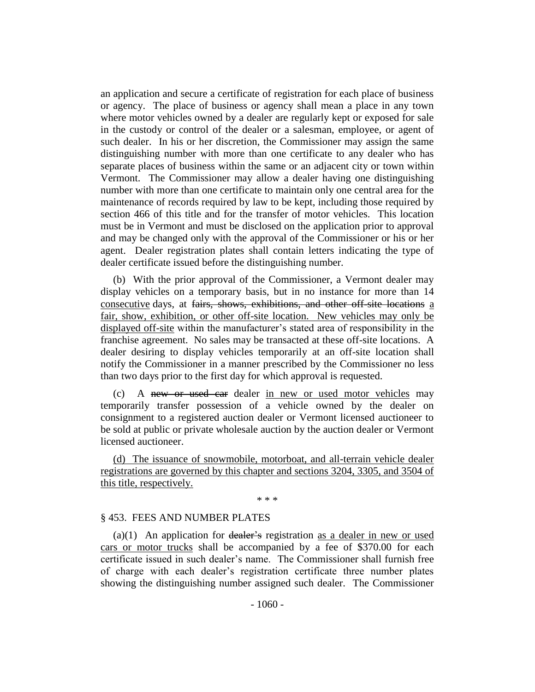an application and secure a certificate of registration for each place of business or agency. The place of business or agency shall mean a place in any town where motor vehicles owned by a dealer are regularly kept or exposed for sale in the custody or control of the dealer or a salesman, employee, or agent of such dealer. In his or her discretion, the Commissioner may assign the same distinguishing number with more than one certificate to any dealer who has separate places of business within the same or an adjacent city or town within Vermont. The Commissioner may allow a dealer having one distinguishing number with more than one certificate to maintain only one central area for the maintenance of records required by law to be kept, including those required by section 466 of this title and for the transfer of motor vehicles. This location must be in Vermont and must be disclosed on the application prior to approval and may be changed only with the approval of the Commissioner or his or her agent. Dealer registration plates shall contain letters indicating the type of dealer certificate issued before the distinguishing number.

(b) With the prior approval of the Commissioner, a Vermont dealer may display vehicles on a temporary basis, but in no instance for more than 14 consecutive days, at fairs, shows, exhibitions, and other off-site locations a fair, show, exhibition, or other off-site location. New vehicles may only be displayed off-site within the manufacturer's stated area of responsibility in the franchise agreement. No sales may be transacted at these off-site locations. A dealer desiring to display vehicles temporarily at an off-site location shall notify the Commissioner in a manner prescribed by the Commissioner no less than two days prior to the first day for which approval is requested.

(c) A new or used car dealer in new or used motor vehicles may temporarily transfer possession of a vehicle owned by the dealer on consignment to a registered auction dealer or Vermont licensed auctioneer to be sold at public or private wholesale auction by the auction dealer or Vermont licensed auctioneer.

(d) The issuance of snowmobile, motorboat, and all-terrain vehicle dealer registrations are governed by this chapter and sections 3204, 3305, and 3504 of this title, respectively.

\* \* \*

#### § 453. FEES AND NUMBER PLATES

 $(a)(1)$  An application for dealer's registration as a dealer in new or used cars or motor trucks shall be accompanied by a fee of \$370.00 for each certificate issued in such dealer's name. The Commissioner shall furnish free of charge with each dealer's registration certificate three number plates showing the distinguishing number assigned such dealer. The Commissioner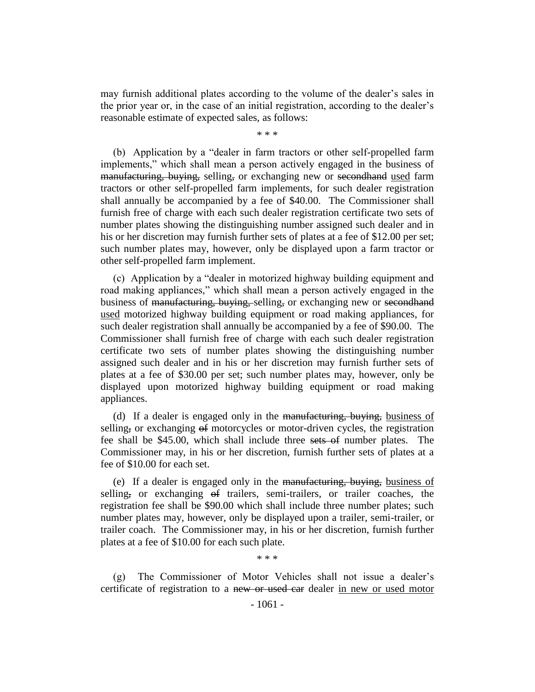may furnish additional plates according to the volume of the dealer's sales in the prior year or, in the case of an initial registration, according to the dealer's reasonable estimate of expected sales, as follows:

\* \* \*

(b) Application by a "dealer in farm tractors or other self-propelled farm implements," which shall mean a person actively engaged in the business of manufacturing, buying, selling, or exchanging new or second hand used farm tractors or other self-propelled farm implements, for such dealer registration shall annually be accompanied by a fee of \$40.00. The Commissioner shall furnish free of charge with each such dealer registration certificate two sets of number plates showing the distinguishing number assigned such dealer and in his or her discretion may furnish further sets of plates at a fee of \$12.00 per set; such number plates may, however, only be displayed upon a farm tractor or other self-propelled farm implement.

(c) Application by a "dealer in motorized highway building equipment and road making appliances," which shall mean a person actively engaged in the business of manufacturing, buying, selling, or exchanging new or secondhand used motorized highway building equipment or road making appliances, for such dealer registration shall annually be accompanied by a fee of \$90.00. The Commissioner shall furnish free of charge with each such dealer registration certificate two sets of number plates showing the distinguishing number assigned such dealer and in his or her discretion may furnish further sets of plates at a fee of \$30.00 per set; such number plates may, however, only be displayed upon motorized highway building equipment or road making appliances.

(d) If a dealer is engaged only in the manufacturing, buying, business of selling, or exchanging  $\theta$  motorcycles or motor-driven cycles, the registration fee shall be \$45.00, which shall include three sets of number plates. The Commissioner may, in his or her discretion, furnish further sets of plates at a fee of \$10.00 for each set.

(e) If a dealer is engaged only in the manufacturing, buying, business of selling, or exchanging  $\theta$  trailers, semi-trailers, or trailer coaches, the registration fee shall be \$90.00 which shall include three number plates; such number plates may, however, only be displayed upon a trailer, semi-trailer, or trailer coach. The Commissioner may, in his or her discretion, furnish further plates at a fee of \$10.00 for each such plate.

\* \* \*

(g) The Commissioner of Motor Vehicles shall not issue a dealer's certificate of registration to a new or used car dealer in new or used motor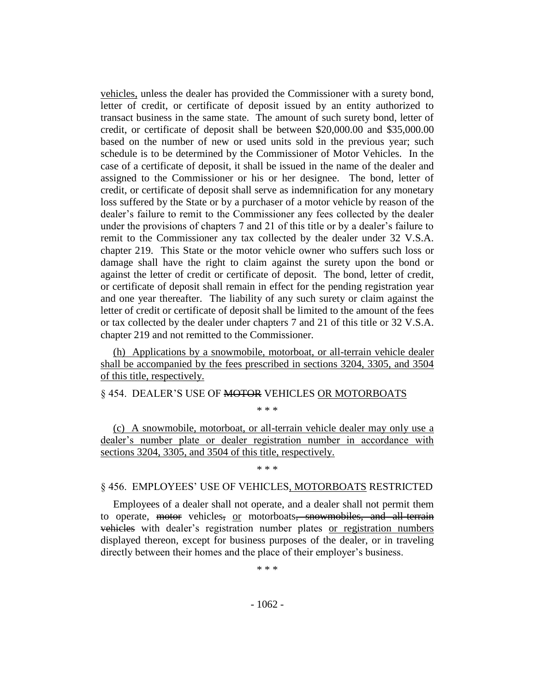vehicles, unless the dealer has provided the Commissioner with a surety bond, letter of credit, or certificate of deposit issued by an entity authorized to transact business in the same state. The amount of such surety bond, letter of credit, or certificate of deposit shall be between \$20,000.00 and \$35,000.00 based on the number of new or used units sold in the previous year; such schedule is to be determined by the Commissioner of Motor Vehicles. In the case of a certificate of deposit, it shall be issued in the name of the dealer and assigned to the Commissioner or his or her designee. The bond, letter of credit, or certificate of deposit shall serve as indemnification for any monetary loss suffered by the State or by a purchaser of a motor vehicle by reason of the dealer's failure to remit to the Commissioner any fees collected by the dealer under the provisions of chapters 7 and 21 of this title or by a dealer's failure to remit to the Commissioner any tax collected by the dealer under 32 V.S.A. chapter 219. This State or the motor vehicle owner who suffers such loss or damage shall have the right to claim against the surety upon the bond or against the letter of credit or certificate of deposit. The bond, letter of credit, or certificate of deposit shall remain in effect for the pending registration year and one year thereafter. The liability of any such surety or claim against the letter of credit or certificate of deposit shall be limited to the amount of the fees or tax collected by the dealer under chapters 7 and 21 of this title or 32 V.S.A. chapter 219 and not remitted to the Commissioner.

(h) Applications by a snowmobile, motorboat, or all-terrain vehicle dealer shall be accompanied by the fees prescribed in sections 3204, 3305, and 3504 of this title, respectively.

§ 454. DEALER'S USE OF MOTOR VEHICLES OR MOTORBOATS

\* \* \*

(c) A snowmobile, motorboat, or all-terrain vehicle dealer may only use a dealer's number plate or dealer registration number in accordance with sections 3204, 3305, and 3504 of this title, respectively.

\* \* \*

## § 456. EMPLOYEES' USE OF VEHICLES, MOTORBOATS RESTRICTED

Employees of a dealer shall not operate, and a dealer shall not permit them to operate, motor vehicles, or motorboats, snowmobiles, and all-terrain vehicles with dealer's registration number plates or registration numbers displayed thereon, except for business purposes of the dealer, or in traveling directly between their homes and the place of their employer's business.

\* \* \*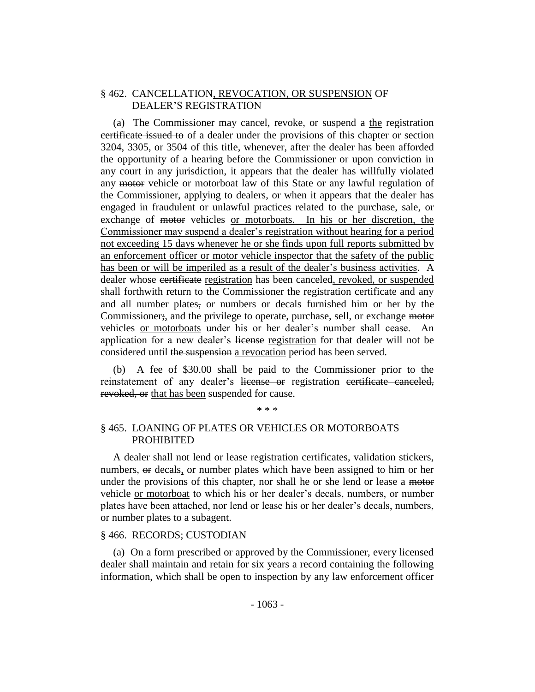# § 462. CANCELLATION, REVOCATION, OR SUSPENSION OF DEALER'S REGISTRATION

(a) The Commissioner may cancel, revoke, or suspend a the registration certificate issued to of a dealer under the provisions of this chapter or section 3204, 3305, or 3504 of this title, whenever, after the dealer has been afforded the opportunity of a hearing before the Commissioner or upon conviction in any court in any jurisdiction, it appears that the dealer has willfully violated any motor vehicle or motorboat law of this State or any lawful regulation of the Commissioner, applying to dealers, or when it appears that the dealer has engaged in fraudulent or unlawful practices related to the purchase, sale, or exchange of <del>motor</del> vehicles <u>or motorboats</u>. In his or her discretion, the Commissioner may suspend a dealer's registration without hearing for a period not exceeding 15 days whenever he or she finds upon full reports submitted by an enforcement officer or motor vehicle inspector that the safety of the public has been or will be imperiled as a result of the dealer's business activities. A dealer whose certificate registration has been canceled, revoked, or suspended shall forthwith return to the Commissioner the registration certificate and any and all number plates, or numbers or decals furnished him or her by the Commissioner;, and the privilege to operate, purchase, sell, or exchange motor vehicles or motorboats under his or her dealer's number shall cease. An application for a new dealer's license registration for that dealer will not be considered until the suspension a revocation period has been served.

(b) A fee of \$30.00 shall be paid to the Commissioner prior to the reinstatement of any dealer's license or registration certificate canceled, revoked, or that has been suspended for cause.

#### \* \* \*

# § 465. LOANING OF PLATES OR VEHICLES OR MOTORBOATS PROHIBITED

A dealer shall not lend or lease registration certificates, validation stickers, numbers, or decals, or number plates which have been assigned to him or her under the provisions of this chapter, nor shall he or she lend or lease a motor vehicle or motorboat to which his or her dealer's decals, numbers, or number plates have been attached, nor lend or lease his or her dealer's decals, numbers, or number plates to a subagent.

## § 466. RECORDS; CUSTODIAN

(a) On a form prescribed or approved by the Commissioner, every licensed dealer shall maintain and retain for six years a record containing the following information, which shall be open to inspection by any law enforcement officer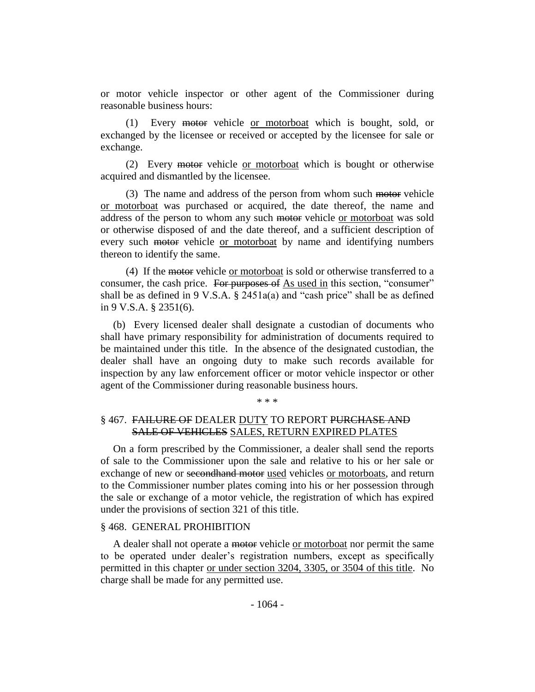or motor vehicle inspector or other agent of the Commissioner during reasonable business hours:

(1) Every motor vehicle or motorboat which is bought, sold, or exchanged by the licensee or received or accepted by the licensee for sale or exchange.

(2) Every motor vehicle or motorboat which is bought or otherwise acquired and dismantled by the licensee.

(3) The name and address of the person from whom such motor vehicle or motorboat was purchased or acquired, the date thereof, the name and address of the person to whom any such motor vehicle or motorboat was sold or otherwise disposed of and the date thereof, and a sufficient description of every such motor vehicle or motorboat by name and identifying numbers thereon to identify the same.

(4) If the motor vehicle or motorboat is sold or otherwise transferred to a consumer, the cash price. For purposes of As used in this section, "consumer" shall be as defined in 9 V.S.A.  $\S$  2451a(a) and "cash price" shall be as defined in 9 V.S.A. § 2351(6).

(b) Every licensed dealer shall designate a custodian of documents who shall have primary responsibility for administration of documents required to be maintained under this title. In the absence of the designated custodian, the dealer shall have an ongoing duty to make such records available for inspection by any law enforcement officer or motor vehicle inspector or other agent of the Commissioner during reasonable business hours.

\* \* \*

# § 467. FAILURE OF DEALER DUTY TO REPORT PURCHASE AND SALE OF VEHICLES SALES, RETURN EXPIRED PLATES

On a form prescribed by the Commissioner, a dealer shall send the reports of sale to the Commissioner upon the sale and relative to his or her sale or exchange of new or <del>secondhand motor</del> used vehicles or motorboats, and return to the Commissioner number plates coming into his or her possession through the sale or exchange of a motor vehicle, the registration of which has expired under the provisions of section 321 of this title.

## § 468. GENERAL PROHIBITION

A dealer shall not operate a motor vehicle or motorboat nor permit the same to be operated under dealer's registration numbers, except as specifically permitted in this chapter or under section 3204, 3305, or 3504 of this title. No charge shall be made for any permitted use.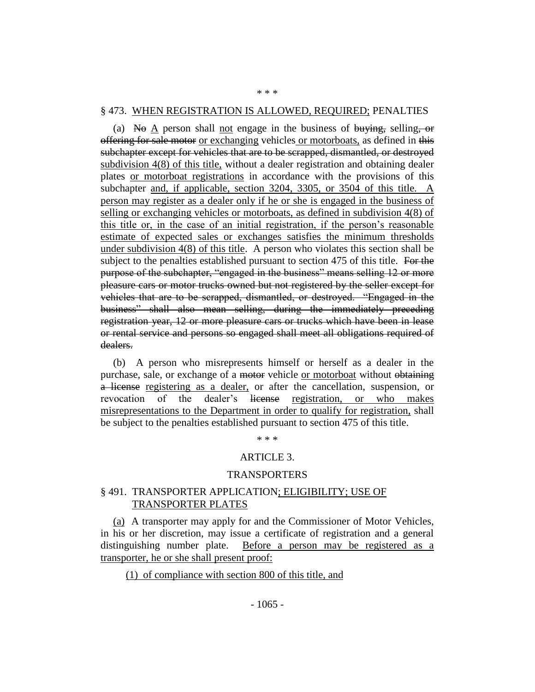#### § 473. WHEN REGISTRATION IS ALLOWED, REQUIRED; PENALTIES

\* \* \*

(a) No  $\underline{A}$  person shall <u>not</u> engage in the business of buying, selling, or offering for sale motor or exchanging vehicles or motorboats, as defined in this subchapter except for vehicles that are to be scrapped, dismantled, or destroyed subdivision 4(8) of this title, without a dealer registration and obtaining dealer plates or motorboat registrations in accordance with the provisions of this subchapter and, if applicable, section 3204, 3305, or 3504 of this title. A person may register as a dealer only if he or she is engaged in the business of selling or exchanging vehicles or motorboats, as defined in subdivision 4(8) of this title or, in the case of an initial registration, if the person's reasonable estimate of expected sales or exchanges satisfies the minimum thresholds under subdivision  $4(8)$  of this title. A person who violates this section shall be subject to the penalties established pursuant to section 475 of this title. For the purpose of the subchapter, "engaged in the business" means selling 12 or more pleasure cars or motor trucks owned but not registered by the seller except for vehicles that are to be scrapped, dismantled, or destroyed. "Engaged in the business" shall also mean selling, during the immediately preceding registration year, 12 or more pleasure cars or trucks which have been in lease or rental service and persons so engaged shall meet all obligations required of dealers.

(b) A person who misrepresents himself or herself as a dealer in the purchase, sale, or exchange of a motor vehicle or motorboat without obtaining a license registering as a dealer, or after the cancellation, suspension, or revocation of the dealer's license registration, or who makes misrepresentations to the Department in order to qualify for registration, shall be subject to the penalties established pursuant to section 475 of this title.

\* \* \*

## ARTICLE 3.

#### TRANSPORTERS

## § 491. TRANSPORTER APPLICATION; ELIGIBILITY; USE OF TRANSPORTER PLATES

(a) A transporter may apply for and the Commissioner of Motor Vehicles, in his or her discretion, may issue a certificate of registration and a general distinguishing number plate. Before a person may be registered as a transporter, he or she shall present proof:

(1) of compliance with section 800 of this title, and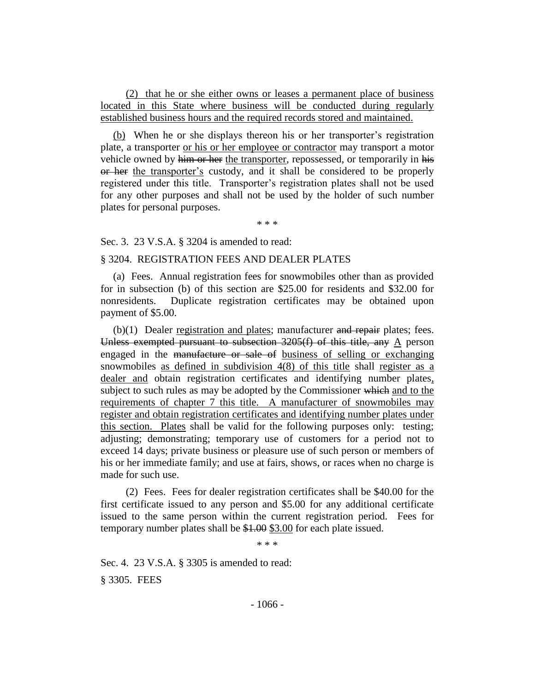(2) that he or she either owns or leases a permanent place of business located in this State where business will be conducted during regularly established business hours and the required records stored and maintained.

(b) When he or she displays thereon his or her transporter's registration plate, a transporter or his or her employee or contractor may transport a motor vehicle owned by him or her the transporter, repossessed, or temporarily in his or her the transporter's custody, and it shall be considered to be properly registered under this title. Transporter's registration plates shall not be used for any other purposes and shall not be used by the holder of such number plates for personal purposes.

\* \* \*

Sec. 3. 23 V.S.A. § 3204 is amended to read:

## § 3204. REGISTRATION FEES AND DEALER PLATES

(a) Fees. Annual registration fees for snowmobiles other than as provided for in subsection (b) of this section are \$25.00 for residents and \$32.00 for nonresidents. Duplicate registration certificates may be obtained upon payment of \$5.00.

 $(b)(1)$  Dealer registration and plates; manufacturer and repair plates; fees. Unless exempted pursuant to subsection 3205(f) of this title, any A person engaged in the manufacture or sale of business of selling or exchanging snowmobiles as defined in subdivision 4(8) of this title shall register as a dealer and obtain registration certificates and identifying number plates, subject to such rules as may be adopted by the Commissioner which and to the requirements of chapter 7 this title. A manufacturer of snowmobiles may register and obtain registration certificates and identifying number plates under this section. Plates shall be valid for the following purposes only: testing; adjusting; demonstrating; temporary use of customers for a period not to exceed 14 days; private business or pleasure use of such person or members of his or her immediate family; and use at fairs, shows, or races when no charge is made for such use.

(2) Fees. Fees for dealer registration certificates shall be \$40.00 for the first certificate issued to any person and \$5.00 for any additional certificate issued to the same person within the current registration period. Fees for temporary number plates shall be \$1.00 \$3.00 for each plate issued.

\* \* \*

Sec. 4. 23 V.S.A. § 3305 is amended to read:

§ 3305. FEES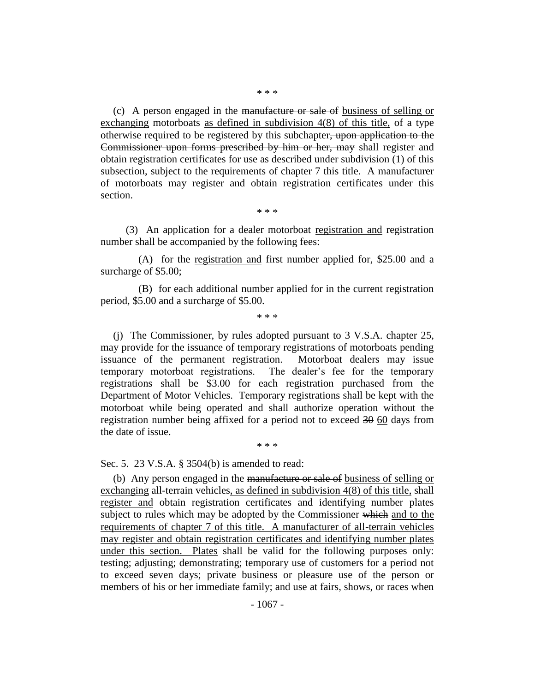(c) A person engaged in the manufacture or sale of business of selling or exchanging motorboats as defined in subdivision 4(8) of this title, of a type otherwise required to be registered by this subchapter, upon application to the Commissioner upon forms prescribed by him or her, may shall register and obtain registration certificates for use as described under subdivision (1) of this subsection, subject to the requirements of chapter 7 this title. A manufacturer of motorboats may register and obtain registration certificates under this section.

\* \* \*

(3) An application for a dealer motorboat registration and registration number shall be accompanied by the following fees:

(A) for the registration and first number applied for, \$25.00 and a surcharge of \$5.00;

(B) for each additional number applied for in the current registration period, \$5.00 and a surcharge of \$5.00.

\* \* \*

(j) The Commissioner, by rules adopted pursuant to 3 V.S.A. chapter 25, may provide for the issuance of temporary registrations of motorboats pending issuance of the permanent registration. Motorboat dealers may issue temporary motorboat registrations. The dealer's fee for the temporary registrations shall be \$3.00 for each registration purchased from the Department of Motor Vehicles. Temporary registrations shall be kept with the motorboat while being operated and shall authorize operation without the registration number being affixed for a period not to exceed 30 60 days from the date of issue.

\* \* \*

Sec. 5. 23 V.S.A. § 3504(b) is amended to read:

(b) Any person engaged in the manufacture or sale of business of selling or exchanging all-terrain vehicles, as defined in subdivision 4(8) of this title, shall register and obtain registration certificates and identifying number plates subject to rules which may be adopted by the Commissioner which and to the requirements of chapter 7 of this title. A manufacturer of all-terrain vehicles may register and obtain registration certificates and identifying number plates under this section. Plates shall be valid for the following purposes only: testing; adjusting; demonstrating; temporary use of customers for a period not to exceed seven days; private business or pleasure use of the person or members of his or her immediate family; and use at fairs, shows, or races when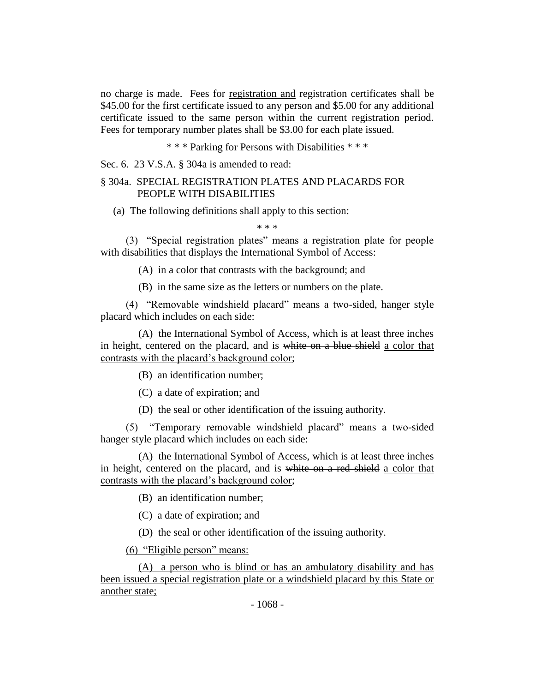no charge is made. Fees for registration and registration certificates shall be \$45.00 for the first certificate issued to any person and \$5.00 for any additional certificate issued to the same person within the current registration period. Fees for temporary number plates shall be \$3.00 for each plate issued.

\* \* \* Parking for Persons with Disabilities \* \* \*

Sec. 6. 23 V.S.A. § 304a is amended to read:

# § 304a. SPECIAL REGISTRATION PLATES AND PLACARDS FOR PEOPLE WITH DISABILITIES

(a) The following definitions shall apply to this section:

\* \* \*

(3) "Special registration plates" means a registration plate for people with disabilities that displays the International Symbol of Access:

(A) in a color that contrasts with the background; and

(B) in the same size as the letters or numbers on the plate.

(4) "Removable windshield placard" means a two-sided, hanger style placard which includes on each side:

(A) the International Symbol of Access, which is at least three inches in height, centered on the placard, and is white on a blue shield a color that contrasts with the placard's background color;

(B) an identification number;

(C) a date of expiration; and

(D) the seal or other identification of the issuing authority.

(5) "Temporary removable windshield placard" means a two-sided hanger style placard which includes on each side:

(A) the International Symbol of Access, which is at least three inches in height, centered on the placard, and is white on a red shield a color that contrasts with the placard's background color;

(B) an identification number;

(C) a date of expiration; and

(D) the seal or other identification of the issuing authority.

(6) "Eligible person" means:

(A) a person who is blind or has an ambulatory disability and has been issued a special registration plate or a windshield placard by this State or another state;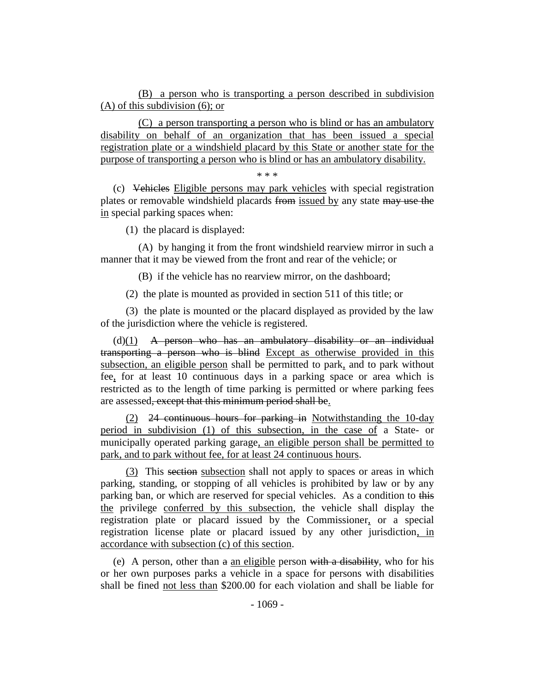(B) a person who is transporting a person described in subdivision (A) of this subdivision (6); or

(C) a person transporting a person who is blind or has an ambulatory disability on behalf of an organization that has been issued a special registration plate or a windshield placard by this State or another state for the purpose of transporting a person who is blind or has an ambulatory disability.

\* \* \*

(c) Vehicles Eligible persons may park vehicles with special registration plates or removable windshield placards from issued by any state may use the in special parking spaces when:

(1) the placard is displayed:

(A) by hanging it from the front windshield rearview mirror in such a manner that it may be viewed from the front and rear of the vehicle; or

(B) if the vehicle has no rearview mirror, on the dashboard;

(2) the plate is mounted as provided in section 511 of this title; or

(3) the plate is mounted or the placard displayed as provided by the law of the jurisdiction where the vehicle is registered.

 $(d)(1)$  A person who has an ambulatory disability or an individual transporting a person who is blind Except as otherwise provided in this subsection, an eligible person shall be permitted to park, and to park without fee, for at least 10 continuous days in a parking space or area which is restricted as to the length of time parking is permitted or where parking fees are assessed, except that this minimum period shall be.

(2) 24 continuous hours for parking in Notwithstanding the 10-day period in subdivision (1) of this subsection, in the case of a State- or municipally operated parking garage, an eligible person shall be permitted to park, and to park without fee, for at least 24 continuous hours.

(3) This section subsection shall not apply to spaces or areas in which parking, standing, or stopping of all vehicles is prohibited by law or by any parking ban, or which are reserved for special vehicles. As a condition to this the privilege conferred by this subsection, the vehicle shall display the registration plate or placard issued by the Commissioner, or a special registration license plate or placard issued by any other jurisdiction, in accordance with subsection (c) of this section.

(e) A person, other than  $a$  an eligible person with a disability, who for his or her own purposes parks a vehicle in a space for persons with disabilities shall be fined not less than \$200.00 for each violation and shall be liable for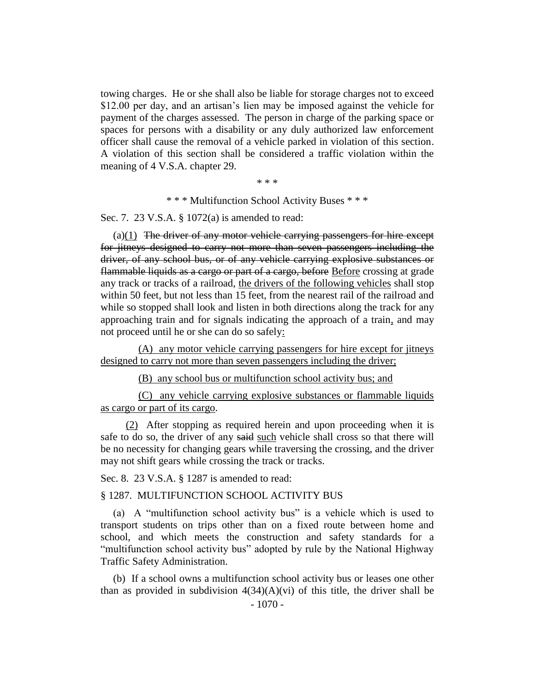towing charges. He or she shall also be liable for storage charges not to exceed \$12.00 per day, and an artisan's lien may be imposed against the vehicle for payment of the charges assessed. The person in charge of the parking space or spaces for persons with a disability or any duly authorized law enforcement officer shall cause the removal of a vehicle parked in violation of this section. A violation of this section shall be considered a traffic violation within the meaning of 4 V.S.A. chapter 29.

\* \* \*

\* \* \* Multifunction School Activity Buses \* \* \*

Sec. 7. 23 V.S.A. § 1072(a) is amended to read:

 $(a)(1)$  The driver of any motor vehicle carrying passengers for hire except for jitneys designed to carry not more than seven passengers including the driver, of any school bus, or of any vehicle carrying explosive substances or flammable liquids as a cargo or part of a cargo, before Before crossing at grade any track or tracks of a railroad, the drivers of the following vehicles shall stop within 50 feet, but not less than 15 feet, from the nearest rail of the railroad and while so stopped shall look and listen in both directions along the track for any approaching train and for signals indicating the approach of a train, and may not proceed until he or she can do so safely:

(A) any motor vehicle carrying passengers for hire except for jitneys designed to carry not more than seven passengers including the driver;

(B) any school bus or multifunction school activity bus; and

(C) any vehicle carrying explosive substances or flammable liquids as cargo or part of its cargo.

(2) After stopping as required herein and upon proceeding when it is safe to do so, the driver of any said such vehicle shall cross so that there will be no necessity for changing gears while traversing the crossing, and the driver may not shift gears while crossing the track or tracks.

Sec. 8. 23 V.S.A. § 1287 is amended to read:

§ 1287. MULTIFUNCTION SCHOOL ACTIVITY BUS

(a) A "multifunction school activity bus" is a vehicle which is used to transport students on trips other than on a fixed route between home and school, and which meets the construction and safety standards for a "multifunction school activity bus" adopted by rule by the National Highway Traffic Safety Administration.

(b) If a school owns a multifunction school activity bus or leases one other than as provided in subdivision  $4(34)(A)(vi)$  of this title, the driver shall be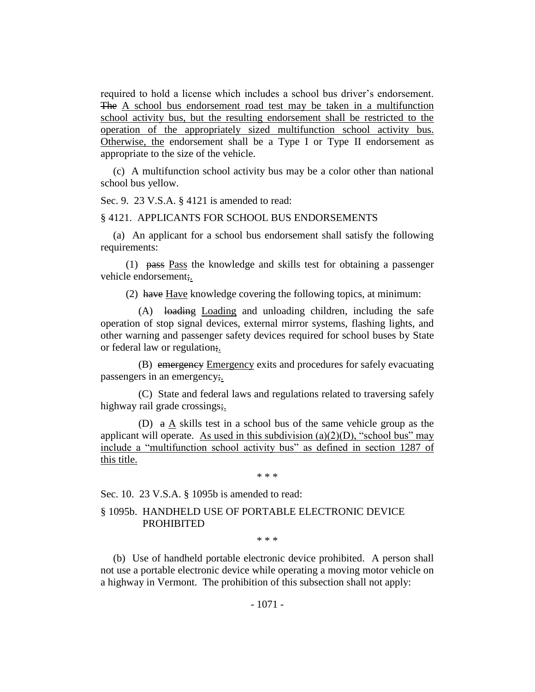required to hold a license which includes a school bus driver's endorsement. The A school bus endorsement road test may be taken in a multifunction school activity bus, but the resulting endorsement shall be restricted to the operation of the appropriately sized multifunction school activity bus. Otherwise, the endorsement shall be a Type I or Type II endorsement as appropriate to the size of the vehicle.

(c) A multifunction school activity bus may be a color other than national school bus yellow.

Sec. 9. 23 V.S.A. § 4121 is amended to read:

#### § 4121. APPLICANTS FOR SCHOOL BUS ENDORSEMENTS

(a) An applicant for a school bus endorsement shall satisfy the following requirements:

(1) pass Pass the knowledge and skills test for obtaining a passenger vehicle endorsement;.

(2) have Have knowledge covering the following topics, at minimum:

(A) loading Loading and unloading children, including the safe operation of stop signal devices, external mirror systems, flashing lights, and other warning and passenger safety devices required for school buses by State or federal law or regulation;.

(B) emergency Emergency exits and procedures for safely evacuating passengers in an emergency;.

(C) State and federal laws and regulations related to traversing safely highway rail grade crossings;

(D) a A skills test in a school bus of the same vehicle group as the applicant will operate. As used in this subdivision (a)(2)(D), "school bus" may include a "multifunction school activity bus" as defined in section 1287 of this title.

\* \* \*

Sec. 10. 23 V.S.A. § 1095b is amended to read:

# § 1095b. HANDHELD USE OF PORTABLE ELECTRONIC DEVICE PROHIBITED

\* \* \*

(b) Use of handheld portable electronic device prohibited. A person shall not use a portable electronic device while operating a moving motor vehicle on a highway in Vermont. The prohibition of this subsection shall not apply: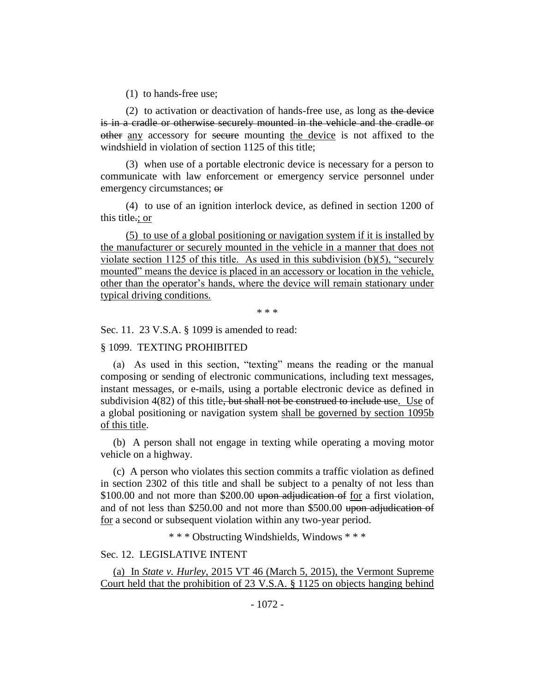(1) to hands-free use;

(2) to activation or deactivation of hands-free use, as long as the device is in a cradle or otherwise securely mounted in the vehicle and the cradle or other any accessory for secure mounting the device is not affixed to the windshield in violation of section 1125 of this title;

(3) when use of a portable electronic device is necessary for a person to communicate with law enforcement or emergency service personnel under emergency circumstances; or

(4) to use of an ignition interlock device, as defined in section 1200 of this title.; or

(5) to use of a global positioning or navigation system if it is installed by the manufacturer or securely mounted in the vehicle in a manner that does not violate section 1125 of this title. As used in this subdivision (b)(5), "securely mounted" means the device is placed in an accessory or location in the vehicle, other than the operator's hands, where the device will remain stationary under typical driving conditions.

\* \* \*

Sec. 11. 23 V.S.A. § 1099 is amended to read:

## § 1099. TEXTING PROHIBITED

(a) As used in this section, "texting" means the reading or the manual composing or sending of electronic communications, including text messages, instant messages, or e-mails, using a portable electronic device as defined in subdivision 4(82) of this title<del>, but shall not be construed to include use</del>. Use of a global positioning or navigation system shall be governed by section 1095b of this title.

(b) A person shall not engage in texting while operating a moving motor vehicle on a highway.

(c) A person who violates this section commits a traffic violation as defined in section 2302 of this title and shall be subject to a penalty of not less than \$100.00 and not more than \$200.00 upon adjudication of for a first violation, and of not less than \$250.00 and not more than \$500.00 upon adjudication of for a second or subsequent violation within any two-year period.

\* \* \* Obstructing Windshields, Windows \* \* \*

## Sec. 12. LEGISLATIVE INTENT

(a) In *State v. Hurley*, 2015 VT 46 (March 5, 2015), the Vermont Supreme Court held that the prohibition of 23 V.S.A. § 1125 on objects hanging behind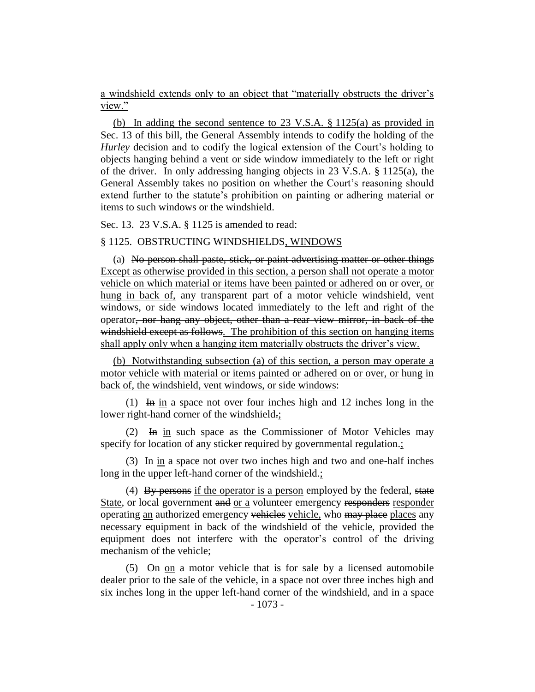a windshield extends only to an object that "materially obstructs the driver's view."

(b) In adding the second sentence to 23 V.S.A. § 1125(a) as provided in Sec. 13 of this bill, the General Assembly intends to codify the holding of the *Hurley* decision and to codify the logical extension of the Court's holding to objects hanging behind a vent or side window immediately to the left or right of the driver. In only addressing hanging objects in 23 V.S.A. § 1125(a), the General Assembly takes no position on whether the Court's reasoning should extend further to the statute's prohibition on painting or adhering material or items to such windows or the windshield.

Sec. 13. 23 V.S.A. § 1125 is amended to read:

## § 1125. OBSTRUCTING WINDSHIELDS, WINDOWS

(a) No person shall paste, stick, or paint advertising matter or other things Except as otherwise provided in this section, a person shall not operate a motor vehicle on which material or items have been painted or adhered on or over, or hung in back of, any transparent part of a motor vehicle windshield, vent windows, or side windows located immediately to the left and right of the operator, nor hang any object, other than a rear view mirror, in back of the windshield except as follows. The prohibition of this section on hanging items shall apply only when a hanging item materially obstructs the driver's view.

(b) Notwithstanding subsection (a) of this section, a person may operate a motor vehicle with material or items painted or adhered on or over, or hung in back of, the windshield, vent windows, or side windows:

(1) In in a space not over four inches high and 12 inches long in the lower right-hand corner of the windshield.;

(2) In in such space as the Commissioner of Motor Vehicles may specify for location of any sticker required by governmental regulation.;

(3) In in a space not over two inches high and two and one-half inches long in the upper left-hand corner of the windshield.;

(4) By persons if the operator is a person employed by the federal, state State, or local government and or a volunteer emergency responders responder operating an authorized emergency vehicles vehicle, who may place places any necessary equipment in back of the windshield of the vehicle, provided the equipment does not interfere with the operator's control of the driving mechanism of the vehicle;

 $(5)$   $\Theta$ m on a motor vehicle that is for sale by a licensed automobile dealer prior to the sale of the vehicle, in a space not over three inches high and six inches long in the upper left-hand corner of the windshield, and in a space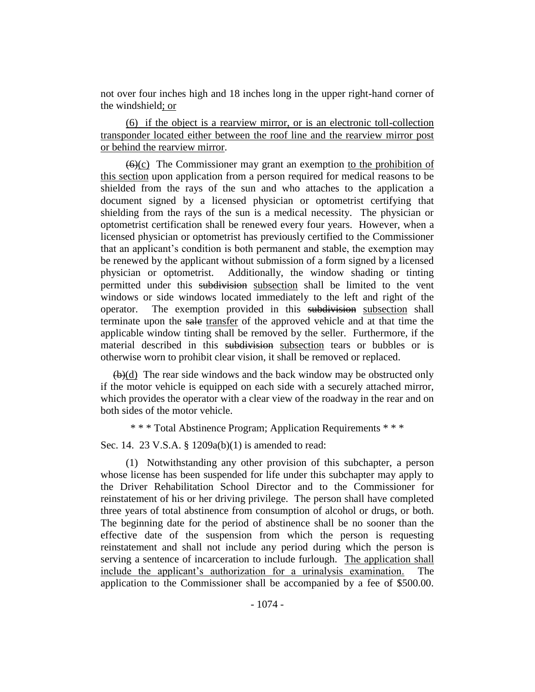not over four inches high and 18 inches long in the upper right-hand corner of the windshield; or

(6) if the object is a rearview mirror, or is an electronic toll-collection transponder located either between the roof line and the rearview mirror post or behind the rearview mirror.

 $(6)(c)$  The Commissioner may grant an exemption to the prohibition of this section upon application from a person required for medical reasons to be shielded from the rays of the sun and who attaches to the application a document signed by a licensed physician or optometrist certifying that shielding from the rays of the sun is a medical necessity. The physician or optometrist certification shall be renewed every four years. However, when a licensed physician or optometrist has previously certified to the Commissioner that an applicant's condition is both permanent and stable, the exemption may be renewed by the applicant without submission of a form signed by a licensed physician or optometrist. Additionally, the window shading or tinting permitted under this subdivision subsection shall be limited to the vent windows or side windows located immediately to the left and right of the operator. The exemption provided in this subdivision subsection shall terminate upon the sale transfer of the approved vehicle and at that time the applicable window tinting shall be removed by the seller. Furthermore, if the material described in this subdivision subsection tears or bubbles or is otherwise worn to prohibit clear vision, it shall be removed or replaced.

 $\left(\frac{b}{d}\right)$  The rear side windows and the back window may be obstructed only if the motor vehicle is equipped on each side with a securely attached mirror, which provides the operator with a clear view of the roadway in the rear and on both sides of the motor vehicle.

\* \* \* Total Abstinence Program; Application Requirements \* \* \*

Sec. 14. 23 V.S.A. § 1209a(b)(1) is amended to read:

(1) Notwithstanding any other provision of this subchapter, a person whose license has been suspended for life under this subchapter may apply to the Driver Rehabilitation School Director and to the Commissioner for reinstatement of his or her driving privilege. The person shall have completed three years of total abstinence from consumption of alcohol or drugs, or both. The beginning date for the period of abstinence shall be no sooner than the effective date of the suspension from which the person is requesting reinstatement and shall not include any period during which the person is serving a sentence of incarceration to include furlough. The application shall include the applicant's authorization for a urinalysis examination. The application to the Commissioner shall be accompanied by a fee of \$500.00.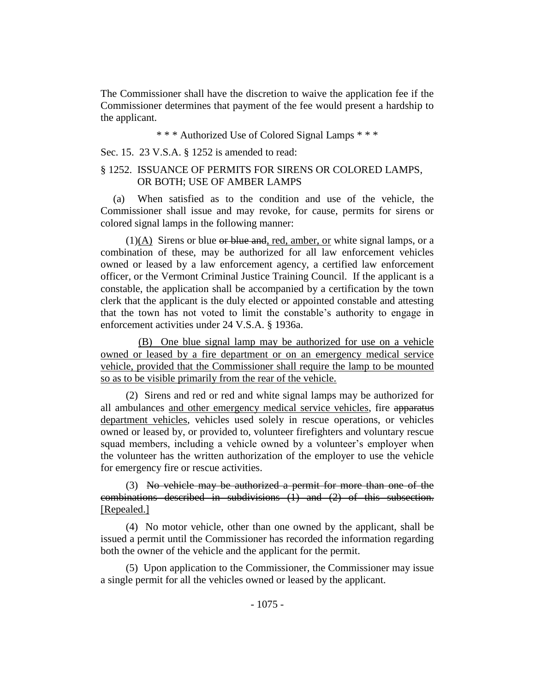The Commissioner shall have the discretion to waive the application fee if the Commissioner determines that payment of the fee would present a hardship to the applicant.

## \* \* \* Authorized Use of Colored Signal Lamps \* \* \*

Sec. 15. 23 V.S.A. § 1252 is amended to read:

# § 1252. ISSUANCE OF PERMITS FOR SIRENS OR COLORED LAMPS, OR BOTH; USE OF AMBER LAMPS

(a) When satisfied as to the condition and use of the vehicle, the Commissioner shall issue and may revoke, for cause, permits for sirens or colored signal lamps in the following manner:

 $(1)(A)$  Sirens or blue or blue and, red, amber, or white signal lamps, or a combination of these, may be authorized for all law enforcement vehicles owned or leased by a law enforcement agency, a certified law enforcement officer, or the Vermont Criminal Justice Training Council. If the applicant is a constable, the application shall be accompanied by a certification by the town clerk that the applicant is the duly elected or appointed constable and attesting that the town has not voted to limit the constable's authority to engage in enforcement activities under 24 V.S.A. § 1936a.

(B) One blue signal lamp may be authorized for use on a vehicle owned or leased by a fire department or on an emergency medical service vehicle, provided that the Commissioner shall require the lamp to be mounted so as to be visible primarily from the rear of the vehicle.

(2) Sirens and red or red and white signal lamps may be authorized for all ambulances and other emergency medical service vehicles, fire apparatus department vehicles, vehicles used solely in rescue operations, or vehicles owned or leased by, or provided to, volunteer firefighters and voluntary rescue squad members, including a vehicle owned by a volunteer's employer when the volunteer has the written authorization of the employer to use the vehicle for emergency fire or rescue activities.

(3) No vehicle may be authorized a permit for more than one of the combinations described in subdivisions (1) and (2) of this subsection. [Repealed.]

(4) No motor vehicle, other than one owned by the applicant, shall be issued a permit until the Commissioner has recorded the information regarding both the owner of the vehicle and the applicant for the permit.

(5) Upon application to the Commissioner, the Commissioner may issue a single permit for all the vehicles owned or leased by the applicant.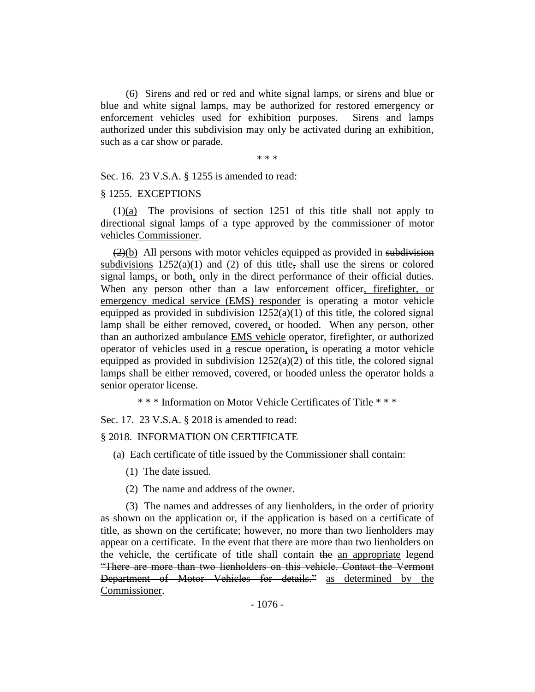(6) Sirens and red or red and white signal lamps, or sirens and blue or blue and white signal lamps, may be authorized for restored emergency or enforcement vehicles used for exhibition purposes. Sirens and lamps authorized under this subdivision may only be activated during an exhibition, such as a car show or parade.

\* \* \*

Sec. 16. 23 V.S.A. § 1255 is amended to read:

## § 1255. EXCEPTIONS

 $(1)(a)$  The provisions of section 1251 of this title shall not apply to directional signal lamps of a type approved by the commissioner of motor vehicles Commissioner.

 $(2)(b)$  All persons with motor vehicles equipped as provided in subdivision subdivisions  $1252(a)(1)$  and  $(2)$  of this title, shall use the sirens or colored signal lamps, or both, only in the direct performance of their official duties. When any person other than a law enforcement officer, firefighter, or emergency medical service (EMS) responder is operating a motor vehicle equipped as provided in subdivision  $1252(a)(1)$  of this title, the colored signal lamp shall be either removed, covered, or hooded. When any person, other than an authorized ambulance EMS vehicle operator, firefighter, or authorized operator of vehicles used in a rescue operation, is operating a motor vehicle equipped as provided in subdivision  $1252(a)(2)$  of this title, the colored signal lamps shall be either removed, covered, or hooded unless the operator holds a senior operator license.

\* \* \* Information on Motor Vehicle Certificates of Title \* \* \*

Sec. 17. 23 V.S.A. § 2018 is amended to read:

§ 2018. INFORMATION ON CERTIFICATE

- (a) Each certificate of title issued by the Commissioner shall contain:
	- (1) The date issued.
	- (2) The name and address of the owner.

(3) The names and addresses of any lienholders, in the order of priority as shown on the application or, if the application is based on a certificate of title, as shown on the certificate; however, no more than two lienholders may appear on a certificate. In the event that there are more than two lienholders on the vehicle, the certificate of title shall contain the an appropriate legend "There are more than two lienholders on this vehicle. Contact the Vermont Department of Motor Vehicles for details." as determined by the Commissioner.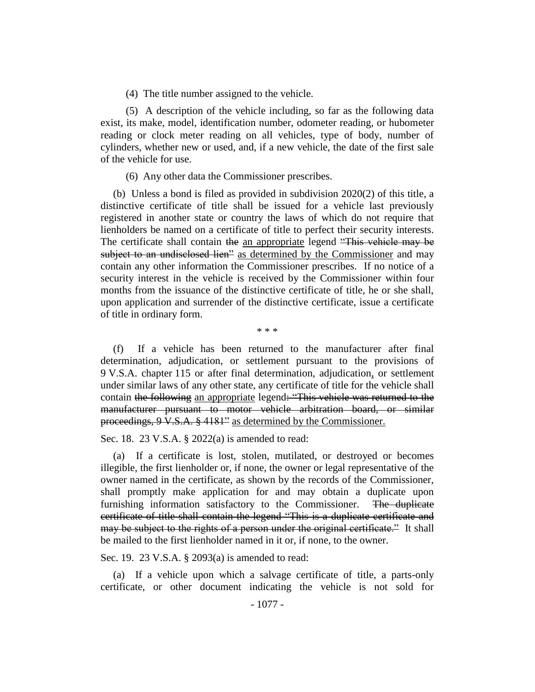(4) The title number assigned to the vehicle.

(5) A description of the vehicle including, so far as the following data exist, its make, model, identification number, odometer reading, or hubometer reading or clock meter reading on all vehicles, type of body, number of cylinders, whether new or used, and, if a new vehicle, the date of the first sale of the vehicle for use.

(6) Any other data the Commissioner prescribes.

(b) Unless a bond is filed as provided in subdivision 2020(2) of this title, a distinctive certificate of title shall be issued for a vehicle last previously registered in another state or country the laws of which do not require that lienholders be named on a certificate of title to perfect their security interests. The certificate shall contain the an appropriate legend "This vehicle may be subject to an undisclosed lien" as determined by the Commissioner and may contain any other information the Commissioner prescribes. If no notice of a security interest in the vehicle is received by the Commissioner within four months from the issuance of the distinctive certificate of title, he or she shall, upon application and surrender of the distinctive certificate, issue a certificate of title in ordinary form.

\* \* \*

(f) If a vehicle has been returned to the manufacturer after final determination, adjudication, or settlement pursuant to the provisions of 9 V.S.A. chapter 115 or after final determination, adjudication, or settlement under similar laws of any other state, any certificate of title for the vehicle shall contain the following an appropriate legend: "This vehicle was returned to the manufacturer pursuant to motor vehicle arbitration board, or similar proceedings, 9 V.S.A. § 4181" as determined by the Commissioner.

Sec. 18. 23 V.S.A. § 2022(a) is amended to read:

(a) If a certificate is lost, stolen, mutilated, or destroyed or becomes illegible, the first lienholder or, if none, the owner or legal representative of the owner named in the certificate, as shown by the records of the Commissioner, shall promptly make application for and may obtain a duplicate upon furnishing information satisfactory to the Commissioner. The duplicate certificate of title shall contain the legend "This is a duplicate certificate and may be subject to the rights of a person under the original certificate." It shall be mailed to the first lienholder named in it or, if none, to the owner.

Sec. 19. 23 V.S.A. § 2093(a) is amended to read:

(a) If a vehicle upon which a salvage certificate of title, a parts-only certificate, or other document indicating the vehicle is not sold for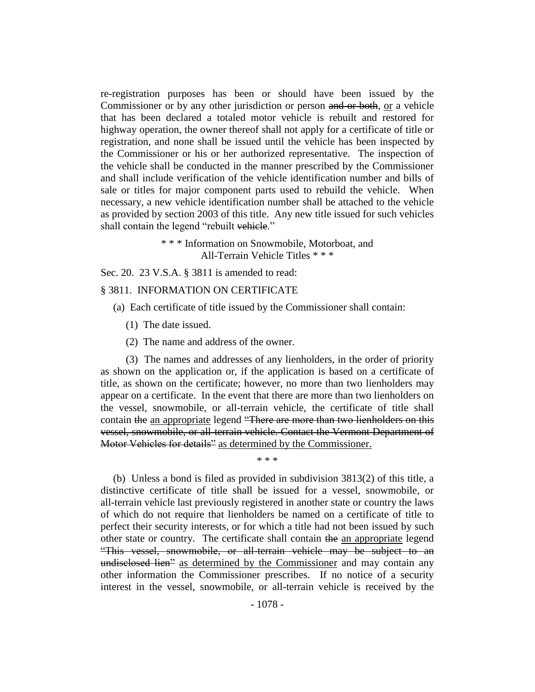re-registration purposes has been or should have been issued by the Commissioner or by any other jurisdiction or person and or both, or a vehicle that has been declared a totaled motor vehicle is rebuilt and restored for highway operation, the owner thereof shall not apply for a certificate of title or registration, and none shall be issued until the vehicle has been inspected by the Commissioner or his or her authorized representative. The inspection of the vehicle shall be conducted in the manner prescribed by the Commissioner and shall include verification of the vehicle identification number and bills of sale or titles for major component parts used to rebuild the vehicle. When necessary, a new vehicle identification number shall be attached to the vehicle as provided by section 2003 of this title. Any new title issued for such vehicles shall contain the legend "rebuilt vehicle."

> \* \* \* Information on Snowmobile, Motorboat, and All-Terrain Vehicle Titles \* \* \*

Sec. 20. 23 V.S.A. § 3811 is amended to read:

# § 3811. INFORMATION ON CERTIFICATE

- (a) Each certificate of title issued by the Commissioner shall contain:
	- (1) The date issued.
	- (2) The name and address of the owner.

(3) The names and addresses of any lienholders, in the order of priority as shown on the application or, if the application is based on a certificate of title, as shown on the certificate; however, no more than two lienholders may appear on a certificate. In the event that there are more than two lienholders on the vessel, snowmobile, or all-terrain vehicle, the certificate of title shall contain the an appropriate legend "There are more than two lienholders on this vessel, snowmobile, or all-terrain vehicle. Contact the Vermont Department of Motor Vehicles for details" as determined by the Commissioner.

\* \* \*

(b) Unless a bond is filed as provided in subdivision 3813(2) of this title, a distinctive certificate of title shall be issued for a vessel, snowmobile, or all-terrain vehicle last previously registered in another state or country the laws of which do not require that lienholders be named on a certificate of title to perfect their security interests, or for which a title had not been issued by such other state or country. The certificate shall contain the an appropriate legend "This vessel, snowmobile, or all-terrain vehicle may be subject to an undisclosed lien" as determined by the Commissioner and may contain any other information the Commissioner prescribes. If no notice of a security interest in the vessel, snowmobile, or all-terrain vehicle is received by the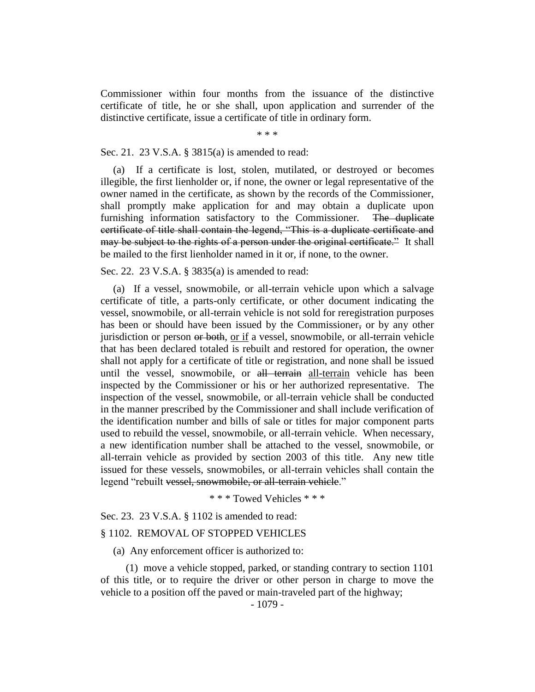Commissioner within four months from the issuance of the distinctive certificate of title, he or she shall, upon application and surrender of the distinctive certificate, issue a certificate of title in ordinary form.

\* \* \*

#### Sec. 21. 23 V.S.A. § 3815(a) is amended to read:

(a) If a certificate is lost, stolen, mutilated, or destroyed or becomes illegible, the first lienholder or, if none, the owner or legal representative of the owner named in the certificate, as shown by the records of the Commissioner, shall promptly make application for and may obtain a duplicate upon furnishing information satisfactory to the Commissioner. The duplicate certificate of title shall contain the legend, "This is a duplicate certificate and may be subject to the rights of a person under the original certificate." It shall be mailed to the first lienholder named in it or, if none, to the owner.

## Sec. 22. 23 V.S.A. § 3835(a) is amended to read:

(a) If a vessel, snowmobile, or all-terrain vehicle upon which a salvage certificate of title, a parts-only certificate, or other document indicating the vessel, snowmobile, or all-terrain vehicle is not sold for reregistration purposes has been or should have been issued by the Commissioner, or by any other jurisdiction or person or both, or if a vessel, snowmobile, or all-terrain vehicle that has been declared totaled is rebuilt and restored for operation, the owner shall not apply for a certificate of title or registration, and none shall be issued until the vessel, snowmobile, or all terrain all-terrain vehicle has been inspected by the Commissioner or his or her authorized representative. The inspection of the vessel, snowmobile, or all-terrain vehicle shall be conducted in the manner prescribed by the Commissioner and shall include verification of the identification number and bills of sale or titles for major component parts used to rebuild the vessel, snowmobile, or all-terrain vehicle. When necessary, a new identification number shall be attached to the vessel, snowmobile, or all-terrain vehicle as provided by section 2003 of this title. Any new title issued for these vessels, snowmobiles, or all-terrain vehicles shall contain the legend "rebuilt vessel, snowmobile, or all-terrain vehicle."

\* \* \* Towed Vehicles \* \* \*

Sec. 23. 23 V.S.A. § 1102 is amended to read:

## § 1102. REMOVAL OF STOPPED VEHICLES

(a) Any enforcement officer is authorized to:

(1) move a vehicle stopped, parked, or standing contrary to section 1101 of this title, or to require the driver or other person in charge to move the vehicle to a position off the paved or main-traveled part of the highway;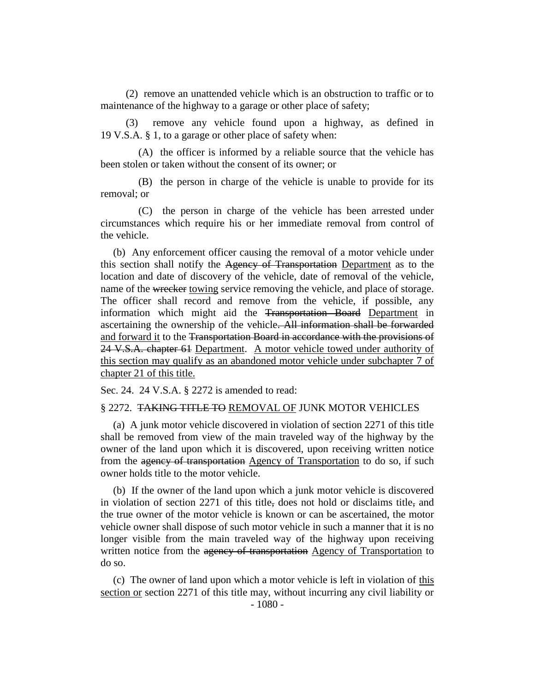(2) remove an unattended vehicle which is an obstruction to traffic or to maintenance of the highway to a garage or other place of safety;

(3) remove any vehicle found upon a highway, as defined in 19 V.S.A. § 1, to a garage or other place of safety when:

(A) the officer is informed by a reliable source that the vehicle has been stolen or taken without the consent of its owner; or

(B) the person in charge of the vehicle is unable to provide for its removal; or

(C) the person in charge of the vehicle has been arrested under circumstances which require his or her immediate removal from control of the vehicle.

(b) Any enforcement officer causing the removal of a motor vehicle under this section shall notify the Agency of Transportation Department as to the location and date of discovery of the vehicle, date of removal of the vehicle, name of the wrecker towing service removing the vehicle, and place of storage. The officer shall record and remove from the vehicle, if possible, any information which might aid the Transportation Board Department in ascertaining the ownership of the vehicle. All information shall be forwarded and forward it to the Transportation Board in accordance with the provisions of 24 V.S.A. chapter 61 Department. A motor vehicle towed under authority of this section may qualify as an abandoned motor vehicle under subchapter 7 of chapter 21 of this title.

Sec. 24. 24 V.S.A. § 2272 is amended to read:

#### § 2272. TAKING TITLE TO REMOVAL OF JUNK MOTOR VEHICLES

(a) A junk motor vehicle discovered in violation of section 2271 of this title shall be removed from view of the main traveled way of the highway by the owner of the land upon which it is discovered, upon receiving written notice from the agency of transportation Agency of Transportation to do so, if such owner holds title to the motor vehicle.

(b) If the owner of the land upon which a junk motor vehicle is discovered in violation of section 2271 of this title, does not hold or disclaims title, and the true owner of the motor vehicle is known or can be ascertained, the motor vehicle owner shall dispose of such motor vehicle in such a manner that it is no longer visible from the main traveled way of the highway upon receiving written notice from the agency of transportation Agency of Transportation to do so.

(c) The owner of land upon which a motor vehicle is left in violation of this section or section 2271 of this title may, without incurring any civil liability or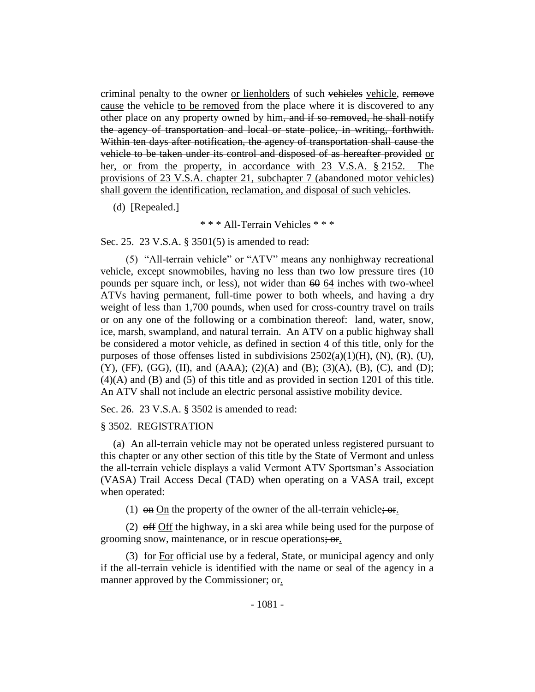criminal penalty to the owner or lienholders of such vehicles vehicle, remove cause the vehicle to be removed from the place where it is discovered to any other place on any property owned by him, and if so removed, he shall notify the agency of transportation and local or state police, in writing, forthwith. Within ten days after notification, the agency of transportation shall cause the vehicle to be taken under its control and disposed of as hereafter provided or her, or from the property, in accordance with 23 V.S.A. § 2152. The provisions of 23 V.S.A. chapter 21, subchapter 7 (abandoned motor vehicles) shall govern the identification, reclamation, and disposal of such vehicles.

(d) [Repealed.]

\* \* \* All-Terrain Vehicles \* \* \*

Sec. 25. 23 V.S.A. § 3501(5) is amended to read:

(5) "All-terrain vehicle" or "ATV" means any nonhighway recreational vehicle, except snowmobiles, having no less than two low pressure tires (10 pounds per square inch, or less), not wider than 60 64 inches with two-wheel ATVs having permanent, full-time power to both wheels, and having a dry weight of less than 1,700 pounds, when used for cross-country travel on trails or on any one of the following or a combination thereof: land, water, snow, ice, marsh, swampland, and natural terrain. An ATV on a public highway shall be considered a motor vehicle, as defined in section 4 of this title, only for the purposes of those offenses listed in subdivisions  $2502(a)(1)(H)$ ,  $(N)$ ,  $(R)$ ,  $(U)$ ,  $(Y)$ ,  $(FF)$ ,  $(GG)$ ,  $(II)$ , and  $(AAA)$ ;  $(2)(A)$  and  $(B)$ ;  $(3)(A)$ ,  $(B)$ ,  $(C)$ , and  $(D)$ ; (4)(A) and (B) and (5) of this title and as provided in section 1201 of this title. An ATV shall not include an electric personal assistive mobility device.

Sec. 26. 23 V.S.A. § 3502 is amended to read:

#### § 3502. REGISTRATION

(a) An all-terrain vehicle may not be operated unless registered pursuant to this chapter or any other section of this title by the State of Vermont and unless the all-terrain vehicle displays a valid Vermont ATV Sportsman's Association (VASA) Trail Access Decal (TAD) when operating on a VASA trail, except when operated:

(1)  $\Theta$  on On the property of the owner of the all-terrain vehicle;  $\Theta$ .

(2)  $\theta$  off off the highway, in a ski area while being used for the purpose of grooming snow, maintenance, or in rescue operations; or.

(3) for For official use by a federal, State, or municipal agency and only if the all-terrain vehicle is identified with the name or seal of the agency in a manner approved by the Commissioner; or.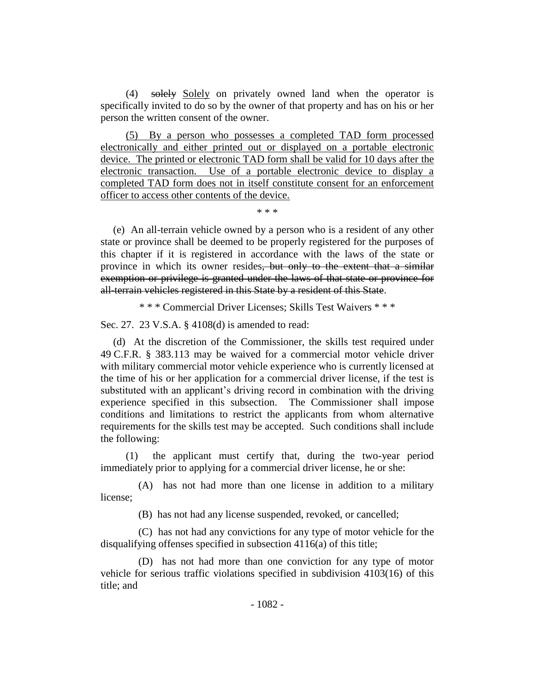(4) solely Solely on privately owned land when the operator is specifically invited to do so by the owner of that property and has on his or her person the written consent of the owner.

(5) By a person who possesses a completed TAD form processed electronically and either printed out or displayed on a portable electronic device. The printed or electronic TAD form shall be valid for 10 days after the electronic transaction. Use of a portable electronic device to display a completed TAD form does not in itself constitute consent for an enforcement officer to access other contents of the device.

\* \* \*

(e) An all-terrain vehicle owned by a person who is a resident of any other state or province shall be deemed to be properly registered for the purposes of this chapter if it is registered in accordance with the laws of the state or province in which its owner resides, but only to the extent that a similar exemption or privilege is granted under the laws of that state or province for all-terrain vehicles registered in this State by a resident of this State.

\* \* \* Commercial Driver Licenses; Skills Test Waivers \* \* \*

Sec. 27. 23 V.S.A. § 4108(d) is amended to read:

(d) At the discretion of the Commissioner, the skills test required under 49 C.F.R. § 383.113 may be waived for a commercial motor vehicle driver with military commercial motor vehicle experience who is currently licensed at the time of his or her application for a commercial driver license, if the test is substituted with an applicant's driving record in combination with the driving experience specified in this subsection. The Commissioner shall impose conditions and limitations to restrict the applicants from whom alternative requirements for the skills test may be accepted. Such conditions shall include the following:

(1) the applicant must certify that, during the two-year period immediately prior to applying for a commercial driver license, he or she:

(A) has not had more than one license in addition to a military license;

(B) has not had any license suspended, revoked, or cancelled;

(C) has not had any convictions for any type of motor vehicle for the disqualifying offenses specified in subsection 4116(a) of this title;

(D) has not had more than one conviction for any type of motor vehicle for serious traffic violations specified in subdivision 4103(16) of this title; and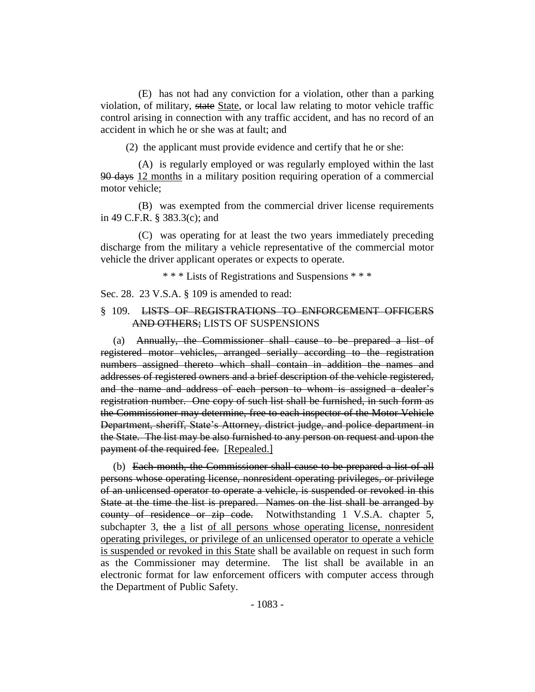(E) has not had any conviction for a violation, other than a parking violation, of military, state State, or local law relating to motor vehicle traffic control arising in connection with any traffic accident, and has no record of an accident in which he or she was at fault; and

(2) the applicant must provide evidence and certify that he or she:

(A) is regularly employed or was regularly employed within the last 90 days 12 months in a military position requiring operation of a commercial motor vehicle;

(B) was exempted from the commercial driver license requirements in 49 C.F.R. § 383.3(c); and

(C) was operating for at least the two years immediately preceding discharge from the military a vehicle representative of the commercial motor vehicle the driver applicant operates or expects to operate.

\* \* \* Lists of Registrations and Suspensions \* \* \*

Sec. 28. 23 V.S.A. § 109 is amended to read:

## § 109. LISTS OF REGISTRATIONS TO ENFORCEMENT OFFICERS AND OTHERS; LISTS OF SUSPENSIONS

(a) Annually, the Commissioner shall cause to be prepared a list of registered motor vehicles, arranged serially according to the registration numbers assigned thereto which shall contain in addition the names and addresses of registered owners and a brief description of the vehicle registered, and the name and address of each person to whom is assigned a dealer's registration number. One copy of such list shall be furnished, in such form as the Commissioner may determine, free to each inspector of the Motor Vehicle Department, sheriff, State's Attorney, district judge, and police department in the State. The list may be also furnished to any person on request and upon the payment of the required fee. [Repealed.]

(b) Each month, the Commissioner shall cause to be prepared a list of all persons whose operating license, nonresident operating privileges, or privilege of an unlicensed operator to operate a vehicle, is suspended or revoked in this State at the time the list is prepared. Names on the list shall be arranged by county of residence or zip code. Notwithstanding 1 V.S.A. chapter 5, subchapter 3, the a list of all persons whose operating license, nonresident operating privileges, or privilege of an unlicensed operator to operate a vehicle is suspended or revoked in this State shall be available on request in such form as the Commissioner may determine. The list shall be available in an electronic format for law enforcement officers with computer access through the Department of Public Safety.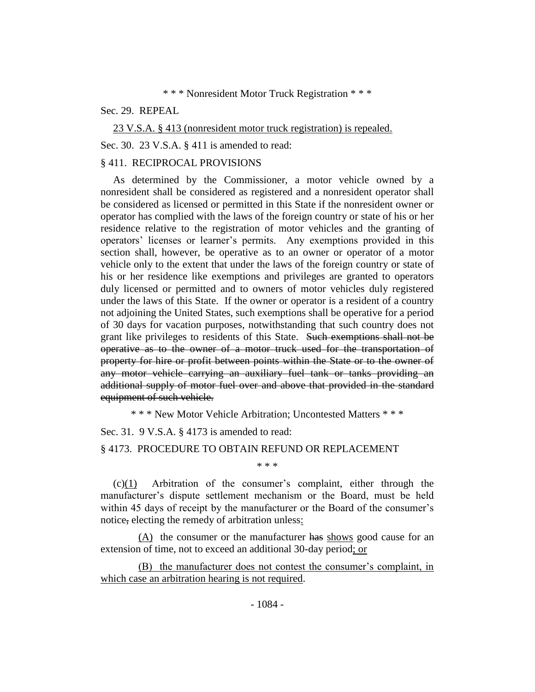## \* \* \* Nonresident Motor Truck Registration \* \* \*

#### Sec. 29. REPEAL

23 V.S.A. § 413 (nonresident motor truck registration) is repealed. Sec. 30. 23 V.S.A. § 411 is amended to read:

## § 411. RECIPROCAL PROVISIONS

As determined by the Commissioner, a motor vehicle owned by a nonresident shall be considered as registered and a nonresident operator shall be considered as licensed or permitted in this State if the nonresident owner or operator has complied with the laws of the foreign country or state of his or her residence relative to the registration of motor vehicles and the granting of operators' licenses or learner's permits. Any exemptions provided in this section shall, however, be operative as to an owner or operator of a motor vehicle only to the extent that under the laws of the foreign country or state of his or her residence like exemptions and privileges are granted to operators duly licensed or permitted and to owners of motor vehicles duly registered under the laws of this State. If the owner or operator is a resident of a country not adjoining the United States, such exemptions shall be operative for a period of 30 days for vacation purposes, notwithstanding that such country does not grant like privileges to residents of this State. Such exemptions shall not be operative as to the owner of a motor truck used for the transportation of property for hire or profit between points within the State or to the owner of any motor vehicle carrying an auxiliary fuel tank or tanks providing an additional supply of motor fuel over and above that provided in the standard equipment of such vehicle.

\* \* \* New Motor Vehicle Arbitration; Uncontested Matters \* \* \*

Sec. 31. 9 V.S.A. § 4173 is amended to read:

## § 4173. PROCEDURE TO OBTAIN REFUND OR REPLACEMENT

\* \* \*

(c)(1) Arbitration of the consumer's complaint, either through the manufacturer's dispute settlement mechanism or the Board, must be held within 45 days of receipt by the manufacturer or the Board of the consumer's notice, electing the remedy of arbitration unless:

 $(A)$  the consumer or the manufacturer has shows good cause for an extension of time, not to exceed an additional 30-day period; or

(B) the manufacturer does not contest the consumer's complaint, in which case an arbitration hearing is not required.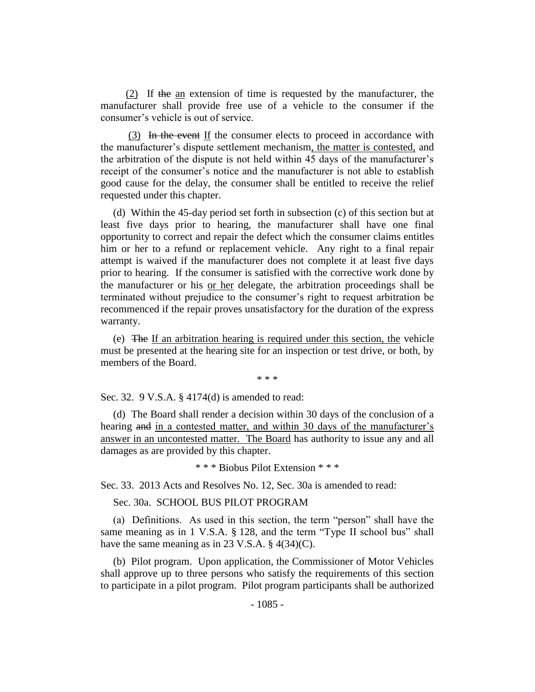(2) If the an extension of time is requested by the manufacturer, the manufacturer shall provide free use of a vehicle to the consumer if the consumer's vehicle is out of service.

(3) In the event If the consumer elects to proceed in accordance with the manufacturer's dispute settlement mechanism, the matter is contested, and the arbitration of the dispute is not held within 45 days of the manufacturer's receipt of the consumer's notice and the manufacturer is not able to establish good cause for the delay, the consumer shall be entitled to receive the relief requested under this chapter.

(d) Within the 45-day period set forth in subsection (c) of this section but at least five days prior to hearing, the manufacturer shall have one final opportunity to correct and repair the defect which the consumer claims entitles him or her to a refund or replacement vehicle. Any right to a final repair attempt is waived if the manufacturer does not complete it at least five days prior to hearing. If the consumer is satisfied with the corrective work done by the manufacturer or his or her delegate, the arbitration proceedings shall be terminated without prejudice to the consumer's right to request arbitration be recommenced if the repair proves unsatisfactory for the duration of the express warranty.

(e) The If an arbitration hearing is required under this section, the vehicle must be presented at the hearing site for an inspection or test drive, or both, by members of the Board.

\* \* \*

Sec. 32. 9 V.S.A. § 4174(d) is amended to read:

(d) The Board shall render a decision within 30 days of the conclusion of a hearing and in a contested matter, and within 30 days of the manufacturer's answer in an uncontested matter. The Board has authority to issue any and all damages as are provided by this chapter.

\* \* \* Biobus Pilot Extension \* \* \*

Sec. 33. 2013 Acts and Resolves No. 12, Sec. 30a is amended to read:

Sec. 30a. SCHOOL BUS PILOT PROGRAM

(a) Definitions. As used in this section, the term "person" shall have the same meaning as in 1 V.S.A. § 128, and the term "Type II school bus" shall have the same meaning as in 23 V.S.A. § 4(34)(C).

(b) Pilot program. Upon application, the Commissioner of Motor Vehicles shall approve up to three persons who satisfy the requirements of this section to participate in a pilot program. Pilot program participants shall be authorized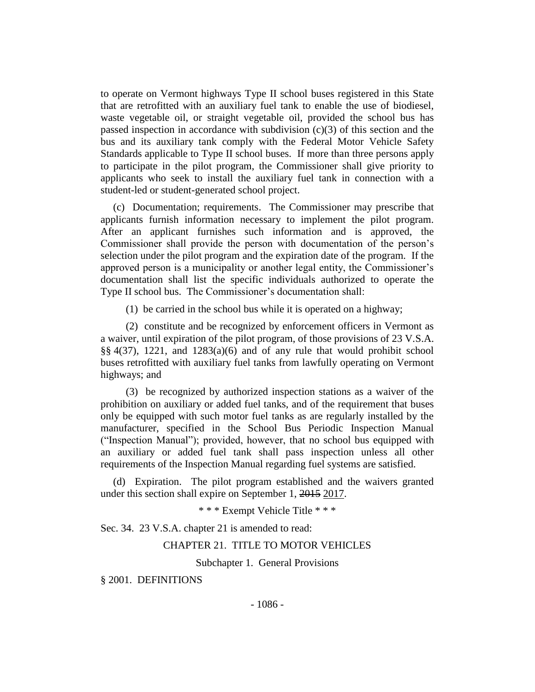to operate on Vermont highways Type II school buses registered in this State that are retrofitted with an auxiliary fuel tank to enable the use of biodiesel, waste vegetable oil, or straight vegetable oil, provided the school bus has passed inspection in accordance with subdivision (c)(3) of this section and the bus and its auxiliary tank comply with the Federal Motor Vehicle Safety Standards applicable to Type II school buses. If more than three persons apply to participate in the pilot program, the Commissioner shall give priority to applicants who seek to install the auxiliary fuel tank in connection with a student-led or student-generated school project.

(c) Documentation; requirements. The Commissioner may prescribe that applicants furnish information necessary to implement the pilot program. After an applicant furnishes such information and is approved, the Commissioner shall provide the person with documentation of the person's selection under the pilot program and the expiration date of the program. If the approved person is a municipality or another legal entity, the Commissioner's documentation shall list the specific individuals authorized to operate the Type II school bus. The Commissioner's documentation shall:

(1) be carried in the school bus while it is operated on a highway;

(2) constitute and be recognized by enforcement officers in Vermont as a waiver, until expiration of the pilot program, of those provisions of 23 V.S.A. §§ 4(37), 1221, and 1283(a)(6) and of any rule that would prohibit school buses retrofitted with auxiliary fuel tanks from lawfully operating on Vermont highways; and

(3) be recognized by authorized inspection stations as a waiver of the prohibition on auxiliary or added fuel tanks, and of the requirement that buses only be equipped with such motor fuel tanks as are regularly installed by the manufacturer, specified in the School Bus Periodic Inspection Manual ("Inspection Manual"); provided, however, that no school bus equipped with an auxiliary or added fuel tank shall pass inspection unless all other requirements of the Inspection Manual regarding fuel systems are satisfied.

(d) Expiration. The pilot program established and the waivers granted under this section shall expire on September 1, 2015 2017.

\* \* \* Exempt Vehicle Title \* \* \*

Sec. 34. 23 V.S.A. chapter 21 is amended to read:

#### CHAPTER 21. TITLE TO MOTOR VEHICLES

Subchapter 1. General Provisions

§ 2001. DEFINITIONS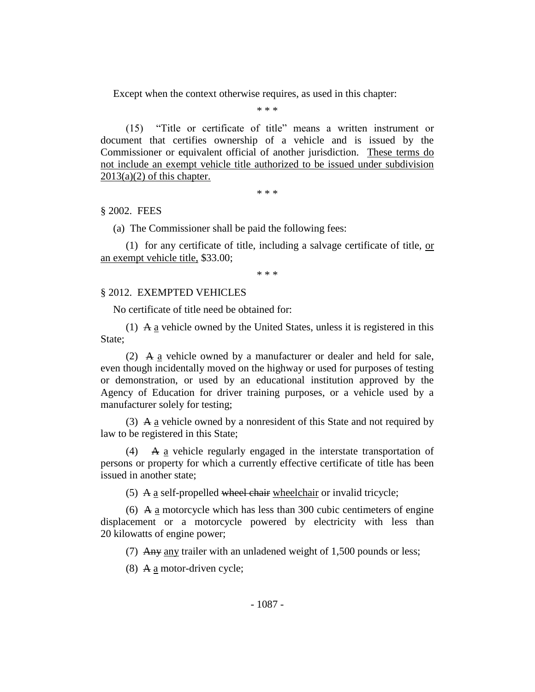Except when the context otherwise requires, as used in this chapter:

\* \* \*

(15) "Title or certificate of title" means a written instrument or document that certifies ownership of a vehicle and is issued by the Commissioner or equivalent official of another jurisdiction. These terms do not include an exempt vehicle title authorized to be issued under subdivision  $2013(a)(2)$  of this chapter.

\* \* \*

### § 2002. FEES

(a) The Commissioner shall be paid the following fees:

(1) for any certificate of title, including a salvage certificate of title, or an exempt vehicle title, \$33.00;

\* \* \*

### § 2012. EXEMPTED VEHICLES

No certificate of title need be obtained for:

(1) A a vehicle owned by the United States, unless it is registered in this State;

(2) A a vehicle owned by a manufacturer or dealer and held for sale, even though incidentally moved on the highway or used for purposes of testing or demonstration, or used by an educational institution approved by the Agency of Education for driver training purposes, or a vehicle used by a manufacturer solely for testing;

(3)  $\overline{A}$  a vehicle owned by a nonresident of this State and not required by law to be registered in this State;

(4) A a vehicle regularly engaged in the interstate transportation of persons or property for which a currently effective certificate of title has been issued in another state;

(5) A a self-propelled wheel chair wheelchair or invalid tricycle;

(6) A a motorcycle which has less than 300 cubic centimeters of engine displacement or a motorcycle powered by electricity with less than 20 kilowatts of engine power;

(7) Any any trailer with an unladened weight of  $1,500$  pounds or less;

(8) A  $\underline{a}$  motor-driven cycle;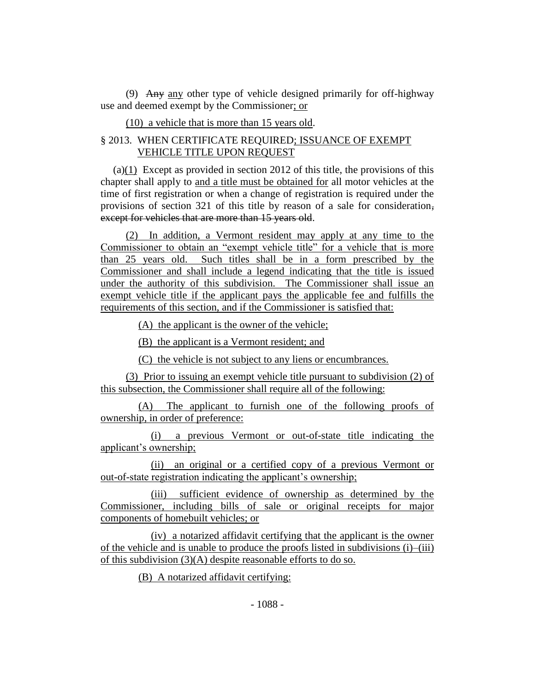(9) Any any other type of vehicle designed primarily for off-highway use and deemed exempt by the Commissioner; or

(10) a vehicle that is more than 15 years old.

# § 2013. WHEN CERTIFICATE REQUIRED; ISSUANCE OF EXEMPT VEHICLE TITLE UPON REQUEST

(a)(1) Except as provided in section 2012 of this title, the provisions of this chapter shall apply to and a title must be obtained for all motor vehicles at the time of first registration or when a change of registration is required under the provisions of section 321 of this title by reason of a sale for consideration, except for vehicles that are more than 15 years old.

(2) In addition, a Vermont resident may apply at any time to the Commissioner to obtain an "exempt vehicle title" for a vehicle that is more than 25 years old. Such titles shall be in a form prescribed by the Commissioner and shall include a legend indicating that the title is issued under the authority of this subdivision. The Commissioner shall issue an exempt vehicle title if the applicant pays the applicable fee and fulfills the requirements of this section, and if the Commissioner is satisfied that:

(A) the applicant is the owner of the vehicle;

(B) the applicant is a Vermont resident; and

(C) the vehicle is not subject to any liens or encumbrances.

(3) Prior to issuing an exempt vehicle title pursuant to subdivision (2) of this subsection, the Commissioner shall require all of the following:

(A) The applicant to furnish one of the following proofs of ownership, in order of preference:

(i) a previous Vermont or out-of-state title indicating the applicant's ownership;

(ii) an original or a certified copy of a previous Vermont or out-of-state registration indicating the applicant's ownership;

(iii) sufficient evidence of ownership as determined by the Commissioner, including bills of sale or original receipts for major components of homebuilt vehicles; or

(iv) a notarized affidavit certifying that the applicant is the owner of the vehicle and is unable to produce the proofs listed in subdivisions (i)–(iii) of this subdivision (3)(A) despite reasonable efforts to do so.

(B) A notarized affidavit certifying: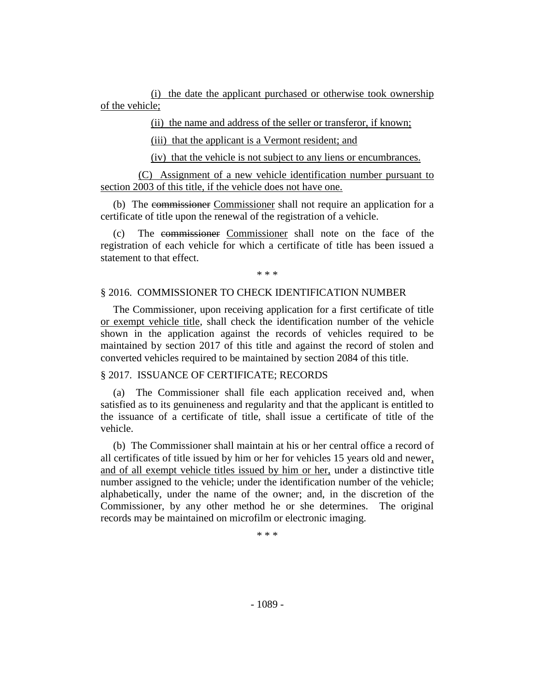(i) the date the applicant purchased or otherwise took ownership of the vehicle;

(ii) the name and address of the seller or transferor, if known;

(iii) that the applicant is a Vermont resident; and

(iv) that the vehicle is not subject to any liens or encumbrances.

(C) Assignment of a new vehicle identification number pursuant to section 2003 of this title, if the vehicle does not have one.

(b) The commissioner Commissioner shall not require an application for a certificate of title upon the renewal of the registration of a vehicle.

(c) The commissioner Commissioner shall note on the face of the registration of each vehicle for which a certificate of title has been issued a statement to that effect.

\* \* \*

### § 2016. COMMISSIONER TO CHECK IDENTIFICATION NUMBER

The Commissioner, upon receiving application for a first certificate of title or exempt vehicle title, shall check the identification number of the vehicle shown in the application against the records of vehicles required to be maintained by section 2017 of this title and against the record of stolen and converted vehicles required to be maintained by section 2084 of this title.

# § 2017. ISSUANCE OF CERTIFICATE; RECORDS

(a) The Commissioner shall file each application received and, when satisfied as to its genuineness and regularity and that the applicant is entitled to the issuance of a certificate of title, shall issue a certificate of title of the vehicle.

(b) The Commissioner shall maintain at his or her central office a record of all certificates of title issued by him or her for vehicles 15 years old and newer, and of all exempt vehicle titles issued by him or her, under a distinctive title number assigned to the vehicle; under the identification number of the vehicle; alphabetically, under the name of the owner; and, in the discretion of the Commissioner, by any other method he or she determines. The original records may be maintained on microfilm or electronic imaging.

\* \* \*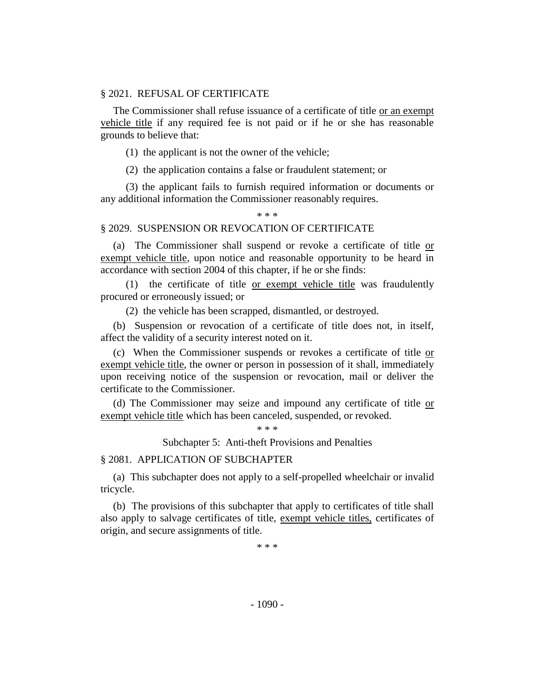## § 2021. REFUSAL OF CERTIFICATE

The Commissioner shall refuse issuance of a certificate of title or an exempt vehicle title if any required fee is not paid or if he or she has reasonable grounds to believe that:

(1) the applicant is not the owner of the vehicle;

(2) the application contains a false or fraudulent statement; or

(3) the applicant fails to furnish required information or documents or any additional information the Commissioner reasonably requires.

#### \* \* \*

#### § 2029. SUSPENSION OR REVOCATION OF CERTIFICATE

(a) The Commissioner shall suspend or revoke a certificate of title or exempt vehicle title, upon notice and reasonable opportunity to be heard in accordance with section 2004 of this chapter, if he or she finds:

(1) the certificate of title or exempt vehicle title was fraudulently procured or erroneously issued; or

(2) the vehicle has been scrapped, dismantled, or destroyed.

(b) Suspension or revocation of a certificate of title does not, in itself, affect the validity of a security interest noted on it.

(c) When the Commissioner suspends or revokes a certificate of title or exempt vehicle title, the owner or person in possession of it shall, immediately upon receiving notice of the suspension or revocation, mail or deliver the certificate to the Commissioner.

(d) The Commissioner may seize and impound any certificate of title or exempt vehicle title which has been canceled, suspended, or revoked.

\* \* \*

Subchapter 5: Anti-theft Provisions and Penalties

## § 2081. APPLICATION OF SUBCHAPTER

(a) This subchapter does not apply to a self-propelled wheelchair or invalid tricycle.

(b) The provisions of this subchapter that apply to certificates of title shall also apply to salvage certificates of title, exempt vehicle titles, certificates of origin, and secure assignments of title.

\* \* \*

- 1090 -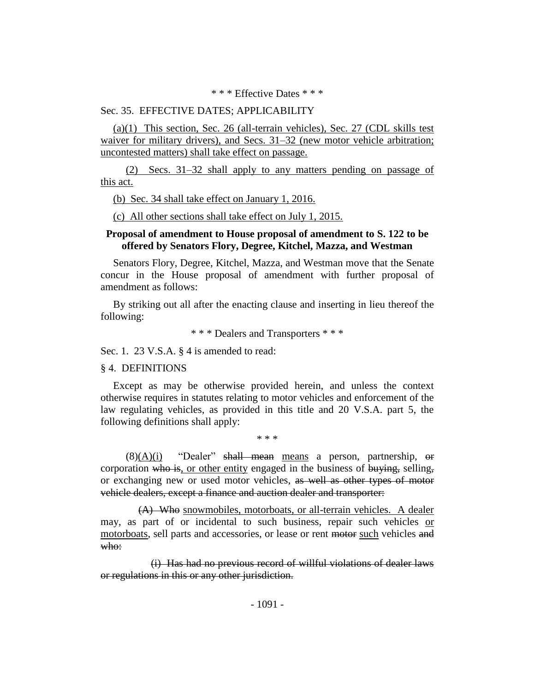\* \* \* Effective Dates \* \* \*

## Sec. 35. EFFECTIVE DATES; APPLICABILITY

(a)(1) This section, Sec. 26 (all-terrain vehicles), Sec. 27 (CDL skills test waiver for military drivers), and Secs. 31–32 (new motor vehicle arbitration; uncontested matters) shall take effect on passage.

(2) Secs. 31–32 shall apply to any matters pending on passage of this act.

(b) Sec. 34 shall take effect on January 1, 2016.

(c) All other sections shall take effect on July 1, 2015.

## **Proposal of amendment to House proposal of amendment to S. 122 to be offered by Senators Flory, Degree, Kitchel, Mazza, and Westman**

Senators Flory, Degree, Kitchel, Mazza, and Westman move that the Senate concur in the House proposal of amendment with further proposal of amendment as follows:

By striking out all after the enacting clause and inserting in lieu thereof the following:

\* \* \* Dealers and Transporters \* \* \*

Sec. 1. 23 V.S.A. § 4 is amended to read:

§ 4. DEFINITIONS

Except as may be otherwise provided herein, and unless the context otherwise requires in statutes relating to motor vehicles and enforcement of the law regulating vehicles, as provided in this title and 20 V.S.A. part 5, the following definitions shall apply:

\* \* \*

 $(8)(A)(i)$  "Dealer" shall mean means a person, partnership, or corporation who is, or other entity engaged in the business of buying, selling, or exchanging new or used motor vehicles, as well as other types of motor vehicle dealers, except a finance and auction dealer and transporter:

(A) Who snowmobiles, motorboats, or all-terrain vehicles. A dealer may, as part of or incidental to such business, repair such vehicles or motorboats, sell parts and accessories, or lease or rent motor such vehicles and who:

(i) Has had no previous record of willful violations of dealer laws or regulations in this or any other jurisdiction.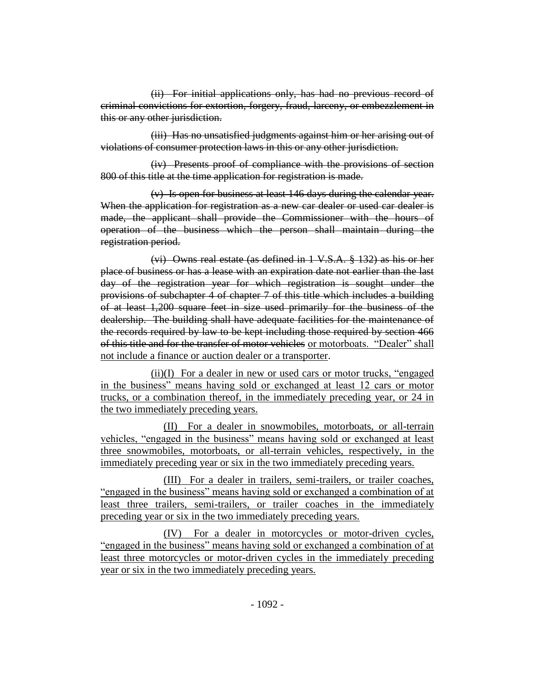(ii) For initial applications only, has had no previous record of criminal convictions for extortion, forgery, fraud, larceny, or embezzlement in this or any other jurisdiction.

(iii) Has no unsatisfied judgments against him or her arising out of violations of consumer protection laws in this or any other jurisdiction.

(iv) Presents proof of compliance with the provisions of section 800 of this title at the time application for registration is made.

(v) Is open for business at least 146 days during the calendar year. When the application for registration as a new car dealer or used car dealer is made, the applicant shall provide the Commissioner with the hours of operation of the business which the person shall maintain during the registration period.

(vi) Owns real estate (as defined in 1 V.S.A. § 132) as his or her place of business or has a lease with an expiration date not earlier than the last day of the registration year for which registration is sought under the provisions of subchapter 4 of chapter 7 of this title which includes a building of at least 1,200 square feet in size used primarily for the business of the dealership. The building shall have adequate facilities for the maintenance of the records required by law to be kept including those required by section 466 of this title and for the transfer of motor vehicles or motorboats. "Dealer" shall not include a finance or auction dealer or a transporter.

(ii)(I) For a dealer in new or used cars or motor trucks, "engaged in the business" means having sold or exchanged at least 12 cars or motor trucks, or a combination thereof, in the immediately preceding year, or 24 in the two immediately preceding years.

(II) For a dealer in snowmobiles, motorboats, or all-terrain vehicles, "engaged in the business" means having sold or exchanged at least three snowmobiles, motorboats, or all-terrain vehicles, respectively, in the immediately preceding year or six in the two immediately preceding years.

(III) For a dealer in trailers, semi-trailers, or trailer coaches, "engaged in the business" means having sold or exchanged a combination of at least three trailers, semi-trailers, or trailer coaches in the immediately preceding year or six in the two immediately preceding years.

(IV) For a dealer in motorcycles or motor-driven cycles, "engaged in the business" means having sold or exchanged a combination of at least three motorcycles or motor-driven cycles in the immediately preceding year or six in the two immediately preceding years.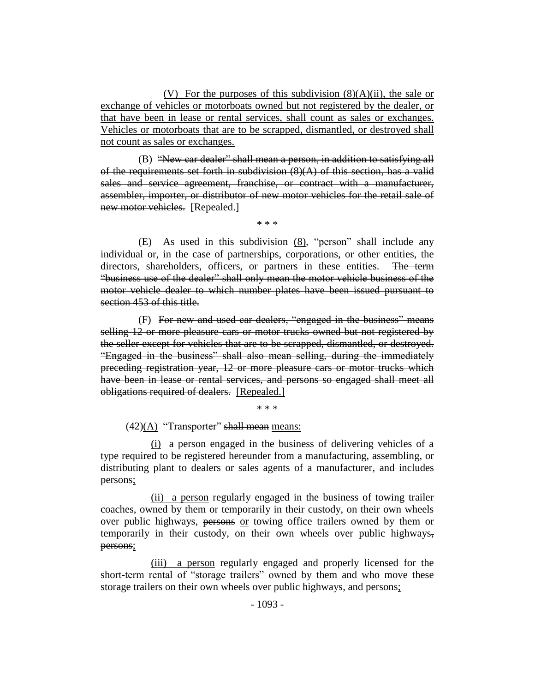(V) For the purposes of this subdivision  $(8)(A)(ii)$ , the sale or exchange of vehicles or motorboats owned but not registered by the dealer, or that have been in lease or rental services, shall count as sales or exchanges. Vehicles or motorboats that are to be scrapped, dismantled, or destroyed shall not count as sales or exchanges.

(B) "New car dealer" shall mean a person, in addition to satisfying all of the requirements set forth in subdivision  $(8)(A)$  of this section, has a valid sales and service agreement, franchise, or contract with a manufacturer, assembler, importer, or distributor of new motor vehicles for the retail sale of new motor vehicles. [Repealed.]

\* \* \*

(E) As used in this subdivision (8), "person" shall include any individual or, in the case of partnerships, corporations, or other entities, the directors, shareholders, officers, or partners in these entities. The term "business use of the dealer" shall only mean the motor vehicle business of the motor vehicle dealer to which number plates have been issued pursuant to section 453 of this title.

(F) For new and used car dealers, "engaged in the business" means selling 12 or more pleasure cars or motor trucks owned but not registered by the seller except for vehicles that are to be scrapped, dismantled, or destroyed. "Engaged in the business" shall also mean selling, during the immediately preceding registration year, 12 or more pleasure cars or motor trucks which have been in lease or rental services, and persons so engaged shall meet all obligations required of dealers. [Repealed.]

\* \* \*

 $(42)(A)$  "Transporter" shall mean means:

(i) a person engaged in the business of delivering vehicles of a type required to be registered hereunder from a manufacturing, assembling, or distributing plant to dealers or sales agents of a manufacturer, and includes persons;

(ii) a person regularly engaged in the business of towing trailer coaches, owned by them or temporarily in their custody, on their own wheels over public highways, persons or towing office trailers owned by them or temporarily in their custody, on their own wheels over public highways, persons;

(iii) a person regularly engaged and properly licensed for the short-term rental of "storage trailers" owned by them and who move these storage trailers on their own wheels over public highways, and persons;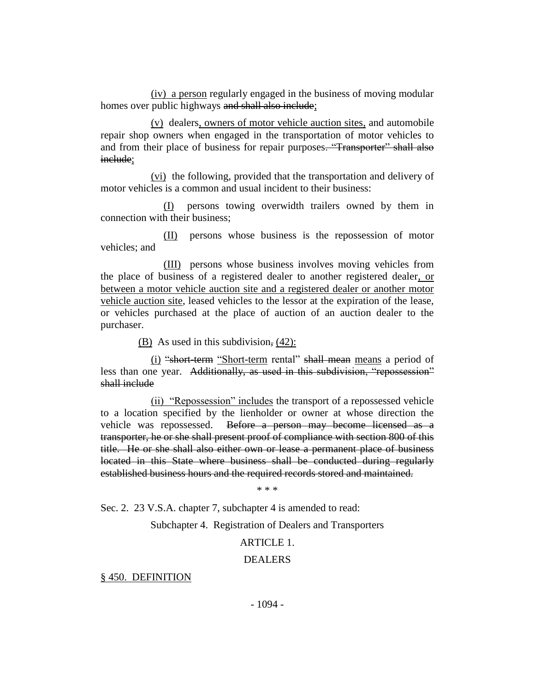(iv) a person regularly engaged in the business of moving modular homes over public highways and shall also include;

(v) dealers, owners of motor vehicle auction sites, and automobile repair shop owners when engaged in the transportation of motor vehicles to and from their place of business for repair purposes. "Transporter" shall also include;

(vi) the following, provided that the transportation and delivery of motor vehicles is a common and usual incident to their business:

(I) persons towing overwidth trailers owned by them in connection with their business;

(II) persons whose business is the repossession of motor vehicles; and

(III) persons whose business involves moving vehicles from the place of business of a registered dealer to another registered dealer, or between a motor vehicle auction site and a registered dealer or another motor vehicle auction site, leased vehicles to the lessor at the expiration of the lease, or vehicles purchased at the place of auction of an auction dealer to the purchaser.

(B) As used in this subdivision, (42):

(i) "short-term "Short-term rental" shall mean means a period of less than one year. Additionally, as used in this subdivision, "repossession" shall include

(ii) "Repossession" includes the transport of a repossessed vehicle to a location specified by the lienholder or owner at whose direction the vehicle was repossessed. Before a person may become licensed as a transporter, he or she shall present proof of compliance with section 800 of this title. He or she shall also either own or lease a permanent place of business located in this State where business shall be conducted during regularly established business hours and the required records stored and maintained.

\* \* \*

Sec. 2. 23 V.S.A. chapter 7, subchapter 4 is amended to read:

Subchapter 4. Registration of Dealers and Transporters

## ARTICLE 1.

### DEALERS

§ 450. DEFINITION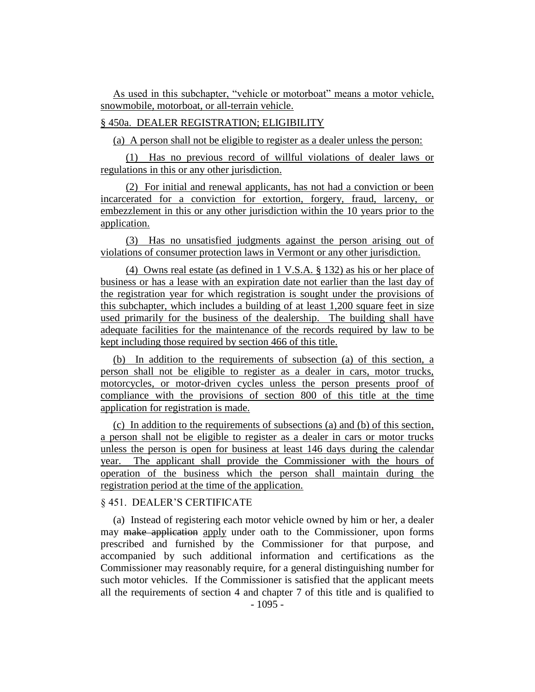As used in this subchapter, "vehicle or motorboat" means a motor vehicle, snowmobile, motorboat, or all-terrain vehicle.

## § 450a. DEALER REGISTRATION; ELIGIBILITY

(a) A person shall not be eligible to register as a dealer unless the person:

(1) Has no previous record of willful violations of dealer laws or regulations in this or any other jurisdiction.

(2) For initial and renewal applicants, has not had a conviction or been incarcerated for a conviction for extortion, forgery, fraud, larceny, or embezzlement in this or any other jurisdiction within the 10 years prior to the application.

(3) Has no unsatisfied judgments against the person arising out of violations of consumer protection laws in Vermont or any other jurisdiction.

(4) Owns real estate (as defined in 1 V.S.A. § 132) as his or her place of business or has a lease with an expiration date not earlier than the last day of the registration year for which registration is sought under the provisions of this subchapter, which includes a building of at least 1,200 square feet in size used primarily for the business of the dealership. The building shall have adequate facilities for the maintenance of the records required by law to be kept including those required by section 466 of this title.

(b) In addition to the requirements of subsection (a) of this section, a person shall not be eligible to register as a dealer in cars, motor trucks, motorcycles, or motor-driven cycles unless the person presents proof of compliance with the provisions of section 800 of this title at the time application for registration is made.

(c) In addition to the requirements of subsections (a) and (b) of this section, a person shall not be eligible to register as a dealer in cars or motor trucks unless the person is open for business at least 146 days during the calendar year. The applicant shall provide the Commissioner with the hours of operation of the business which the person shall maintain during the registration period at the time of the application.

# § 451. DEALER'S CERTIFICATE

(a) Instead of registering each motor vehicle owned by him or her, a dealer may make application apply under oath to the Commissioner, upon forms prescribed and furnished by the Commissioner for that purpose, and accompanied by such additional information and certifications as the Commissioner may reasonably require, for a general distinguishing number for such motor vehicles. If the Commissioner is satisfied that the applicant meets all the requirements of section 4 and chapter 7 of this title and is qualified to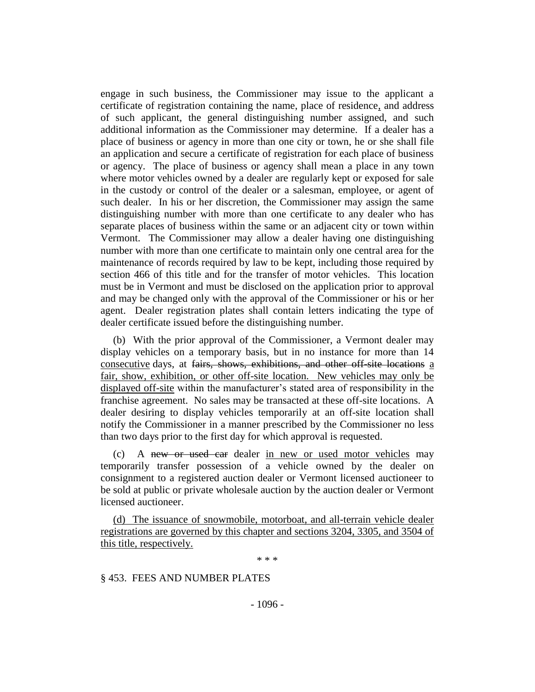engage in such business, the Commissioner may issue to the applicant a certificate of registration containing the name, place of residence, and address of such applicant, the general distinguishing number assigned, and such additional information as the Commissioner may determine. If a dealer has a place of business or agency in more than one city or town, he or she shall file an application and secure a certificate of registration for each place of business or agency. The place of business or agency shall mean a place in any town where motor vehicles owned by a dealer are regularly kept or exposed for sale in the custody or control of the dealer or a salesman, employee, or agent of such dealer. In his or her discretion, the Commissioner may assign the same distinguishing number with more than one certificate to any dealer who has separate places of business within the same or an adjacent city or town within Vermont. The Commissioner may allow a dealer having one distinguishing number with more than one certificate to maintain only one central area for the maintenance of records required by law to be kept, including those required by section 466 of this title and for the transfer of motor vehicles. This location must be in Vermont and must be disclosed on the application prior to approval and may be changed only with the approval of the Commissioner or his or her agent. Dealer registration plates shall contain letters indicating the type of dealer certificate issued before the distinguishing number.

(b) With the prior approval of the Commissioner, a Vermont dealer may display vehicles on a temporary basis, but in no instance for more than 14 consecutive days, at fairs, shows, exhibitions, and other off-site locations a fair, show, exhibition, or other off-site location. New vehicles may only be displayed off-site within the manufacturer's stated area of responsibility in the franchise agreement. No sales may be transacted at these off-site locations. A dealer desiring to display vehicles temporarily at an off-site location shall notify the Commissioner in a manner prescribed by the Commissioner no less than two days prior to the first day for which approval is requested.

(c) A new or used car dealer in new or used motor vehicles may temporarily transfer possession of a vehicle owned by the dealer on consignment to a registered auction dealer or Vermont licensed auctioneer to be sold at public or private wholesale auction by the auction dealer or Vermont licensed auctioneer.

(d) The issuance of snowmobile, motorboat, and all-terrain vehicle dealer registrations are governed by this chapter and sections 3204, 3305, and 3504 of this title, respectively.

\* \* \*

§ 453. FEES AND NUMBER PLATES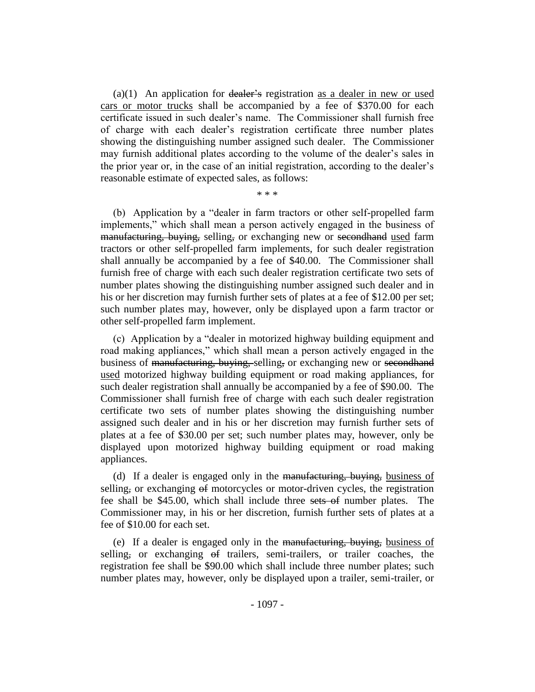$(a)(1)$  An application for dealer's registration as a dealer in new or used cars or motor trucks shall be accompanied by a fee of \$370.00 for each certificate issued in such dealer's name. The Commissioner shall furnish free of charge with each dealer's registration certificate three number plates showing the distinguishing number assigned such dealer. The Commissioner may furnish additional plates according to the volume of the dealer's sales in the prior year or, in the case of an initial registration, according to the dealer's reasonable estimate of expected sales, as follows:

\* \* \*

(b) Application by a "dealer in farm tractors or other self-propelled farm implements," which shall mean a person actively engaged in the business of manufacturing, buying, selling, or exchanging new or secondhand used farm tractors or other self-propelled farm implements, for such dealer registration shall annually be accompanied by a fee of \$40.00. The Commissioner shall furnish free of charge with each such dealer registration certificate two sets of number plates showing the distinguishing number assigned such dealer and in his or her discretion may furnish further sets of plates at a fee of \$12.00 per set; such number plates may, however, only be displayed upon a farm tractor or other self-propelled farm implement.

(c) Application by a "dealer in motorized highway building equipment and road making appliances," which shall mean a person actively engaged in the business of manufacturing, buying, selling, or exchanging new or secondhand used motorized highway building equipment or road making appliances, for such dealer registration shall annually be accompanied by a fee of \$90.00. The Commissioner shall furnish free of charge with each such dealer registration certificate two sets of number plates showing the distinguishing number assigned such dealer and in his or her discretion may furnish further sets of plates at a fee of \$30.00 per set; such number plates may, however, only be displayed upon motorized highway building equipment or road making appliances.

(d) If a dealer is engaged only in the manufacturing, buying, business of selling, or exchanging  $\theta$  motorcycles or motor-driven cycles, the registration fee shall be \$45.00, which shall include three sets of number plates. The Commissioner may, in his or her discretion, furnish further sets of plates at a fee of \$10.00 for each set.

(e) If a dealer is engaged only in the manufacturing, buying, business of selling, or exchanging  $\theta$  trailers, semi-trailers, or trailer coaches, the registration fee shall be \$90.00 which shall include three number plates; such number plates may, however, only be displayed upon a trailer, semi-trailer, or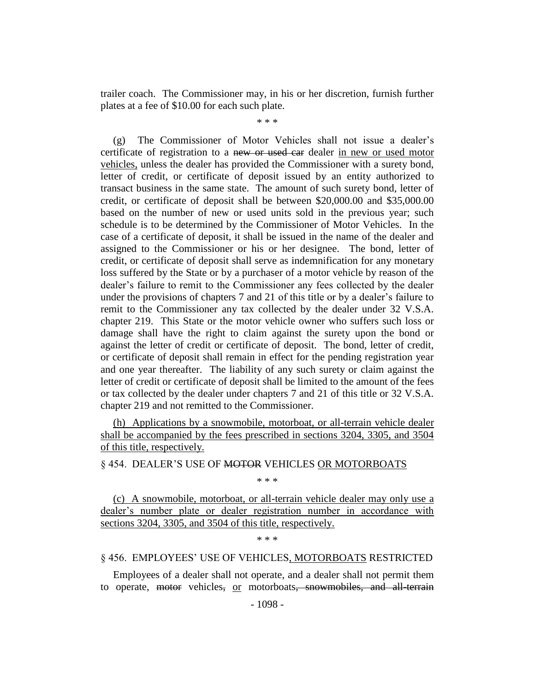trailer coach. The Commissioner may, in his or her discretion, furnish further plates at a fee of \$10.00 for each such plate.

\* \* \*

(g) The Commissioner of Motor Vehicles shall not issue a dealer's certificate of registration to a new or used car dealer in new or used motor vehicles, unless the dealer has provided the Commissioner with a surety bond, letter of credit, or certificate of deposit issued by an entity authorized to transact business in the same state. The amount of such surety bond, letter of credit, or certificate of deposit shall be between \$20,000.00 and \$35,000.00 based on the number of new or used units sold in the previous year; such schedule is to be determined by the Commissioner of Motor Vehicles. In the case of a certificate of deposit, it shall be issued in the name of the dealer and assigned to the Commissioner or his or her designee. The bond, letter of credit, or certificate of deposit shall serve as indemnification for any monetary loss suffered by the State or by a purchaser of a motor vehicle by reason of the dealer's failure to remit to the Commissioner any fees collected by the dealer under the provisions of chapters 7 and 21 of this title or by a dealer's failure to remit to the Commissioner any tax collected by the dealer under 32 V.S.A. chapter 219. This State or the motor vehicle owner who suffers such loss or damage shall have the right to claim against the surety upon the bond or against the letter of credit or certificate of deposit. The bond, letter of credit, or certificate of deposit shall remain in effect for the pending registration year and one year thereafter. The liability of any such surety or claim against the letter of credit or certificate of deposit shall be limited to the amount of the fees or tax collected by the dealer under chapters 7 and 21 of this title or 32 V.S.A. chapter 219 and not remitted to the Commissioner.

(h) Applications by a snowmobile, motorboat, or all-terrain vehicle dealer shall be accompanied by the fees prescribed in sections 3204, 3305, and 3504 of this title, respectively.

§ 454. DEALER'S USE OF MOTOR VEHICLES OR MOTORBOATS

\* \* \*

(c) A snowmobile, motorboat, or all-terrain vehicle dealer may only use a dealer's number plate or dealer registration number in accordance with sections 3204, 3305, and 3504 of this title, respectively.

\* \* \*

### § 456. EMPLOYEES' USE OF VEHICLES, MOTORBOATS RESTRICTED

Employees of a dealer shall not operate, and a dealer shall not permit them to operate, motor vehicles, or motorboats, snowmobiles, and all-terrain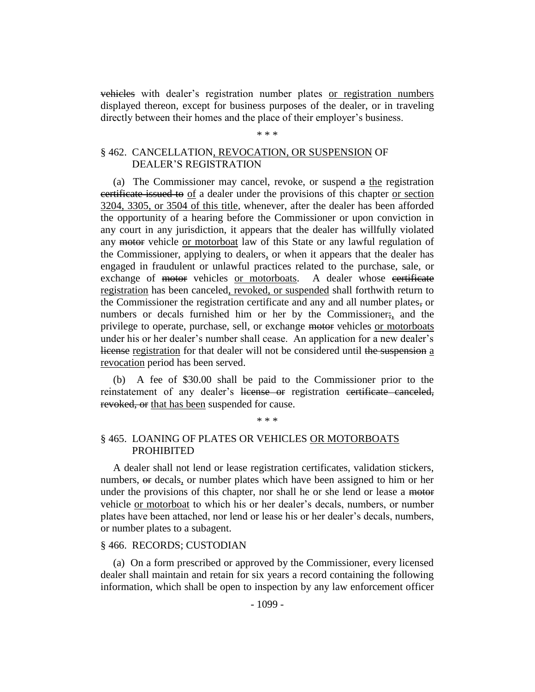vehicles with dealer's registration number plates or registration numbers displayed thereon, except for business purposes of the dealer, or in traveling directly between their homes and the place of their employer's business.

# \* \* \*

## § 462. CANCELLATION, REVOCATION, OR SUSPENSION OF DEALER'S REGISTRATION

(a) The Commissioner may cancel, revoke, or suspend a the registration certificate issued to of a dealer under the provisions of this chapter or section 3204, 3305, or 3504 of this title, whenever, after the dealer has been afforded the opportunity of a hearing before the Commissioner or upon conviction in any court in any jurisdiction, it appears that the dealer has willfully violated any motor vehicle or motorboat law of this State or any lawful regulation of the Commissioner, applying to dealers, or when it appears that the dealer has engaged in fraudulent or unlawful practices related to the purchase, sale, or exchange of motor vehicles or motorboats. A dealer whose certificate registration has been canceled, revoked, or suspended shall forthwith return to the Commissioner the registration certificate and any and all number plates, or numbers or decals furnished him or her by the Commissioner; and the privilege to operate, purchase, sell, or exchange motor vehicles or motorboats under his or her dealer's number shall cease. An application for a new dealer's license registration for that dealer will not be considered until the suspension a revocation period has been served.

(b) A fee of \$30.00 shall be paid to the Commissioner prior to the reinstatement of any dealer's license or registration certificate canceled, revoked, or that has been suspended for cause.

#### \* \* \*

## § 465. LOANING OF PLATES OR VEHICLES OR MOTORBOATS PROHIBITED

A dealer shall not lend or lease registration certificates, validation stickers, numbers, or decals, or number plates which have been assigned to him or her under the provisions of this chapter, nor shall he or she lend or lease a motor vehicle or motorboat to which his or her dealer's decals, numbers, or number plates have been attached, nor lend or lease his or her dealer's decals, numbers, or number plates to a subagent.

### § 466. RECORDS; CUSTODIAN

(a) On a form prescribed or approved by the Commissioner, every licensed dealer shall maintain and retain for six years a record containing the following information, which shall be open to inspection by any law enforcement officer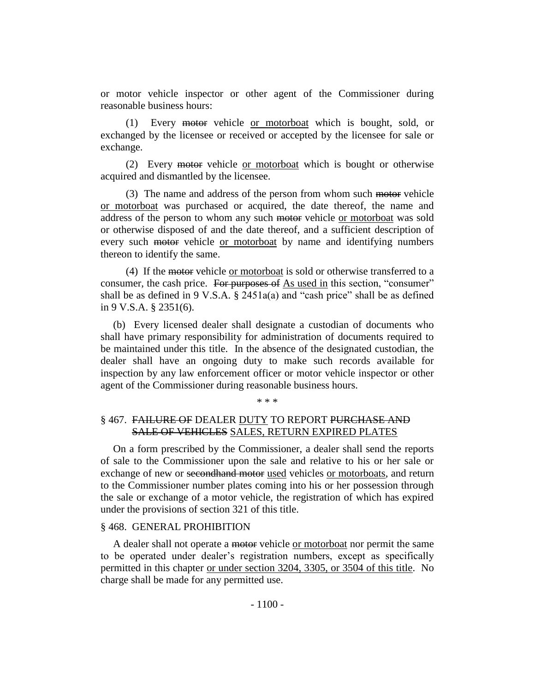or motor vehicle inspector or other agent of the Commissioner during reasonable business hours:

(1) Every motor vehicle or motorboat which is bought, sold, or exchanged by the licensee or received or accepted by the licensee for sale or exchange.

(2) Every motor vehicle or motorboat which is bought or otherwise acquired and dismantled by the licensee.

(3) The name and address of the person from whom such motor vehicle or motorboat was purchased or acquired, the date thereof, the name and address of the person to whom any such motor vehicle or motorboat was sold or otherwise disposed of and the date thereof, and a sufficient description of every such motor vehicle or motorboat by name and identifying numbers thereon to identify the same.

(4) If the motor vehicle or motorboat is sold or otherwise transferred to a consumer, the cash price. For purposes of As used in this section, "consumer" shall be as defined in 9 V.S.A.  $\S$  2451a(a) and "cash price" shall be as defined in 9 V.S.A. § 2351(6).

(b) Every licensed dealer shall designate a custodian of documents who shall have primary responsibility for administration of documents required to be maintained under this title. In the absence of the designated custodian, the dealer shall have an ongoing duty to make such records available for inspection by any law enforcement officer or motor vehicle inspector or other agent of the Commissioner during reasonable business hours.

\* \* \*

## § 467. FAILURE OF DEALER DUTY TO REPORT PURCHASE AND SALE OF VEHICLES SALES, RETURN EXPIRED PLATES

On a form prescribed by the Commissioner, a dealer shall send the reports of sale to the Commissioner upon the sale and relative to his or her sale or exchange of new or secondhand motor used vehicles or motorboats, and return to the Commissioner number plates coming into his or her possession through the sale or exchange of a motor vehicle, the registration of which has expired under the provisions of section 321 of this title.

### § 468. GENERAL PROHIBITION

A dealer shall not operate a motor vehicle or motorboat nor permit the same to be operated under dealer's registration numbers, except as specifically permitted in this chapter or under section 3204, 3305, or 3504 of this title. No charge shall be made for any permitted use.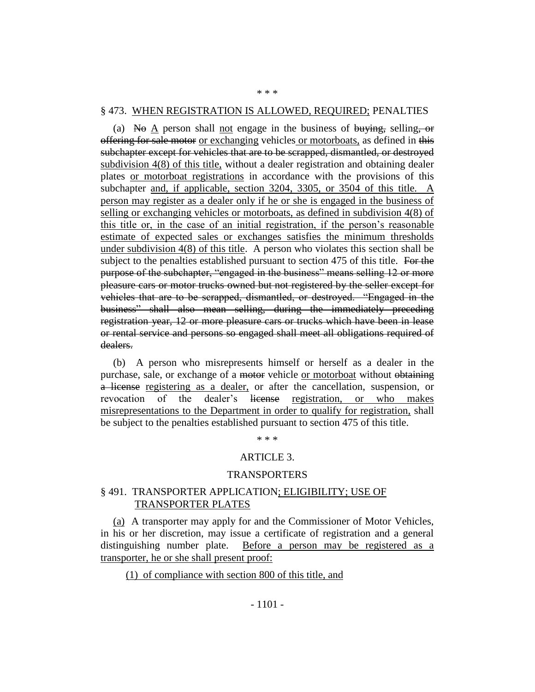#### § 473. WHEN REGISTRATION IS ALLOWED, REQUIRED; PENALTIES

\* \* \*

(a) No  $\underline{A}$  person shall <u>not</u> engage in the business of buying, selling, or offering for sale motor or exchanging vehicles or motorboats, as defined in this subchapter except for vehicles that are to be scrapped, dismantled, or destroyed subdivision 4(8) of this title, without a dealer registration and obtaining dealer plates or motorboat registrations in accordance with the provisions of this subchapter and, if applicable, section 3204, 3305, or 3504 of this title. A person may register as a dealer only if he or she is engaged in the business of selling or exchanging vehicles or motorboats, as defined in subdivision 4(8) of this title or, in the case of an initial registration, if the person's reasonable estimate of expected sales or exchanges satisfies the minimum thresholds under subdivision  $4(8)$  of this title. A person who violates this section shall be subject to the penalties established pursuant to section 475 of this title. For the purpose of the subchapter, "engaged in the business" means selling 12 or more pleasure cars or motor trucks owned but not registered by the seller except for vehicles that are to be scrapped, dismantled, or destroyed. "Engaged in the business" shall also mean selling, during the immediately preceding registration year, 12 or more pleasure cars or trucks which have been in lease or rental service and persons so engaged shall meet all obligations required of dealers.

(b) A person who misrepresents himself or herself as a dealer in the purchase, sale, or exchange of a motor vehicle or motorboat without obtaining a license registering as a dealer, or after the cancellation, suspension, or revocation of the dealer's license registration, or who makes misrepresentations to the Department in order to qualify for registration, shall be subject to the penalties established pursuant to section 475 of this title.

\* \* \*

### ARTICLE 3.

#### TRANSPORTERS

## § 491. TRANSPORTER APPLICATION; ELIGIBILITY; USE OF TRANSPORTER PLATES

(a) A transporter may apply for and the Commissioner of Motor Vehicles, in his or her discretion, may issue a certificate of registration and a general distinguishing number plate. Before a person may be registered as a transporter, he or she shall present proof:

(1) of compliance with section 800 of this title, and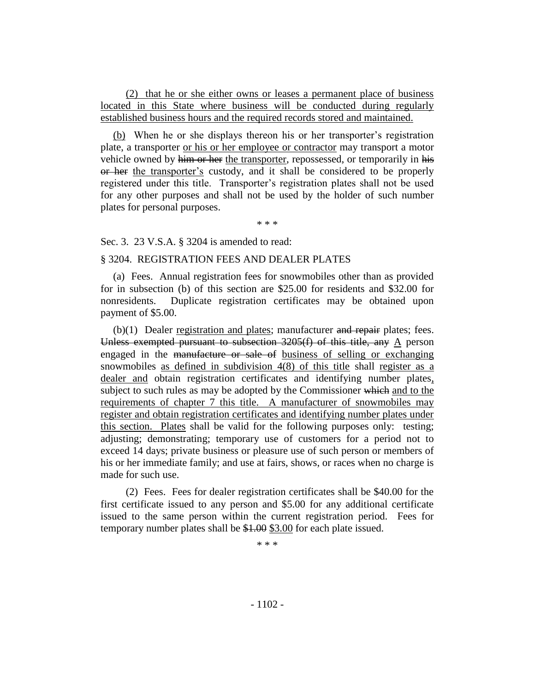(2) that he or she either owns or leases a permanent place of business located in this State where business will be conducted during regularly established business hours and the required records stored and maintained.

(b) When he or she displays thereon his or her transporter's registration plate, a transporter or his or her employee or contractor may transport a motor vehicle owned by him or her the transporter, repossessed, or temporarily in his or her the transporter's custody, and it shall be considered to be properly registered under this title. Transporter's registration plates shall not be used for any other purposes and shall not be used by the holder of such number plates for personal purposes.

\* \* \*

Sec. 3. 23 V.S.A. § 3204 is amended to read:

## § 3204. REGISTRATION FEES AND DEALER PLATES

(a) Fees. Annual registration fees for snowmobiles other than as provided for in subsection (b) of this section are \$25.00 for residents and \$32.00 for nonresidents. Duplicate registration certificates may be obtained upon payment of \$5.00.

 $(b)(1)$  Dealer registration and plates; manufacturer and repair plates; fees. Unless exempted pursuant to subsection 3205(f) of this title, any A person engaged in the manufacture or sale of business of selling or exchanging snowmobiles as defined in subdivision 4(8) of this title shall register as a dealer and obtain registration certificates and identifying number plates, subject to such rules as may be adopted by the Commissioner which and to the requirements of chapter 7 this title. A manufacturer of snowmobiles may register and obtain registration certificates and identifying number plates under this section. Plates shall be valid for the following purposes only: testing; adjusting; demonstrating; temporary use of customers for a period not to exceed 14 days; private business or pleasure use of such person or members of his or her immediate family; and use at fairs, shows, or races when no charge is made for such use.

(2) Fees. Fees for dealer registration certificates shall be \$40.00 for the first certificate issued to any person and \$5.00 for any additional certificate issued to the same person within the current registration period. Fees for temporary number plates shall be \$1.00 \$3.00 for each plate issued.

\* \* \*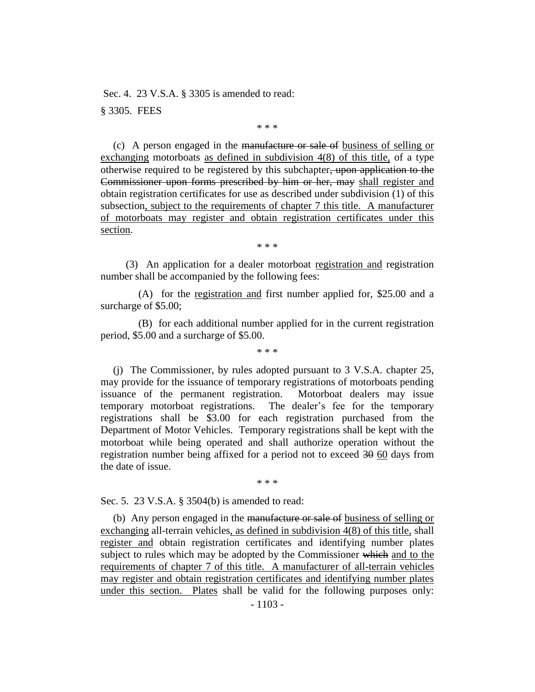Sec. 4. 23 V.S.A. § 3305 is amended to read: § 3305. FEES

\* \* \*

(c) A person engaged in the manufacture or sale of business of selling or exchanging motorboats as defined in subdivision 4(8) of this title, of a type otherwise required to be registered by this subchapter, upon application to the Commissioner upon forms prescribed by him or her, may shall register and obtain registration certificates for use as described under subdivision (1) of this subsection, subject to the requirements of chapter 7 this title. A manufacturer of motorboats may register and obtain registration certificates under this section.

\* \* \*

(3) An application for a dealer motorboat registration and registration number shall be accompanied by the following fees:

(A) for the registration and first number applied for, \$25.00 and a surcharge of \$5.00;

(B) for each additional number applied for in the current registration period, \$5.00 and a surcharge of \$5.00.

\* \* \*

(j) The Commissioner, by rules adopted pursuant to 3 V.S.A. chapter 25, may provide for the issuance of temporary registrations of motorboats pending issuance of the permanent registration. Motorboat dealers may issue temporary motorboat registrations. The dealer's fee for the temporary registrations shall be \$3.00 for each registration purchased from the Department of Motor Vehicles. Temporary registrations shall be kept with the motorboat while being operated and shall authorize operation without the registration number being affixed for a period not to exceed 30 60 days from the date of issue.

\* \* \*

Sec. 5. 23 V.S.A. § 3504(b) is amended to read:

(b) Any person engaged in the manufacture or sale of business of selling or exchanging all-terrain vehicles, as defined in subdivision 4(8) of this title, shall register and obtain registration certificates and identifying number plates subject to rules which may be adopted by the Commissioner which and to the requirements of chapter 7 of this title. A manufacturer of all-terrain vehicles may register and obtain registration certificates and identifying number plates under this section. Plates shall be valid for the following purposes only: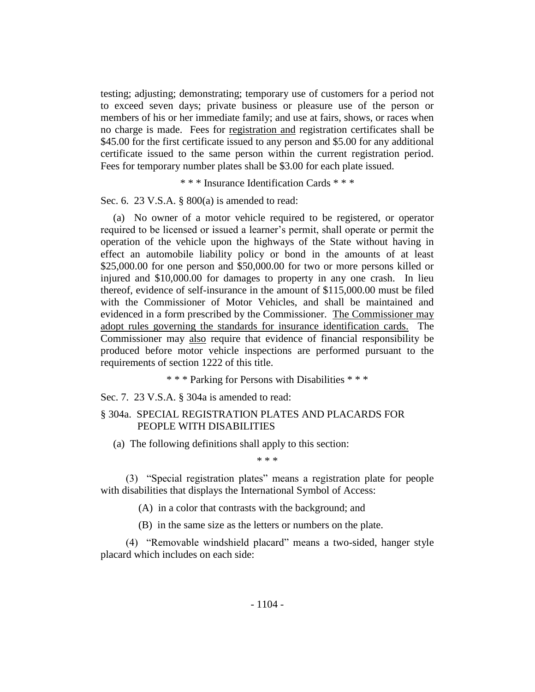testing; adjusting; demonstrating; temporary use of customers for a period not to exceed seven days; private business or pleasure use of the person or members of his or her immediate family; and use at fairs, shows, or races when no charge is made. Fees for registration and registration certificates shall be \$45.00 for the first certificate issued to any person and \$5.00 for any additional certificate issued to the same person within the current registration period. Fees for temporary number plates shall be \$3.00 for each plate issued.

\* \* \* Insurance Identification Cards \* \* \*

Sec. 6. 23 V.S.A. § 800(a) is amended to read:

(a) No owner of a motor vehicle required to be registered, or operator required to be licensed or issued a learner's permit, shall operate or permit the operation of the vehicle upon the highways of the State without having in effect an automobile liability policy or bond in the amounts of at least \$25,000.00 for one person and \$50,000.00 for two or more persons killed or injured and \$10,000.00 for damages to property in any one crash. In lieu thereof, evidence of self-insurance in the amount of \$115,000.00 must be filed with the Commissioner of Motor Vehicles, and shall be maintained and evidenced in a form prescribed by the Commissioner. The Commissioner may adopt rules governing the standards for insurance identification cards. The Commissioner may also require that evidence of financial responsibility be produced before motor vehicle inspections are performed pursuant to the requirements of section 1222 of this title.

\* \* \* Parking for Persons with Disabilities \* \* \*

Sec. 7. 23 V.S.A. § 304a is amended to read:

# § 304a. SPECIAL REGISTRATION PLATES AND PLACARDS FOR PEOPLE WITH DISABILITIES

(a) The following definitions shall apply to this section:

\* \* \*

(3) "Special registration plates" means a registration plate for people with disabilities that displays the International Symbol of Access:

(A) in a color that contrasts with the background; and

(B) in the same size as the letters or numbers on the plate.

(4) "Removable windshield placard" means a two-sided, hanger style placard which includes on each side: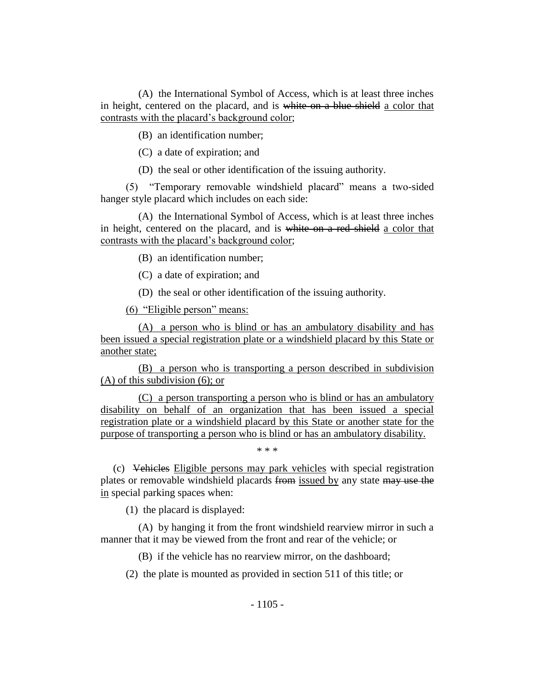(A) the International Symbol of Access, which is at least three inches in height, centered on the placard, and is white on a blue shield a color that contrasts with the placard's background color;

(B) an identification number;

(C) a date of expiration; and

(D) the seal or other identification of the issuing authority.

(5) "Temporary removable windshield placard" means a two-sided hanger style placard which includes on each side:

(A) the International Symbol of Access, which is at least three inches in height, centered on the placard, and is white on a red shield a color that contrasts with the placard's background color;

(B) an identification number;

(C) a date of expiration; and

(D) the seal or other identification of the issuing authority.

(6) "Eligible person" means:

(A) a person who is blind or has an ambulatory disability and has been issued a special registration plate or a windshield placard by this State or another state;

(B) a person who is transporting a person described in subdivision (A) of this subdivision (6); or

(C) a person transporting a person who is blind or has an ambulatory disability on behalf of an organization that has been issued a special registration plate or a windshield placard by this State or another state for the purpose of transporting a person who is blind or has an ambulatory disability.

\* \* \*

(c) Vehicles Eligible persons may park vehicles with special registration plates or removable windshield placards from issued by any state may use the in special parking spaces when:

(1) the placard is displayed:

(A) by hanging it from the front windshield rearview mirror in such a manner that it may be viewed from the front and rear of the vehicle; or

(B) if the vehicle has no rearview mirror, on the dashboard;

(2) the plate is mounted as provided in section 511 of this title; or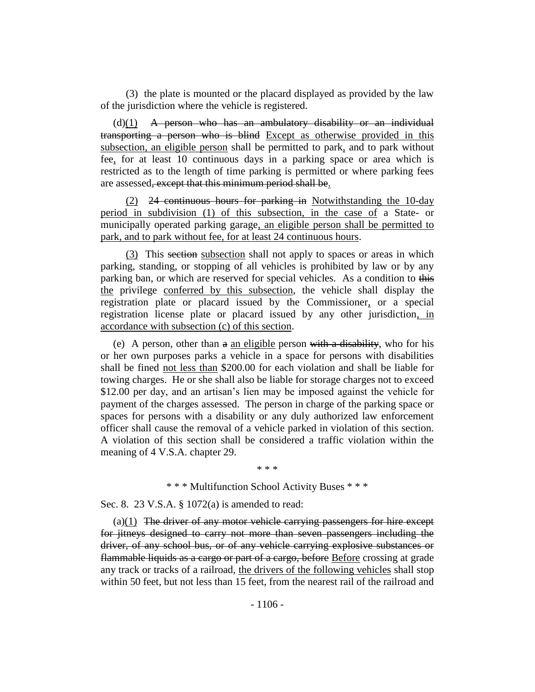(3) the plate is mounted or the placard displayed as provided by the law of the jurisdiction where the vehicle is registered.

 $(d)(1)$  A person who has an ambulatory disability or an individual transporting a person who is blind Except as otherwise provided in this subsection, an eligible person shall be permitted to park, and to park without fee, for at least 10 continuous days in a parking space or area which is restricted as to the length of time parking is permitted or where parking fees are assessed, except that this minimum period shall be.

(2) 24 continuous hours for parking in Notwithstanding the 10-day period in subdivision (1) of this subsection, in the case of a State- or municipally operated parking garage, an eligible person shall be permitted to park, and to park without fee, for at least 24 continuous hours.

(3) This section subsection shall not apply to spaces or areas in which parking, standing, or stopping of all vehicles is prohibited by law or by any parking ban, or which are reserved for special vehicles. As a condition to this the privilege conferred by this subsection, the vehicle shall display the registration plate or placard issued by the Commissioner, or a special registration license plate or placard issued by any other jurisdiction, in accordance with subsection (c) of this section.

(e) A person, other than  $a$  an eligible person with a disability, who for his or her own purposes parks a vehicle in a space for persons with disabilities shall be fined not less than \$200.00 for each violation and shall be liable for towing charges. He or she shall also be liable for storage charges not to exceed \$12.00 per day, and an artisan's lien may be imposed against the vehicle for payment of the charges assessed. The person in charge of the parking space or spaces for persons with a disability or any duly authorized law enforcement officer shall cause the removal of a vehicle parked in violation of this section. A violation of this section shall be considered a traffic violation within the meaning of 4 V.S.A. chapter 29.

\* \* \*

#### \* \* \* Multifunction School Activity Buses \* \* \*

Sec. 8. 23 V.S.A. § 1072(a) is amended to read:

 $(a)(1)$  The driver of any motor vehicle carrying passengers for hire except for jitneys designed to carry not more than seven passengers including the driver, of any school bus, or of any vehicle carrying explosive substances or flammable liquids as a cargo or part of a cargo, before Before crossing at grade any track or tracks of a railroad, the drivers of the following vehicles shall stop within 50 feet, but not less than 15 feet, from the nearest rail of the railroad and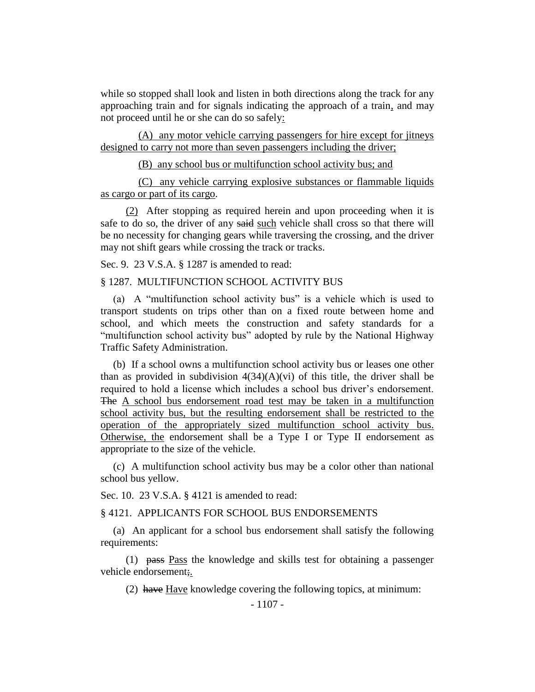while so stopped shall look and listen in both directions along the track for any approaching train and for signals indicating the approach of a train, and may not proceed until he or she can do so safely:

(A) any motor vehicle carrying passengers for hire except for jitneys designed to carry not more than seven passengers including the driver;

(B) any school bus or multifunction school activity bus; and

(C) any vehicle carrying explosive substances or flammable liquids as cargo or part of its cargo.

(2) After stopping as required herein and upon proceeding when it is safe to do so, the driver of any said such vehicle shall cross so that there will be no necessity for changing gears while traversing the crossing, and the driver may not shift gears while crossing the track or tracks.

Sec. 9. 23 V.S.A. § 1287 is amended to read:

## § 1287. MULTIFUNCTION SCHOOL ACTIVITY BUS

(a) A "multifunction school activity bus" is a vehicle which is used to transport students on trips other than on a fixed route between home and school, and which meets the construction and safety standards for a "multifunction school activity bus" adopted by rule by the National Highway Traffic Safety Administration.

(b) If a school owns a multifunction school activity bus or leases one other than as provided in subdivision  $4(34)(A)(vi)$  of this title, the driver shall be required to hold a license which includes a school bus driver's endorsement. The A school bus endorsement road test may be taken in a multifunction school activity bus, but the resulting endorsement shall be restricted to the operation of the appropriately sized multifunction school activity bus. Otherwise, the endorsement shall be a Type I or Type II endorsement as appropriate to the size of the vehicle.

(c) A multifunction school activity bus may be a color other than national school bus yellow.

Sec. 10. 23 V.S.A. § 4121 is amended to read:

§ 4121. APPLICANTS FOR SCHOOL BUS ENDORSEMENTS

(a) An applicant for a school bus endorsement shall satisfy the following requirements:

(1) pass Pass the knowledge and skills test for obtaining a passenger vehicle endorsement;

(2) have Have knowledge covering the following topics, at minimum: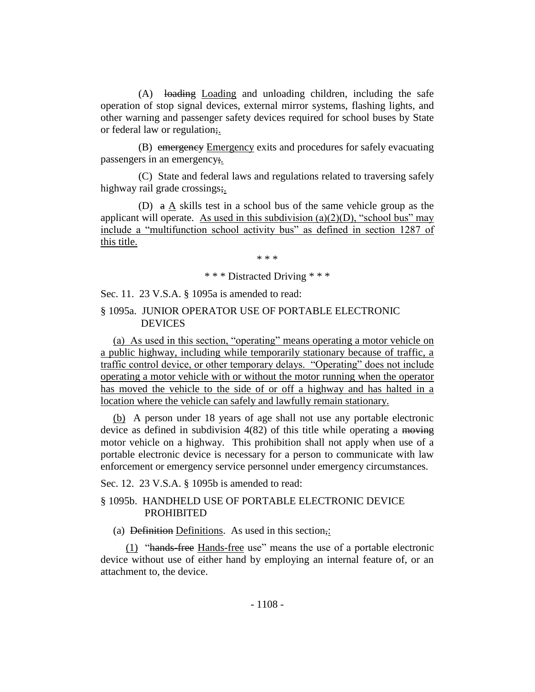(A) loading Loading and unloading children, including the safe operation of stop signal devices, external mirror systems, flashing lights, and other warning and passenger safety devices required for school buses by State or federal law or regulation;.

(B) emergency Emergency exits and procedures for safely evacuating passengers in an emergency;.

(C) State and federal laws and regulations related to traversing safely highway rail grade crossings;.

(D) a A skills test in a school bus of the same vehicle group as the applicant will operate. As used in this subdivision  $(a)(2)(D)$ , "school bus" may include a "multifunction school activity bus" as defined in section 1287 of this title.

\* \* \*

\* \* \* Distracted Driving \* \* \*

Sec. 11. 23 V.S.A. § 1095a is amended to read:

## § 1095a. JUNIOR OPERATOR USE OF PORTABLE ELECTRONIC **DEVICES**

(a) As used in this section, "operating" means operating a motor vehicle on a public highway, including while temporarily stationary because of traffic, a traffic control device, or other temporary delays. "Operating" does not include operating a motor vehicle with or without the motor running when the operator has moved the vehicle to the side of or off a highway and has halted in a location where the vehicle can safely and lawfully remain stationary.

(b) A person under 18 years of age shall not use any portable electronic device as defined in subdivision 4(82) of this title while operating a moving motor vehicle on a highway. This prohibition shall not apply when use of a portable electronic device is necessary for a person to communicate with law enforcement or emergency service personnel under emergency circumstances.

Sec. 12. 23 V.S.A. § 1095b is amended to read:

## § 1095b. HANDHELD USE OF PORTABLE ELECTRONIC DEVICE PROHIBITED

(a) Definition Definitions. As used in this section,:

(1) "hands-free Hands-free use" means the use of a portable electronic device without use of either hand by employing an internal feature of, or an attachment to, the device.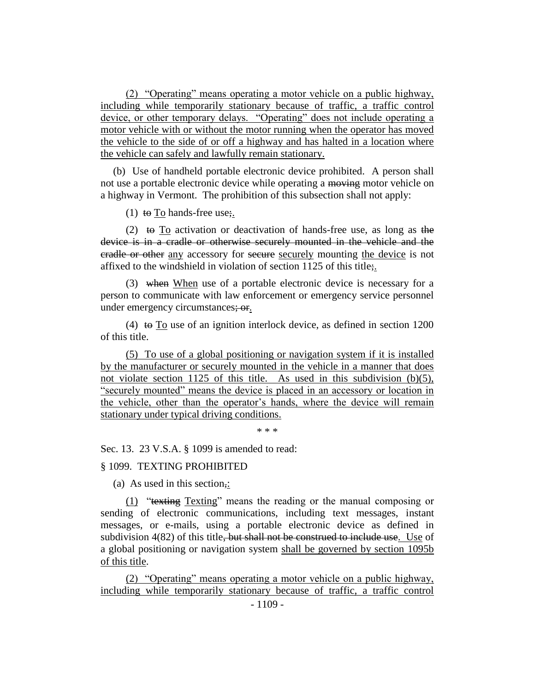(2) "Operating" means operating a motor vehicle on a public highway, including while temporarily stationary because of traffic, a traffic control device, or other temporary delays. "Operating" does not include operating a motor vehicle with or without the motor running when the operator has moved the vehicle to the side of or off a highway and has halted in a location where the vehicle can safely and lawfully remain stationary.

(b) Use of handheld portable electronic device prohibited. A person shall not use a portable electronic device while operating a moving motor vehicle on a highway in Vermont. The prohibition of this subsection shall not apply:

(1) to To hands-free use;

(2) to  $\overline{I_0}$  activation or deactivation of hands-free use, as long as the device is in a cradle or otherwise securely mounted in the vehicle and the eradle or other any accessory for secure securely mounting the device is not affixed to the windshield in violation of section 1125 of this title;.

(3) when When use of a portable electronic device is necessary for a person to communicate with law enforcement or emergency service personnel under emergency circumstances; or.

(4) to  $\overline{I_0}$  use of an ignition interlock device, as defined in section 1200 of this title.

(5) To use of a global positioning or navigation system if it is installed by the manufacturer or securely mounted in the vehicle in a manner that does not violate section 1125 of this title. As used in this subdivision (b)(5), "securely mounted" means the device is placed in an accessory or location in the vehicle, other than the operator's hands, where the device will remain stationary under typical driving conditions.

\* \* \*

Sec. 13. 23 V.S.A. § 1099 is amended to read:

## § 1099. TEXTING PROHIBITED

(a) As used in this section,:

(1) "texting Texting" means the reading or the manual composing or sending of electronic communications, including text messages, instant messages, or e-mails, using a portable electronic device as defined in subdivision  $4(82)$  of this title<del>, but shall not be construed to include use</del>. Use of a global positioning or navigation system shall be governed by section 1095b of this title.

(2) "Operating" means operating a motor vehicle on a public highway, including while temporarily stationary because of traffic, a traffic control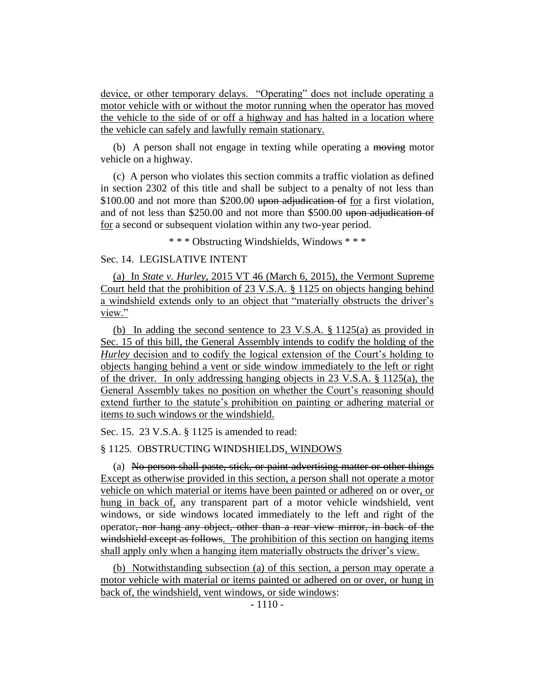device, or other temporary delays. "Operating" does not include operating a motor vehicle with or without the motor running when the operator has moved the vehicle to the side of or off a highway and has halted in a location where the vehicle can safely and lawfully remain stationary.

(b) A person shall not engage in texting while operating a moving motor vehicle on a highway.

(c) A person who violates this section commits a traffic violation as defined in section 2302 of this title and shall be subject to a penalty of not less than \$100.00 and not more than \$200.00 upon adjudication of for a first violation, and of not less than \$250.00 and not more than \$500.00 upon adjudication of for a second or subsequent violation within any two-year period.

\* \* \* Obstructing Windshields, Windows \* \* \*

# Sec. 14. LEGISLATIVE INTENT

(a) In *State v. Hurley*, 2015 VT 46 (March 6, 2015), the Vermont Supreme Court held that the prohibition of 23 V.S.A. § 1125 on objects hanging behind a windshield extends only to an object that "materially obstructs the driver's view."

(b) In adding the second sentence to 23 V.S.A. § 1125(a) as provided in Sec. 15 of this bill, the General Assembly intends to codify the holding of the *Hurley* decision and to codify the logical extension of the Court's holding to objects hanging behind a vent or side window immediately to the left or right of the driver. In only addressing hanging objects in 23 V.S.A. § 1125(a), the General Assembly takes no position on whether the Court's reasoning should extend further to the statute's prohibition on painting or adhering material or items to such windows or the windshield.

Sec. 15. 23 V.S.A. § 1125 is amended to read:

§ 1125. OBSTRUCTING WINDSHIELDS, WINDOWS

(a) No person shall paste, stick, or paint advertising matter or other things Except as otherwise provided in this section, a person shall not operate a motor vehicle on which material or items have been painted or adhered on or over, or hung in back of, any transparent part of a motor vehicle windshield, vent windows, or side windows located immediately to the left and right of the operator, nor hang any object, other than a rear view mirror, in back of the windshield except as follows. The prohibition of this section on hanging items shall apply only when a hanging item materially obstructs the driver's view.

(b) Notwithstanding subsection (a) of this section, a person may operate a motor vehicle with material or items painted or adhered on or over, or hung in back of, the windshield, vent windows, or side windows: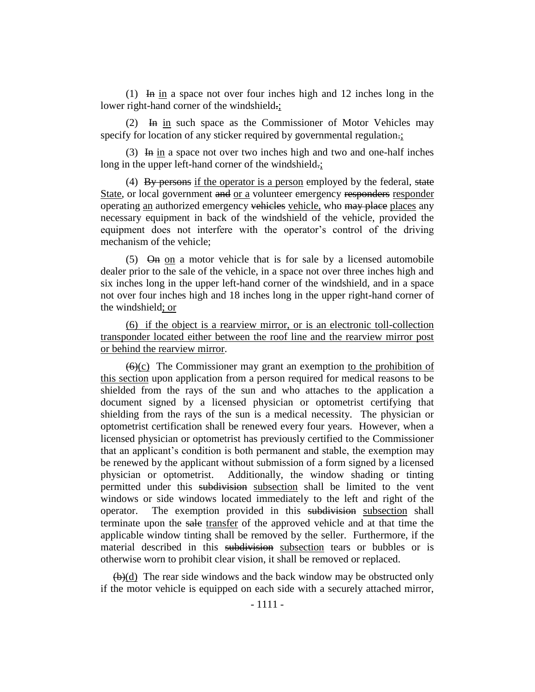(1) In in a space not over four inches high and 12 inches long in the lower right-hand corner of the windshield.;

(2)  $\overline{In}$  in such space as the Commissioner of Motor Vehicles may specify for location of any sticker required by governmental regulation.;

(3) In in a space not over two inches high and two and one-half inches long in the upper left-hand corner of the windshield.;

(4) By persons if the operator is a person employed by the federal, state State, or local government and or a volunteer emergency responders responder operating an authorized emergency vehicles vehicle, who may place places any necessary equipment in back of the windshield of the vehicle, provided the equipment does not interfere with the operator's control of the driving mechanism of the vehicle;

(5)  $\Theta$  m  $\Omega$  on a motor vehicle that is for sale by a licensed automobile dealer prior to the sale of the vehicle, in a space not over three inches high and six inches long in the upper left-hand corner of the windshield, and in a space not over four inches high and 18 inches long in the upper right-hand corner of the windshield; or

(6) if the object is a rearview mirror, or is an electronic toll-collection transponder located either between the roof line and the rearview mirror post or behind the rearview mirror.

 $(6)(c)$  The Commissioner may grant an exemption to the prohibition of this section upon application from a person required for medical reasons to be shielded from the rays of the sun and who attaches to the application a document signed by a licensed physician or optometrist certifying that shielding from the rays of the sun is a medical necessity. The physician or optometrist certification shall be renewed every four years. However, when a licensed physician or optometrist has previously certified to the Commissioner that an applicant's condition is both permanent and stable, the exemption may be renewed by the applicant without submission of a form signed by a licensed physician or optometrist. Additionally, the window shading or tinting permitted under this subdivision subsection shall be limited to the vent windows or side windows located immediately to the left and right of the operator. The exemption provided in this subsection subsection shall terminate upon the sale transfer of the approved vehicle and at that time the applicable window tinting shall be removed by the seller. Furthermore, if the material described in this subdivision subsection tears or bubbles or is otherwise worn to prohibit clear vision, it shall be removed or replaced.

 $\left(\frac{b}{d}\right)$  The rear side windows and the back window may be obstructed only if the motor vehicle is equipped on each side with a securely attached mirror,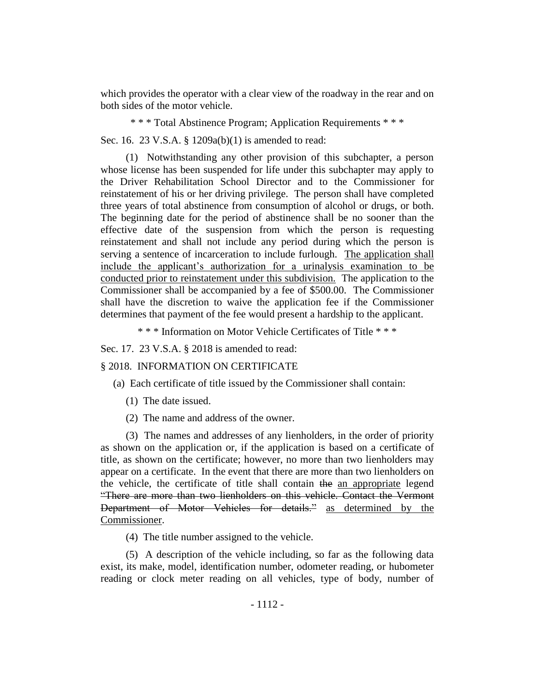which provides the operator with a clear view of the roadway in the rear and on both sides of the motor vehicle.

\* \* \* Total Abstinence Program; Application Requirements \* \* \*

Sec. 16. 23 V.S.A. § 1209a(b)(1) is amended to read:

(1) Notwithstanding any other provision of this subchapter, a person whose license has been suspended for life under this subchapter may apply to the Driver Rehabilitation School Director and to the Commissioner for reinstatement of his or her driving privilege. The person shall have completed three years of total abstinence from consumption of alcohol or drugs, or both. The beginning date for the period of abstinence shall be no sooner than the effective date of the suspension from which the person is requesting reinstatement and shall not include any period during which the person is serving a sentence of incarceration to include furlough. The application shall include the applicant's authorization for a urinalysis examination to be conducted prior to reinstatement under this subdivision. The application to the Commissioner shall be accompanied by a fee of \$500.00. The Commissioner shall have the discretion to waive the application fee if the Commissioner determines that payment of the fee would present a hardship to the applicant.

\* \* \* Information on Motor Vehicle Certificates of Title \* \* \*

Sec. 17. 23 V.S.A. § 2018 is amended to read:

§ 2018. INFORMATION ON CERTIFICATE

(a) Each certificate of title issued by the Commissioner shall contain:

- (1) The date issued.
- (2) The name and address of the owner.

(3) The names and addresses of any lienholders, in the order of priority as shown on the application or, if the application is based on a certificate of title, as shown on the certificate; however, no more than two lienholders may appear on a certificate. In the event that there are more than two lienholders on the vehicle, the certificate of title shall contain the an appropriate legend "There are more than two lienholders on this vehicle. Contact the Vermont Department of Motor Vehicles for details." as determined by the Commissioner.

(4) The title number assigned to the vehicle.

(5) A description of the vehicle including, so far as the following data exist, its make, model, identification number, odometer reading, or hubometer reading or clock meter reading on all vehicles, type of body, number of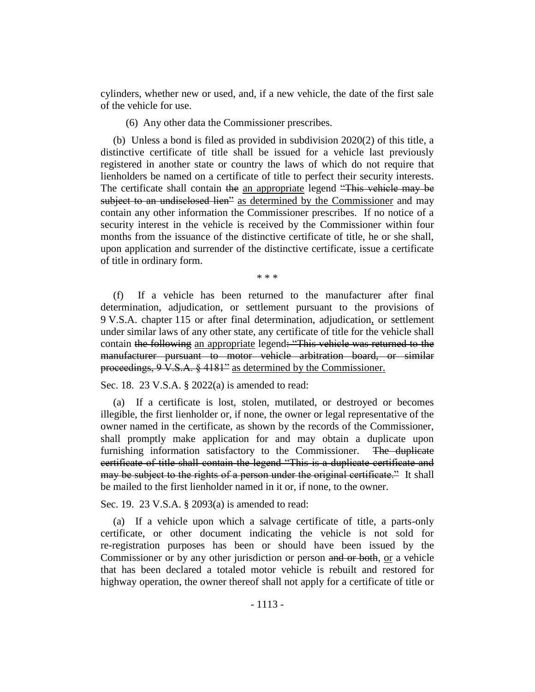cylinders, whether new or used, and, if a new vehicle, the date of the first sale of the vehicle for use.

(6) Any other data the Commissioner prescribes.

(b) Unless a bond is filed as provided in subdivision 2020(2) of this title, a distinctive certificate of title shall be issued for a vehicle last previously registered in another state or country the laws of which do not require that lienholders be named on a certificate of title to perfect their security interests. The certificate shall contain the an appropriate legend "This vehicle may be subject to an undisclosed lien" as determined by the Commissioner and may contain any other information the Commissioner prescribes. If no notice of a security interest in the vehicle is received by the Commissioner within four months from the issuance of the distinctive certificate of title, he or she shall, upon application and surrender of the distinctive certificate, issue a certificate of title in ordinary form.

\* \* \*

(f) If a vehicle has been returned to the manufacturer after final determination, adjudication, or settlement pursuant to the provisions of 9 V.S.A. chapter 115 or after final determination, adjudication, or settlement under similar laws of any other state, any certificate of title for the vehicle shall contain the following an appropriate legend: "This vehicle was returned to the manufacturer pursuant to motor vehicle arbitration board, or similar proceedings, 9 V.S.A. § 4181" as determined by the Commissioner.

Sec. 18. 23 V.S.A. § 2022(a) is amended to read:

(a) If a certificate is lost, stolen, mutilated, or destroyed or becomes illegible, the first lienholder or, if none, the owner or legal representative of the owner named in the certificate, as shown by the records of the Commissioner, shall promptly make application for and may obtain a duplicate upon furnishing information satisfactory to the Commissioner. The duplicate certificate of title shall contain the legend "This is a duplicate certificate and may be subject to the rights of a person under the original certificate." It shall be mailed to the first lienholder named in it or, if none, to the owner.

Sec. 19. 23 V.S.A. § 2093(a) is amended to read:

(a) If a vehicle upon which a salvage certificate of title, a parts-only certificate, or other document indicating the vehicle is not sold for re-registration purposes has been or should have been issued by the Commissioner or by any other jurisdiction or person and or both, or a vehicle that has been declared a totaled motor vehicle is rebuilt and restored for highway operation, the owner thereof shall not apply for a certificate of title or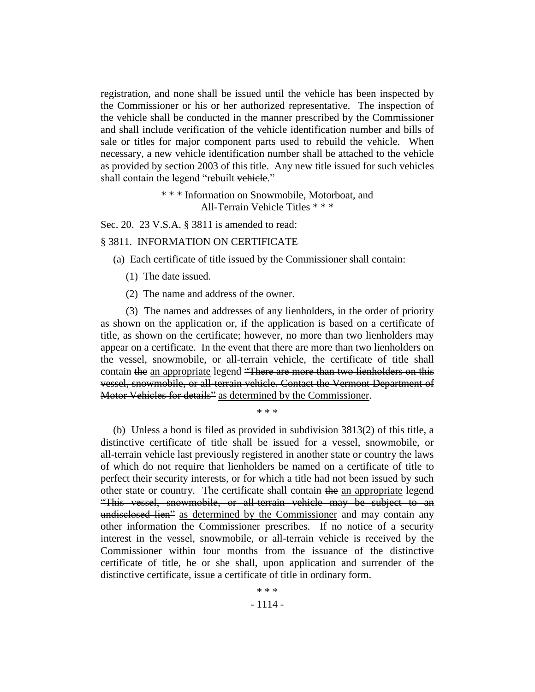registration, and none shall be issued until the vehicle has been inspected by the Commissioner or his or her authorized representative. The inspection of the vehicle shall be conducted in the manner prescribed by the Commissioner and shall include verification of the vehicle identification number and bills of sale or titles for major component parts used to rebuild the vehicle. When necessary, a new vehicle identification number shall be attached to the vehicle as provided by section 2003 of this title. Any new title issued for such vehicles shall contain the legend "rebuilt vehicle."

> \* \* \* Information on Snowmobile, Motorboat, and All-Terrain Vehicle Titles \* \* \*

Sec. 20. 23 V.S.A. § 3811 is amended to read:

#### § 3811. INFORMATION ON CERTIFICATE

(a) Each certificate of title issued by the Commissioner shall contain:

- (1) The date issued.
- (2) The name and address of the owner.

(3) The names and addresses of any lienholders, in the order of priority as shown on the application or, if the application is based on a certificate of title, as shown on the certificate; however, no more than two lienholders may appear on a certificate. In the event that there are more than two lienholders on the vessel, snowmobile, or all-terrain vehicle, the certificate of title shall contain the an appropriate legend "There are more than two lienholders on this vessel, snowmobile, or all-terrain vehicle. Contact the Vermont Department of Motor Vehicles for details" as determined by the Commissioner.

\* \* \*

(b) Unless a bond is filed as provided in subdivision 3813(2) of this title, a distinctive certificate of title shall be issued for a vessel, snowmobile, or all-terrain vehicle last previously registered in another state or country the laws of which do not require that lienholders be named on a certificate of title to perfect their security interests, or for which a title had not been issued by such other state or country. The certificate shall contain the an appropriate legend "This vessel, snowmobile, or all-terrain vehicle may be subject to an undisclosed lien" as determined by the Commissioner and may contain any other information the Commissioner prescribes. If no notice of a security interest in the vessel, snowmobile, or all-terrain vehicle is received by the Commissioner within four months from the issuance of the distinctive certificate of title, he or she shall, upon application and surrender of the distinctive certificate, issue a certificate of title in ordinary form.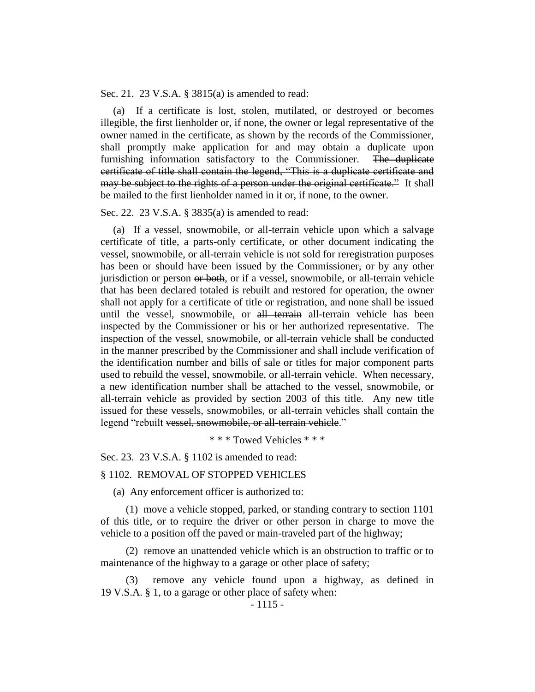Sec. 21. 23 V.S.A. § 3815(a) is amended to read:

(a) If a certificate is lost, stolen, mutilated, or destroyed or becomes illegible, the first lienholder or, if none, the owner or legal representative of the owner named in the certificate, as shown by the records of the Commissioner, shall promptly make application for and may obtain a duplicate upon furnishing information satisfactory to the Commissioner. The duplicate certificate of title shall contain the legend, "This is a duplicate certificate and may be subject to the rights of a person under the original certificate." It shall be mailed to the first lienholder named in it or, if none, to the owner.

Sec. 22. 23 V.S.A. § 3835(a) is amended to read:

(a) If a vessel, snowmobile, or all-terrain vehicle upon which a salvage certificate of title, a parts-only certificate, or other document indicating the vessel, snowmobile, or all-terrain vehicle is not sold for reregistration purposes has been or should have been issued by the Commissioner, or by any other jurisdiction or person or both, or if a vessel, snowmobile, or all-terrain vehicle that has been declared totaled is rebuilt and restored for operation, the owner shall not apply for a certificate of title or registration, and none shall be issued until the vessel, snowmobile, or all terrain all-terrain vehicle has been inspected by the Commissioner or his or her authorized representative. The inspection of the vessel, snowmobile, or all-terrain vehicle shall be conducted in the manner prescribed by the Commissioner and shall include verification of the identification number and bills of sale or titles for major component parts used to rebuild the vessel, snowmobile, or all-terrain vehicle. When necessary, a new identification number shall be attached to the vessel, snowmobile, or all-terrain vehicle as provided by section 2003 of this title. Any new title issued for these vessels, snowmobiles, or all-terrain vehicles shall contain the legend "rebuilt vessel, snowmobile, or all-terrain vehicle."

\* \* \* Towed Vehicles \* \* \*

Sec. 23. 23 V.S.A. § 1102 is amended to read:

## § 1102. REMOVAL OF STOPPED VEHICLES

(a) Any enforcement officer is authorized to:

(1) move a vehicle stopped, parked, or standing contrary to section 1101 of this title, or to require the driver or other person in charge to move the vehicle to a position off the paved or main-traveled part of the highway;

(2) remove an unattended vehicle which is an obstruction to traffic or to maintenance of the highway to a garage or other place of safety;

remove any vehicle found upon a highway, as defined in 19 V.S.A. § 1, to a garage or other place of safety when: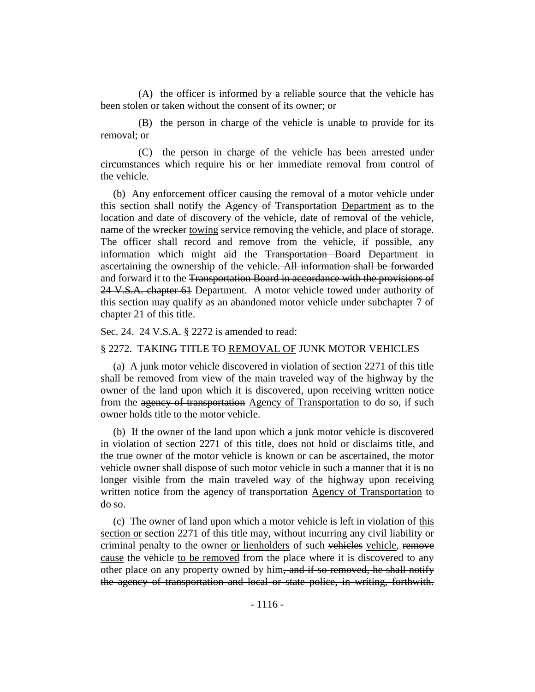(A) the officer is informed by a reliable source that the vehicle has been stolen or taken without the consent of its owner; or

(B) the person in charge of the vehicle is unable to provide for its removal; or

(C) the person in charge of the vehicle has been arrested under circumstances which require his or her immediate removal from control of the vehicle.

(b) Any enforcement officer causing the removal of a motor vehicle under this section shall notify the Agency of Transportation Department as to the location and date of discovery of the vehicle, date of removal of the vehicle, name of the wrecker towing service removing the vehicle, and place of storage. The officer shall record and remove from the vehicle, if possible, any information which might aid the Transportation Board Department in ascertaining the ownership of the vehicle. All information shall be forwarded and forward it to the Transportation Board in accordance with the provisions of 24 V.S.A. chapter 61 Department. A motor vehicle towed under authority of this section may qualify as an abandoned motor vehicle under subchapter 7 of chapter 21 of this title.

Sec. 24. 24 V.S.A. § 2272 is amended to read:

### § 2272. TAKING TITLE TO REMOVAL OF JUNK MOTOR VEHICLES

(a) A junk motor vehicle discovered in violation of section 2271 of this title shall be removed from view of the main traveled way of the highway by the owner of the land upon which it is discovered, upon receiving written notice from the agency of transportation Agency of Transportation to do so, if such owner holds title to the motor vehicle.

(b) If the owner of the land upon which a junk motor vehicle is discovered in violation of section 2271 of this title, does not hold or disclaims title, and the true owner of the motor vehicle is known or can be ascertained, the motor vehicle owner shall dispose of such motor vehicle in such a manner that it is no longer visible from the main traveled way of the highway upon receiving written notice from the agency of transportation Agency of Transportation to do so.

(c) The owner of land upon which a motor vehicle is left in violation of this section or section 2271 of this title may, without incurring any civil liability or criminal penalty to the owner or lienholders of such vehicles vehicle, remove cause the vehicle to be removed from the place where it is discovered to any other place on any property owned by him, and if so removed, he shall notify the agency of transportation and local or state police, in writing, forthwith.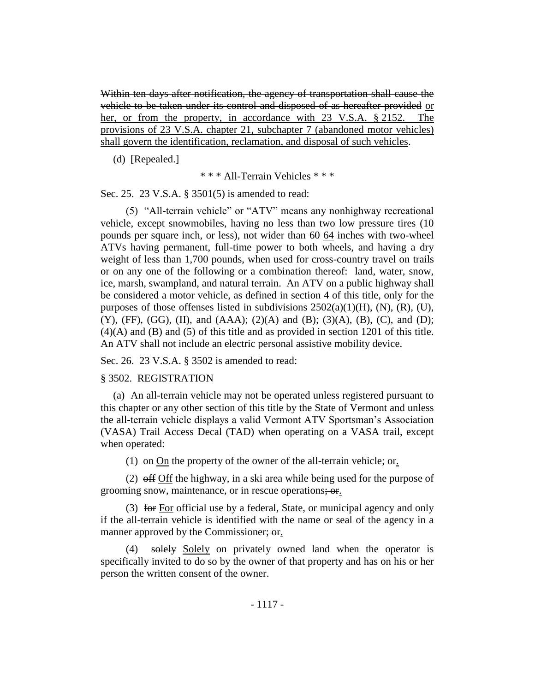Within ten days after notification, the agency of transportation shall cause the vehicle to be taken under its control and disposed of as hereafter provided or her, or from the property, in accordance with 23 V.S.A. § 2152. The provisions of 23 V.S.A. chapter 21, subchapter 7 (abandoned motor vehicles) shall govern the identification, reclamation, and disposal of such vehicles.

(d) [Repealed.]

\* \* \* All-Terrain Vehicles \* \* \*

Sec. 25. 23 V.S.A. § 3501(5) is amended to read:

(5) "All-terrain vehicle" or "ATV" means any nonhighway recreational vehicle, except snowmobiles, having no less than two low pressure tires (10 pounds per square inch, or less), not wider than  $60 \times 64$  inches with two-wheel ATVs having permanent, full-time power to both wheels, and having a dry weight of less than 1,700 pounds, when used for cross-country travel on trails or on any one of the following or a combination thereof: land, water, snow, ice, marsh, swampland, and natural terrain. An ATV on a public highway shall be considered a motor vehicle, as defined in section 4 of this title, only for the purposes of those offenses listed in subdivisions  $2502(a)(1)(H)$ ,  $(N)$ ,  $(R)$ ,  $(U)$ ,  $(Y)$ , (FF), (GG), (II), and (AAA); (2)(A) and (B); (3)(A), (B), (C), and (D); (4)(A) and (B) and (5) of this title and as provided in section 1201 of this title. An ATV shall not include an electric personal assistive mobility device.

Sec. 26. 23 V.S.A. § 3502 is amended to read:

## § 3502. REGISTRATION

(a) An all-terrain vehicle may not be operated unless registered pursuant to this chapter or any other section of this title by the State of Vermont and unless the all-terrain vehicle displays a valid Vermont ATV Sportsman's Association (VASA) Trail Access Decal (TAD) when operating on a VASA trail, except when operated:

(1)  $\Theta$  on On the property of the owner of the all-terrain vehicle;  $\Theta$   $\Theta$ .

(2) off Off the highway, in a ski area while being used for the purpose of grooming snow, maintenance, or in rescue operations; or.

(3) for For official use by a federal, State, or municipal agency and only if the all-terrain vehicle is identified with the name or seal of the agency in a manner approved by the Commissioner; or.

(4) solely Solely on privately owned land when the operator is specifically invited to do so by the owner of that property and has on his or her person the written consent of the owner.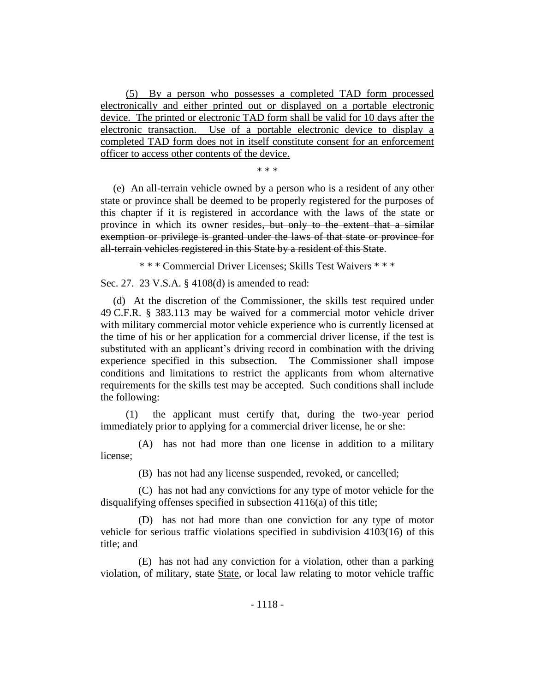(5) By a person who possesses a completed TAD form processed electronically and either printed out or displayed on a portable electronic device. The printed or electronic TAD form shall be valid for 10 days after the electronic transaction. Use of a portable electronic device to display a completed TAD form does not in itself constitute consent for an enforcement officer to access other contents of the device.

\* \* \*

(e) An all-terrain vehicle owned by a person who is a resident of any other state or province shall be deemed to be properly registered for the purposes of this chapter if it is registered in accordance with the laws of the state or province in which its owner resides, but only to the extent that a similar exemption or privilege is granted under the laws of that state or province for all-terrain vehicles registered in this State by a resident of this State.

\* \* \* Commercial Driver Licenses; Skills Test Waivers \* \* \*

Sec. 27. 23 V.S.A. § 4108(d) is amended to read:

(d) At the discretion of the Commissioner, the skills test required under 49 C.F.R. § 383.113 may be waived for a commercial motor vehicle driver with military commercial motor vehicle experience who is currently licensed at the time of his or her application for a commercial driver license, if the test is substituted with an applicant's driving record in combination with the driving experience specified in this subsection. The Commissioner shall impose conditions and limitations to restrict the applicants from whom alternative requirements for the skills test may be accepted. Such conditions shall include the following:

(1) the applicant must certify that, during the two-year period immediately prior to applying for a commercial driver license, he or she:

(A) has not had more than one license in addition to a military license;

(B) has not had any license suspended, revoked, or cancelled;

(C) has not had any convictions for any type of motor vehicle for the disqualifying offenses specified in subsection 4116(a) of this title;

(D) has not had more than one conviction for any type of motor vehicle for serious traffic violations specified in subdivision 4103(16) of this title; and

(E) has not had any conviction for a violation, other than a parking violation, of military, state State, or local law relating to motor vehicle traffic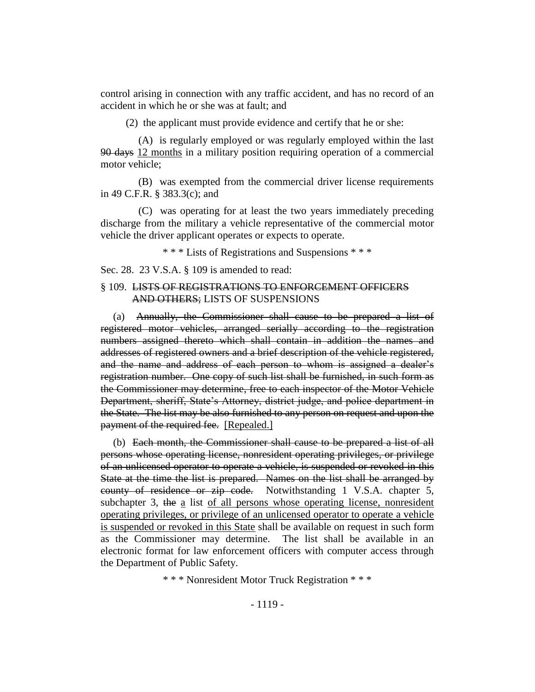control arising in connection with any traffic accident, and has no record of an accident in which he or she was at fault; and

(2) the applicant must provide evidence and certify that he or she:

(A) is regularly employed or was regularly employed within the last 90 days 12 months in a military position requiring operation of a commercial motor vehicle;

(B) was exempted from the commercial driver license requirements in 49 C.F.R. § 383.3(c); and

(C) was operating for at least the two years immediately preceding discharge from the military a vehicle representative of the commercial motor vehicle the driver applicant operates or expects to operate.

\* \* \* Lists of Registrations and Suspensions \* \* \*

Sec. 28. 23 V.S.A. § 109 is amended to read:

## § 109. LISTS OF REGISTRATIONS TO ENFORCEMENT OFFICERS AND OTHERS; LISTS OF SUSPENSIONS

(a) Annually, the Commissioner shall cause to be prepared a list of registered motor vehicles, arranged serially according to the registration numbers assigned thereto which shall contain in addition the names and addresses of registered owners and a brief description of the vehicle registered, and the name and address of each person to whom is assigned a dealer's registration number. One copy of such list shall be furnished, in such form as the Commissioner may determine, free to each inspector of the Motor Vehicle Department, sheriff, State's Attorney, district judge, and police department in the State. The list may be also furnished to any person on request and upon the payment of the required fee. [Repealed.]

(b) Each month, the Commissioner shall cause to be prepared a list of all persons whose operating license, nonresident operating privileges, or privilege of an unlicensed operator to operate a vehicle, is suspended or revoked in this State at the time the list is prepared. Names on the list shall be arranged by county of residence or zip code. Notwithstanding 1 V.S.A. chapter 5, subchapter 3, the a list of all persons whose operating license, nonresident operating privileges, or privilege of an unlicensed operator to operate a vehicle is suspended or revoked in this State shall be available on request in such form as the Commissioner may determine. The list shall be available in an electronic format for law enforcement officers with computer access through the Department of Public Safety.

\* \* \* Nonresident Motor Truck Registration \* \* \*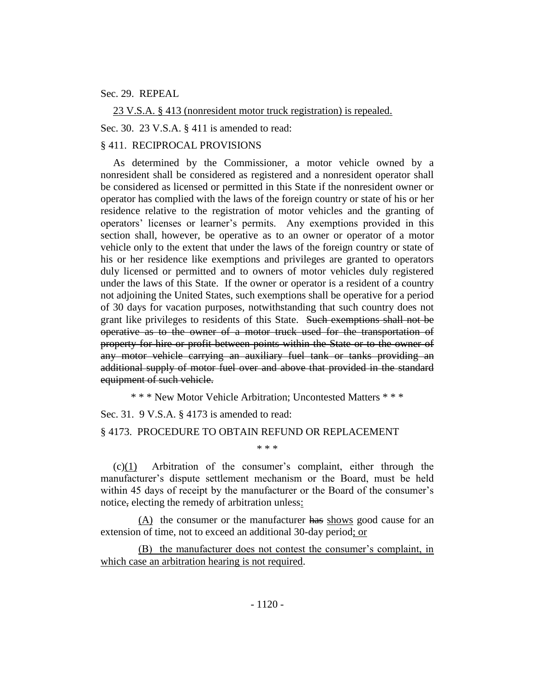## Sec. 29. REPEAL

23 V.S.A. § 413 (nonresident motor truck registration) is repealed.

Sec. 30. 23 V.S.A. § 411 is amended to read:

## § 411. RECIPROCAL PROVISIONS

As determined by the Commissioner, a motor vehicle owned by a nonresident shall be considered as registered and a nonresident operator shall be considered as licensed or permitted in this State if the nonresident owner or operator has complied with the laws of the foreign country or state of his or her residence relative to the registration of motor vehicles and the granting of operators' licenses or learner's permits. Any exemptions provided in this section shall, however, be operative as to an owner or operator of a motor vehicle only to the extent that under the laws of the foreign country or state of his or her residence like exemptions and privileges are granted to operators duly licensed or permitted and to owners of motor vehicles duly registered under the laws of this State. If the owner or operator is a resident of a country not adjoining the United States, such exemptions shall be operative for a period of 30 days for vacation purposes, notwithstanding that such country does not grant like privileges to residents of this State. Such exemptions shall not be operative as to the owner of a motor truck used for the transportation of property for hire or profit between points within the State or to the owner of any motor vehicle carrying an auxiliary fuel tank or tanks providing an additional supply of motor fuel over and above that provided in the standard equipment of such vehicle.

\* \* \* New Motor Vehicle Arbitration; Uncontested Matters \* \* \*

Sec. 31. 9 V.S.A. § 4173 is amended to read:

## § 4173. PROCEDURE TO OBTAIN REFUND OR REPLACEMENT

(c)(1) Arbitration of the consumer's complaint, either through the manufacturer's dispute settlement mechanism or the Board, must be held within 45 days of receipt by the manufacturer or the Board of the consumer's notice, electing the remedy of arbitration unless:

\* \* \*

(A) the consumer or the manufacturer has shows good cause for an extension of time, not to exceed an additional 30-day period; or

(B) the manufacturer does not contest the consumer's complaint, in which case an arbitration hearing is not required.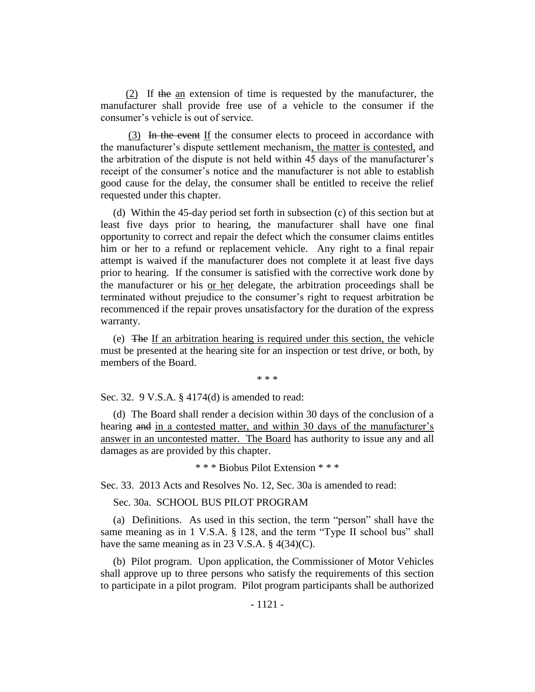(2) If the an extension of time is requested by the manufacturer, the manufacturer shall provide free use of a vehicle to the consumer if the consumer's vehicle is out of service.

(3) In the event If the consumer elects to proceed in accordance with the manufacturer's dispute settlement mechanism, the matter is contested, and the arbitration of the dispute is not held within 45 days of the manufacturer's receipt of the consumer's notice and the manufacturer is not able to establish good cause for the delay, the consumer shall be entitled to receive the relief requested under this chapter.

(d) Within the 45-day period set forth in subsection (c) of this section but at least five days prior to hearing, the manufacturer shall have one final opportunity to correct and repair the defect which the consumer claims entitles him or her to a refund or replacement vehicle. Any right to a final repair attempt is waived if the manufacturer does not complete it at least five days prior to hearing. If the consumer is satisfied with the corrective work done by the manufacturer or his or her delegate, the arbitration proceedings shall be terminated without prejudice to the consumer's right to request arbitration be recommenced if the repair proves unsatisfactory for the duration of the express warranty.

(e) The If an arbitration hearing is required under this section, the vehicle must be presented at the hearing site for an inspection or test drive, or both, by members of the Board.

\* \* \*

Sec. 32. 9 V.S.A. § 4174(d) is amended to read:

(d) The Board shall render a decision within 30 days of the conclusion of a hearing and in a contested matter, and within 30 days of the manufacturer's answer in an uncontested matter. The Board has authority to issue any and all damages as are provided by this chapter.

\* \* \* Biobus Pilot Extension \* \* \*

Sec. 33. 2013 Acts and Resolves No. 12, Sec. 30a is amended to read:

Sec. 30a. SCHOOL BUS PILOT PROGRAM

(a) Definitions. As used in this section, the term "person" shall have the same meaning as in 1 V.S.A. § 128, and the term "Type II school bus" shall have the same meaning as in 23 V.S.A. § 4(34)(C).

(b) Pilot program. Upon application, the Commissioner of Motor Vehicles shall approve up to three persons who satisfy the requirements of this section to participate in a pilot program. Pilot program participants shall be authorized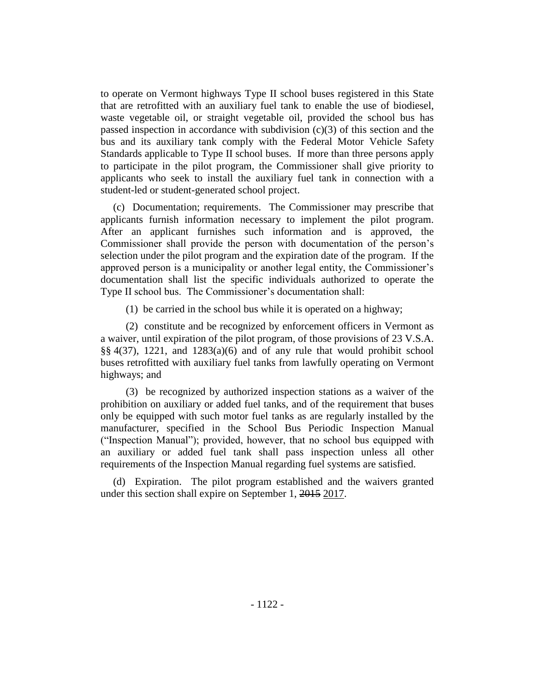to operate on Vermont highways Type II school buses registered in this State that are retrofitted with an auxiliary fuel tank to enable the use of biodiesel, waste vegetable oil, or straight vegetable oil, provided the school bus has passed inspection in accordance with subdivision (c)(3) of this section and the bus and its auxiliary tank comply with the Federal Motor Vehicle Safety Standards applicable to Type II school buses. If more than three persons apply to participate in the pilot program, the Commissioner shall give priority to applicants who seek to install the auxiliary fuel tank in connection with a student-led or student-generated school project.

(c) Documentation; requirements. The Commissioner may prescribe that applicants furnish information necessary to implement the pilot program. After an applicant furnishes such information and is approved, the Commissioner shall provide the person with documentation of the person's selection under the pilot program and the expiration date of the program. If the approved person is a municipality or another legal entity, the Commissioner's documentation shall list the specific individuals authorized to operate the Type II school bus. The Commissioner's documentation shall:

(1) be carried in the school bus while it is operated on a highway;

(2) constitute and be recognized by enforcement officers in Vermont as a waiver, until expiration of the pilot program, of those provisions of 23 V.S.A. §§ 4(37), 1221, and 1283(a)(6) and of any rule that would prohibit school buses retrofitted with auxiliary fuel tanks from lawfully operating on Vermont highways; and

(3) be recognized by authorized inspection stations as a waiver of the prohibition on auxiliary or added fuel tanks, and of the requirement that buses only be equipped with such motor fuel tanks as are regularly installed by the manufacturer, specified in the School Bus Periodic Inspection Manual ("Inspection Manual"); provided, however, that no school bus equipped with an auxiliary or added fuel tank shall pass inspection unless all other requirements of the Inspection Manual regarding fuel systems are satisfied.

(d) Expiration. The pilot program established and the waivers granted under this section shall expire on September 1, 2015 2017.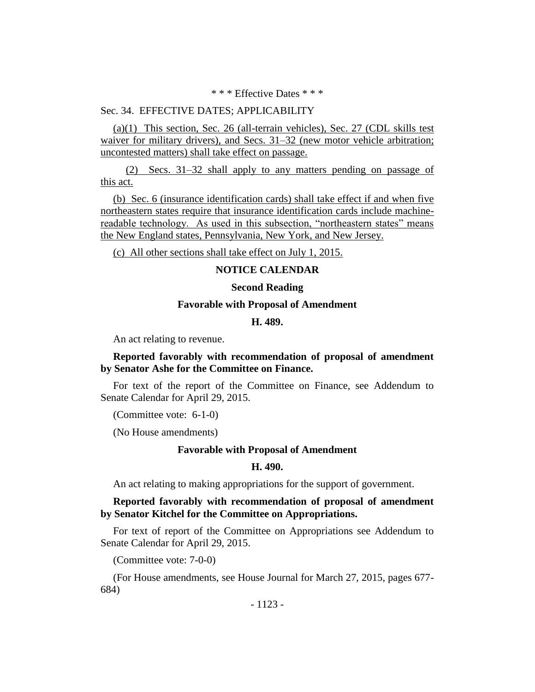\* \* \* Effective Dates \* \* \*

## Sec. 34. EFFECTIVE DATES; APPLICABILITY

(a)(1) This section, Sec. 26 (all-terrain vehicles), Sec. 27 (CDL skills test waiver for military drivers), and Secs. 31–32 (new motor vehicle arbitration; uncontested matters) shall take effect on passage.

(2) Secs. 31–32 shall apply to any matters pending on passage of this act.

(b) Sec. 6 (insurance identification cards) shall take effect if and when five northeastern states require that insurance identification cards include machinereadable technology. As used in this subsection, "northeastern states" means the New England states, Pennsylvania, New York, and New Jersey.

(c) All other sections shall take effect on July 1, 2015.

### **NOTICE CALENDAR**

## **Second Reading**

## **Favorable with Proposal of Amendment**

### **H. 489.**

An act relating to revenue.

## **Reported favorably with recommendation of proposal of amendment by Senator Ashe for the Committee on Finance.**

For text of the report of the Committee on Finance, see Addendum to Senate Calendar for April 29, 2015.

(Committee vote: 6-1-0)

(No House amendments)

#### **Favorable with Proposal of Amendment**

## **H. 490.**

An act relating to making appropriations for the support of government.

## **Reported favorably with recommendation of proposal of amendment by Senator Kitchel for the Committee on Appropriations.**

For text of report of the Committee on Appropriations see Addendum to Senate Calendar for April 29, 2015.

(Committee vote: 7-0-0)

(For House amendments, see House Journal for March 27, 2015, pages 677- 684)